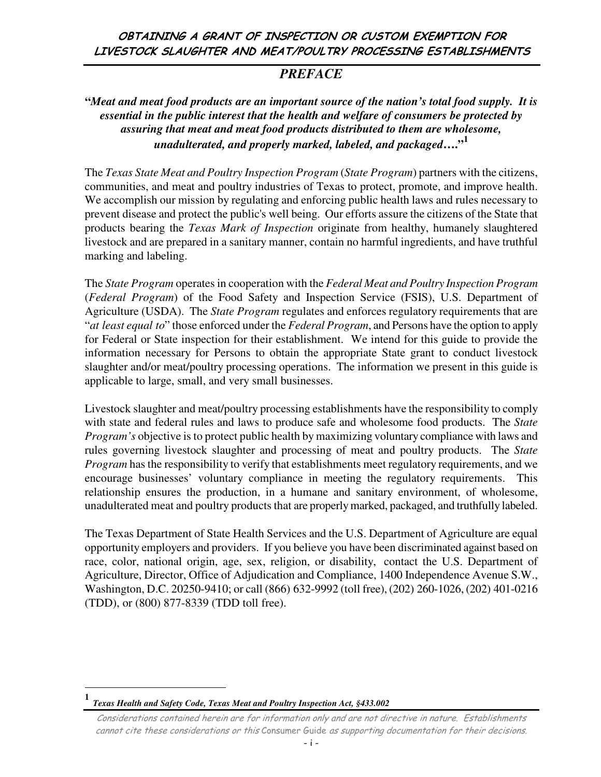### OBTAINING A GRANT OF INSPECTION OR CUSTOM EXEMPTION FOR LIVESTOCK SLAUGHTER AND MEAT/POULTRY PROCESSING ESTABLISHMENTS

## *PREFACE*

### **"***Meat and meat food products are an important source of the nation's total food supply. It is essential in the public interest that the health and welfare of consumers be protected by assuring that meat and meat food products distributed to them are wholesome, unadulterated, and properly marked, labeled, and packaged***…."<sup>1</sup>**

The *Texas State Meat and Poultry Inspection Program* (*State Program*) partners with the citizens, communities, and meat and poultry industries of Texas to protect, promote, and improve health. We accomplish our mission by regulating and enforcing public health laws and rules necessary to prevent disease and protect the public's well being. Our efforts assure the citizens of the State that products bearing the *Texas Mark of Inspection* originate from healthy, humanely slaughtered livestock and are prepared in a sanitary manner, contain no harmful ingredients, and have truthful marking and labeling.

The *State Program* operates in cooperation with the *Federal Meat and Poultry Inspection Program* (*Federal Program*) of the Food Safety and Inspection Service (FSIS), U.S. Department of Agriculture (USDA). The *State Program* regulates and enforces regulatory requirements that are "*at least equal to*" those enforced under the *Federal Program*, and Persons have the option to apply for Federal or State inspection for their establishment. We intend for this guide to provide the information necessary for Persons to obtain the appropriate State grant to conduct livestock slaughter and/or meat/poultry processing operations. The information we present in this guide is applicable to large, small, and very small businesses.

Livestock slaughter and meat/poultry processing establishments have the responsibility to comply with state and federal rules and laws to produce safe and wholesome food products. The *State Program's* objective is to protect public health by maximizing voluntary compliance with laws and rules governing livestock slaughter and processing of meat and poultry products. The *State Program* has the responsibility to verify that establishments meet regulatory requirements, and we encourage businesses' voluntary compliance in meeting the regulatory requirements. This relationship ensures the production, in a humane and sanitary environment, of wholesome, unadulterated meat and poultry products that are properly marked, packaged, and truthfully labeled.

The Texas Department of State Health Services and the U.S. Department of Agriculture are equal opportunity employers and providers. If you believe you have been discriminated against based on race, color, national origin, age, sex, religion, or disability, contact the U.S. Department of Agriculture, Director, Office of Adjudication and Compliance, 1400 Independence Avenue S.W., Washington, D.C. 20250-9410; or call (866) 632-9992 (toll free), (202) 260-1026, (202) 401-0216 (TDD), or (800) 877-8339 (TDD toll free).

 $\overline{a}$ 

**<sup>1</sup>** *Texas Health and Safety Code, Texas Meat and Poultry Inspection Act, §433.002*

Considerations contained herein are for information only and are not directive in nature. Establishments cannot cite these considerations or this Consumer Guide as supporting documentation for their decisions.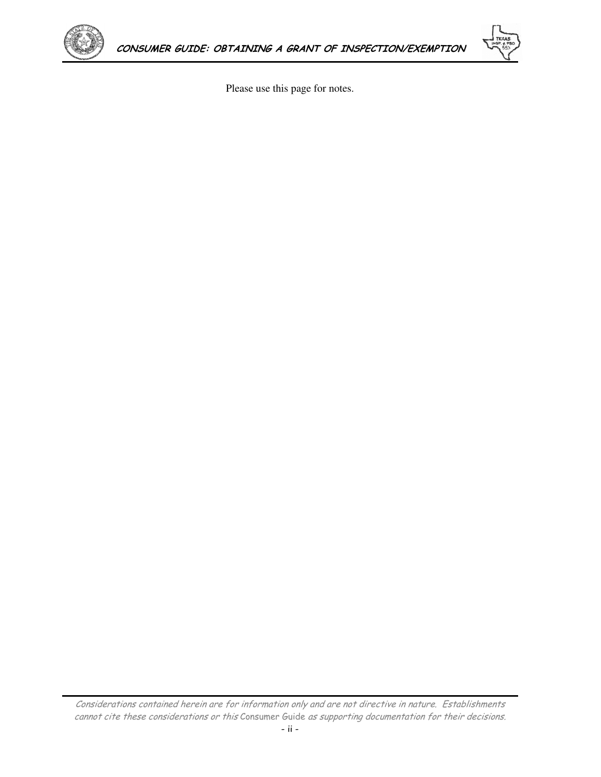



Please use this page for notes.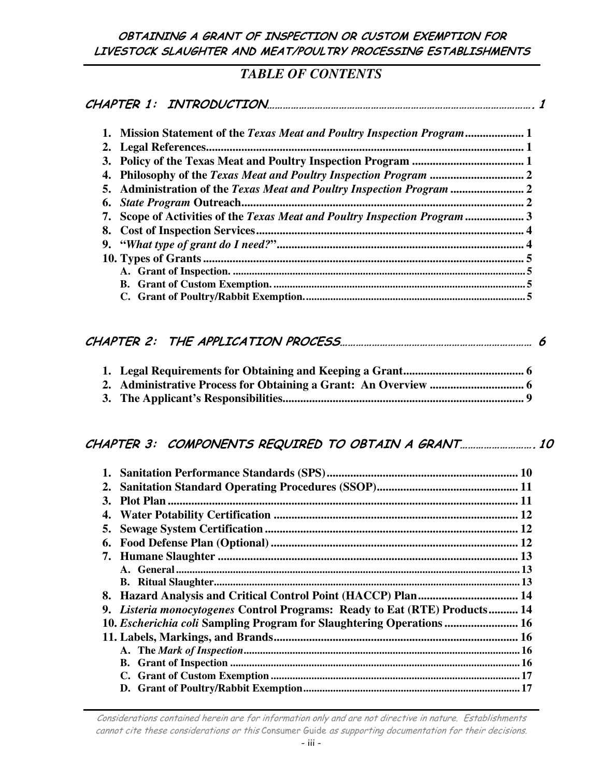OBTAINING A GRANT OF INSPECTION OR CUSTOM EXEMPTION FOR LIVESTOCK SLAUGHTER AND MEAT/POULTRY PROCESSING ESTABLISHMENTS

### *TABLE OF CONTENTS*

| 1. Mission Statement of the Texas Meat and Poultry Inspection Program 1    |  |
|----------------------------------------------------------------------------|--|
|                                                                            |  |
|                                                                            |  |
|                                                                            |  |
| 5. Administration of the Texas Meat and Poultry Inspection Program         |  |
|                                                                            |  |
| 7. Scope of Activities of the Texas Meat and Poultry Inspection Program  3 |  |
|                                                                            |  |
|                                                                            |  |
|                                                                            |  |
|                                                                            |  |
|                                                                            |  |
|                                                                            |  |

# CHAPTER 2: THE APPLICATION PROCESS……………………………………………………………… 6

### CHAPTER 3: COMPONENTS REQUIRED TO OBTAIN A GRANT………………………. 10

| $2_{\bullet}$ |                                                                            |  |
|---------------|----------------------------------------------------------------------------|--|
| 3.            |                                                                            |  |
|               |                                                                            |  |
| 5.            |                                                                            |  |
| 6.            |                                                                            |  |
|               |                                                                            |  |
|               |                                                                            |  |
|               |                                                                            |  |
|               |                                                                            |  |
|               | 9. Listeria monocytogenes Control Programs: Ready to Eat (RTE) Products 14 |  |
|               | 10. Escherichia coli Sampling Program for Slaughtering Operations  16      |  |
|               |                                                                            |  |
|               |                                                                            |  |
|               |                                                                            |  |
|               |                                                                            |  |
|               |                                                                            |  |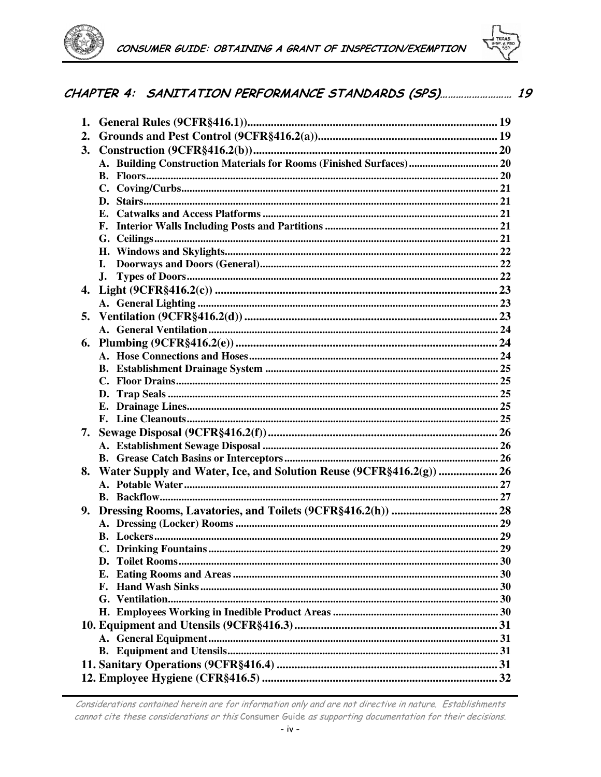



## CHAPTER 4: SANITATION PERFORMANCE STANDARDS (SPS).......................... 19

| 2.<br>3.<br>A. Building Construction Materials for Rooms (Finished Surfaces) 20<br>$\mathbf{C}$ .<br>D.<br>L.<br>$\mathbf{J}$ .<br>5.<br>6.<br>7.<br>Water Supply and Water, Ice, and Solution Reuse (9CFR§416.2(g))  26<br>8.<br>9.<br>Е.<br>F. | 1. |  |
|--------------------------------------------------------------------------------------------------------------------------------------------------------------------------------------------------------------------------------------------------|----|--|
|                                                                                                                                                                                                                                                  |    |  |
|                                                                                                                                                                                                                                                  |    |  |
|                                                                                                                                                                                                                                                  |    |  |
|                                                                                                                                                                                                                                                  |    |  |
|                                                                                                                                                                                                                                                  |    |  |
|                                                                                                                                                                                                                                                  |    |  |
|                                                                                                                                                                                                                                                  |    |  |
|                                                                                                                                                                                                                                                  |    |  |
|                                                                                                                                                                                                                                                  |    |  |
|                                                                                                                                                                                                                                                  |    |  |
|                                                                                                                                                                                                                                                  |    |  |
|                                                                                                                                                                                                                                                  |    |  |
|                                                                                                                                                                                                                                                  |    |  |
|                                                                                                                                                                                                                                                  |    |  |
|                                                                                                                                                                                                                                                  |    |  |
|                                                                                                                                                                                                                                                  |    |  |
|                                                                                                                                                                                                                                                  |    |  |
|                                                                                                                                                                                                                                                  |    |  |
|                                                                                                                                                                                                                                                  |    |  |
|                                                                                                                                                                                                                                                  |    |  |
|                                                                                                                                                                                                                                                  |    |  |
|                                                                                                                                                                                                                                                  |    |  |
|                                                                                                                                                                                                                                                  |    |  |
|                                                                                                                                                                                                                                                  |    |  |
|                                                                                                                                                                                                                                                  |    |  |
|                                                                                                                                                                                                                                                  |    |  |
|                                                                                                                                                                                                                                                  |    |  |
|                                                                                                                                                                                                                                                  |    |  |
|                                                                                                                                                                                                                                                  |    |  |
|                                                                                                                                                                                                                                                  |    |  |
|                                                                                                                                                                                                                                                  |    |  |
|                                                                                                                                                                                                                                                  |    |  |
|                                                                                                                                                                                                                                                  |    |  |
|                                                                                                                                                                                                                                                  |    |  |
|                                                                                                                                                                                                                                                  |    |  |
|                                                                                                                                                                                                                                                  |    |  |
|                                                                                                                                                                                                                                                  |    |  |
|                                                                                                                                                                                                                                                  |    |  |
|                                                                                                                                                                                                                                                  |    |  |
|                                                                                                                                                                                                                                                  |    |  |
|                                                                                                                                                                                                                                                  |    |  |
|                                                                                                                                                                                                                                                  |    |  |
|                                                                                                                                                                                                                                                  |    |  |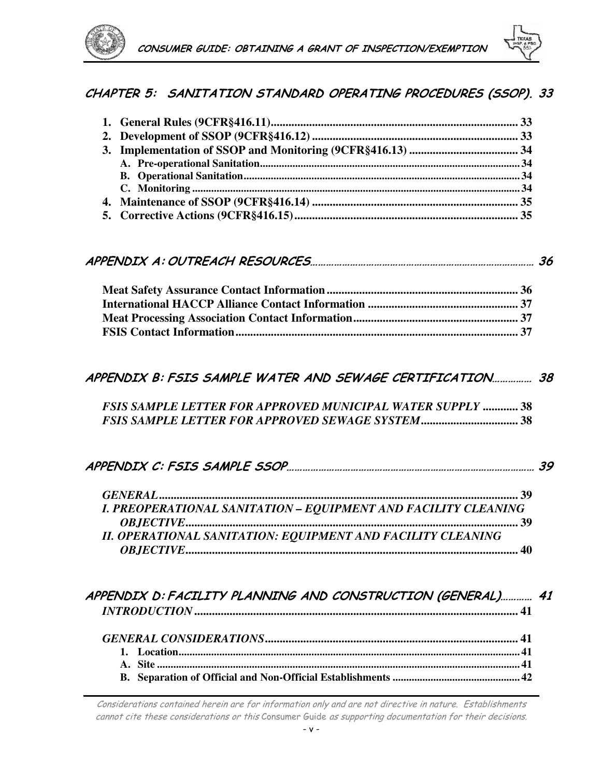

### CHAPTER 5: SANITATION STANDARD OPERATING PROCEDURES (SSOP). 33

|--|--|

### APPENDIX B: FSIS SAMPLE WATER AND SEWAGE CERTIFICATION…………… 38

| <b>FSIS SAMPLE LETTER FOR APPROVED MUNICIPAL WATER SUPPLY  38</b> |  |  |
|-------------------------------------------------------------------|--|--|
|                                                                   |  |  |

| I. PREOPERATIONAL SANITATION – EQUIPMENT AND FACILITY CLEANING |  |
|----------------------------------------------------------------|--|
|                                                                |  |
| II. OPERATIONAL SANITATION: EQUIPMENT AND FACILITY CLEANING    |  |
|                                                                |  |

### APPENDIX D: FACILITY PLANNING AND CONSTRUCTION (GENERAL)………… 41 *INTRODUCTION***.............................................................................................................. 41**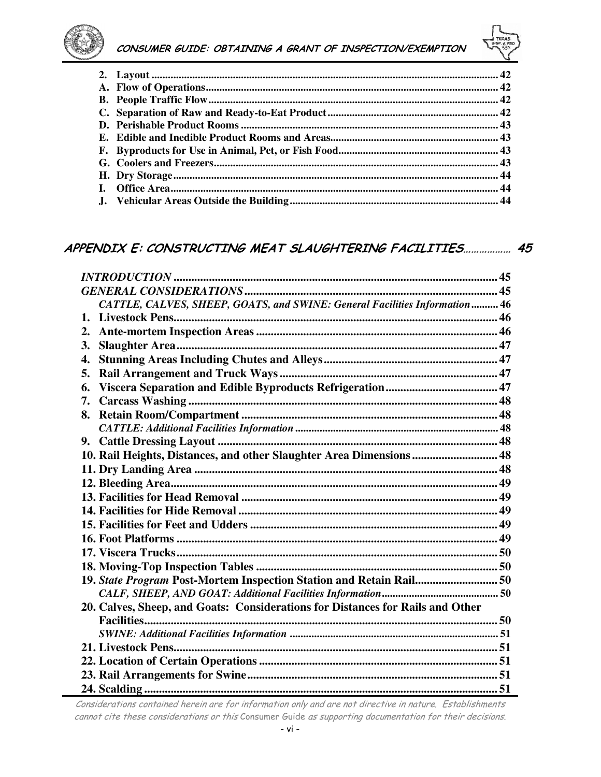



### APPENDIX E: CONSTRUCTING MEAT SLAUGHTERING FACILITIES.................. 45

| CATTLE, CALVES, SHEEP, GOATS, and SWINE: General Facilities Information 46     |    |
|--------------------------------------------------------------------------------|----|
| 1.                                                                             |    |
| 2.                                                                             |    |
| 3.                                                                             |    |
| 4.                                                                             |    |
| 5.                                                                             |    |
| 6.                                                                             |    |
| 7.                                                                             |    |
| 8.                                                                             |    |
|                                                                                |    |
| 9.                                                                             |    |
| 10. Rail Heights, Distances, and other Slaughter Area Dimensions  48           |    |
|                                                                                |    |
|                                                                                |    |
|                                                                                |    |
|                                                                                |    |
|                                                                                |    |
|                                                                                |    |
|                                                                                |    |
|                                                                                |    |
| 19. State Program Post-Mortem Inspection Station and Retain Rail 50            |    |
|                                                                                |    |
| 20. Calves, Sheep, and Goats: Considerations for Distances for Rails and Other |    |
|                                                                                |    |
|                                                                                |    |
|                                                                                |    |
|                                                                                |    |
|                                                                                |    |
| 24. Scalding                                                                   | 51 |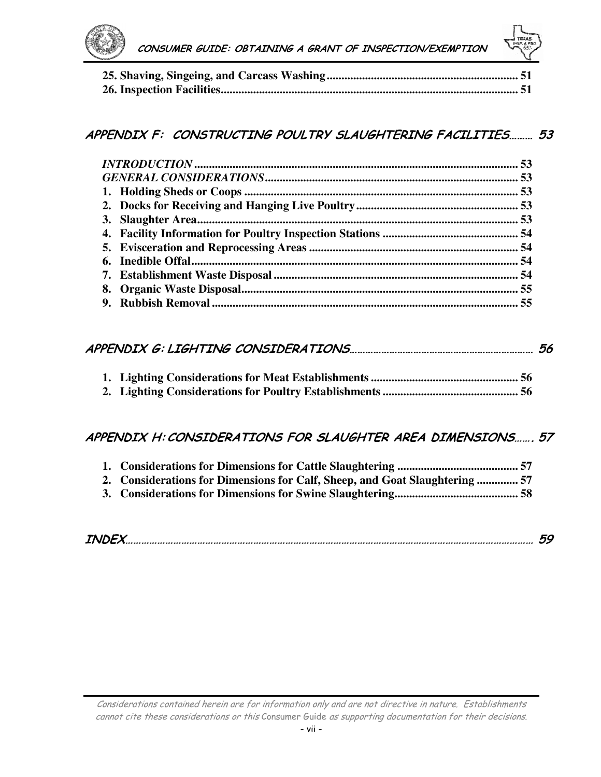

## APPENDIX F: CONSTRUCTING POULTRY SLAUGHTERING FACILITIES……… 53

## APPENDIX G: LIGHTING CONSIDERATIONS…………………………………………………………… 56

## APPENDIX H:CONSIDERATIONS FOR SLAUGHTER AREA DIMENSIONS……. 57

| 2. Considerations for Dimensions for Calf, Sheep, and Goat Slaughtering  57 |  |
|-----------------------------------------------------------------------------|--|
|                                                                             |  |

| <b>INDEX</b> |  |  |
|--------------|--|--|
|--------------|--|--|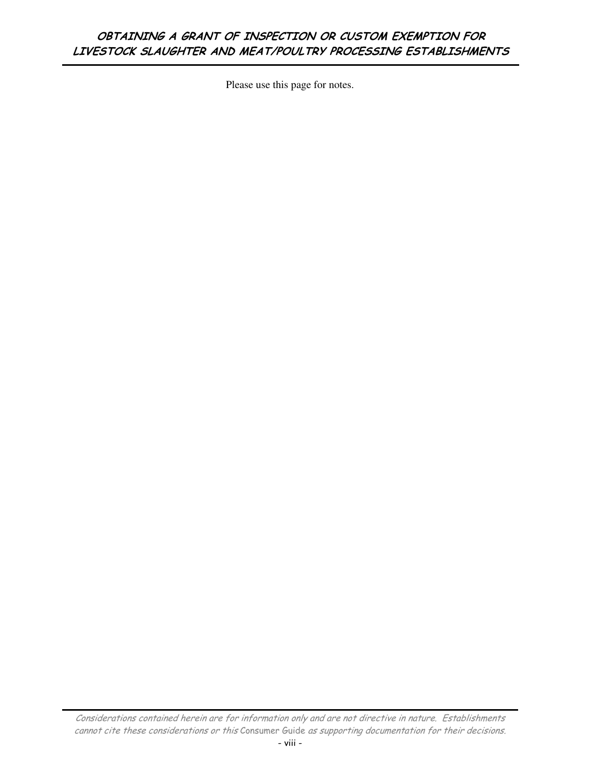## OBTAINING A GRANT OF INSPECTION OR CUSTOM EXEMPTION FOR LIVESTOCK SLAUGHTER AND MEAT/POULTRY PROCESSING ESTABLISHMENTS

Please use this page for notes.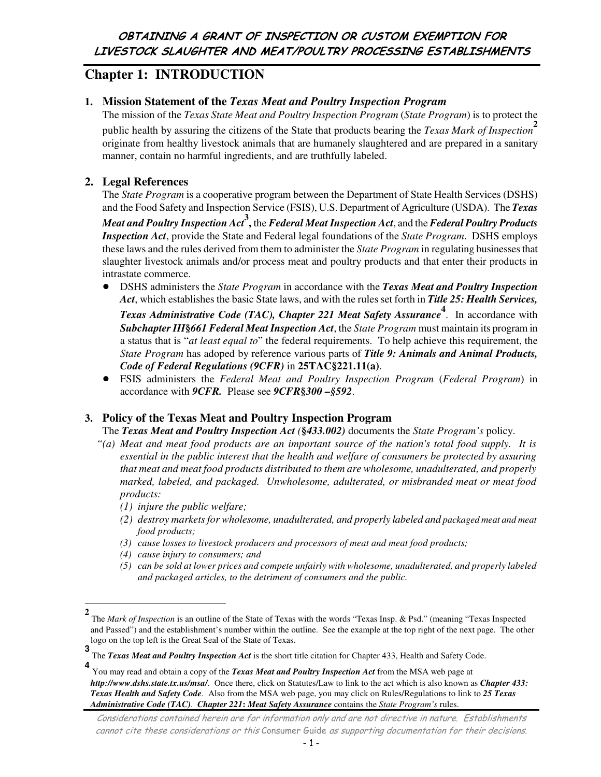# **Chapter 1: INTRODUCTION**

### **1. Mission Statement of the** *Texas Meat and Poultry Inspection Program*

The mission of the *Texas State Meat and Poultry Inspection Program* (*State Program*) is to protect the public health by assuring the citizens of the State that products bearing the *Texas Mark of Inspection***<sup>2</sup>** originate from healthy livestock animals that are humanely slaughtered and are prepared in a sanitary manner, contain no harmful ingredients, and are truthfully labeled.

### **2. Legal References**

The *State Program* is a cooperative program between the Department of State Health Services (DSHS) and the Food Safety and Inspection Service (FSIS), U.S. Department of Agriculture (USDA). The *Texas* 

*Meat and Poultry Inspection Act***<sup>3</sup> ,** the *Federal Meat Inspection Act*, and the *Federal Poultry Products Inspection Act*, provide the State and Federal legal foundations of the *State Program*. DSHS employs these laws and the rules derived from them to administer the *State Program* in regulating businesses that slaughter livestock animals and/or process meat and poultry products and that enter their products in intrastate commerce.

! DSHS administers the *State Program* in accordance with the *Texas Meat and Poultry Inspection Act*, which establishes the basic State laws, and with the rules set forth in *Title 25: Health Services,* 

*Texas Administrative Code (TAC), Chapter 221 Meat Safety Assurance***<sup>4</sup>** . In accordance with *Subchapter III***§***661 Federal Meat Inspection Act*, the *State Program* must maintain its program in a status that is "*at least equal to*" the federal requirements. To help achieve this requirement, the *State Program* has adoped by reference various parts of *Title 9: Animals and Animal Products, Code of Federal Regulations (9CFR)* in **25TAC§221.11(a)**.

! FSIS administers the *Federal Meat and Poultry Inspection Program* (*Federal Program*) in accordance with *9CFR.* Please see *9CFR***§***300 –§592*.

### **3. Policy of the Texas Meat and Poultry Inspection Program**

The *Texas Meat and Poultry Inspection Act (***§***433.002)* documents the *State Program's* policy.

- *"(a) Meat and meat food products are an important source of the nation's total food supply. It is essential in the public interest that the health and welfare of consumers be protected by assuring that meat and meat food products distributed to them are wholesome, unadulterated, and properly marked, labeled, and packaged. Unwholesome, adulterated, or misbranded meat or meat food products:* 
	- *(1) injure the public welfare;*
	- *(2) destroy markets for wholesome, unadulterated, and properly labeled and packaged meat and meat food products;*
	- *(3) cause losses to livestock producers and processors of meat and meat food products;*
	- *(4) cause injury to consumers; and*

 $\overline{a}$ 

*(5) can be sold at lower prices and compete unfairly with wholesome, unadulterated, and properly labeled and packaged articles, to the detriment of consumers and the public.* 

**<sup>2</sup>** The *Mark of Inspection* is an outline of the State of Texas with the words "Texas Insp. & Psd." (meaning "Texas Inspected and Passed") and the establishment's number within the outline. See the example at the top right of the next page. The other logo on the top left is the Great Seal of the State of Texas.

**<sup>3</sup>** The *Texas Meat and Poultry Inspection Act* is the short title citation for Chapter 433, Health and Safety Code.

**<sup>4</sup>** You may read and obtain a copy of the *Texas Meat and Poultry Inspection Act* from the MSA web page at *http://www.dshs.state.tx.us/msa/*. Once there, click on Statutes/Law to link to the act which is also known as *Chapter 433: Texas Health and Safety Code*. Also from the MSA web page, you may click on Rules/Regulations to link to *25 Texas Administrative Code (TAC)*. *Chapter 221***:** *Meat Safety Assurance* contains the *State Program's* rules.

Considerations contained herein are for information only and are not directive in nature. Establishments cannot cite these considerations or this Consumer Guide as supporting documentation for their decisions.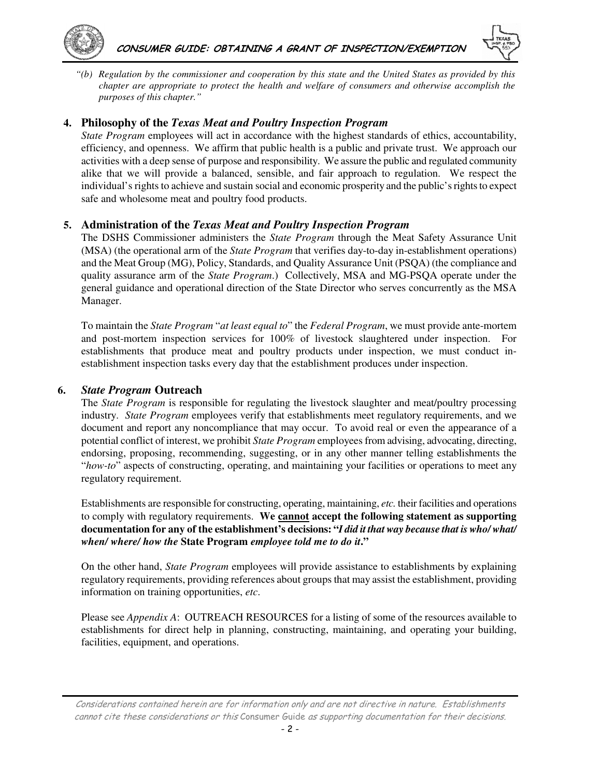



*"(b) Regulation by the commissioner and cooperation by this state and the United States as provided by this chapter are appropriate to protect the health and welfare of consumers and otherwise accomplish the purposes of this chapter."* 

#### **4. Philosophy of the** *Texas Meat and Poultry Inspection Program*

*State Program* employees will act in accordance with the highest standards of ethics, accountability, efficiency, and openness. We affirm that public health is a public and private trust. We approach our activities with a deep sense of purpose and responsibility. We assure the public and regulated community alike that we will provide a balanced, sensible, and fair approach to regulation. We respect the individual's rights to achieve and sustain social and economic prosperity and the public's rights to expect safe and wholesome meat and poultry food products.

#### **5. Administration of the** *Texas Meat and Poultry Inspection Program*

The DSHS Commissioner administers the *State Program* through the Meat Safety Assurance Unit (MSA) (the operational arm of the *State Program* that verifies day-to-day in-establishment operations) and the Meat Group (MG), Policy, Standards, and Quality Assurance Unit (PSQA) (the compliance and quality assurance arm of the *State Program*.) Collectively, MSA and MG-PSQA operate under the general guidance and operational direction of the State Director who serves concurrently as the MSA Manager.

To maintain the *State Program* "*at least equal to*" the *Federal Program*, we must provide ante-mortem and post-mortem inspection services for 100% of livestock slaughtered under inspection. For establishments that produce meat and poultry products under inspection, we must conduct inestablishment inspection tasks every day that the establishment produces under inspection.

#### **6.** *State Program* **Outreach**

The *State Program* is responsible for regulating the livestock slaughter and meat/poultry processing industry. *State Program* employees verify that establishments meet regulatory requirements, and we document and report any noncompliance that may occur. To avoid real or even the appearance of a potential conflict of interest, we prohibit *State Program* employees from advising, advocating, directing, endorsing, proposing, recommending, suggesting, or in any other manner telling establishments the "*how-to*" aspects of constructing, operating, and maintaining your facilities or operations to meet any regulatory requirement.

Establishments are responsible for constructing, operating, maintaining, *etc.* their facilities and operations to comply with regulatory requirements. **We cannot accept the following statement as supporting documentation for any of the establishment's decisions: "***I did it that way because that is who/ what/ when/ where/ how the* **State Program** *employee told me to do it***."**

On the other hand, *State Program* employees will provide assistance to establishments by explaining regulatory requirements, providing references about groups that may assist the establishment, providing information on training opportunities, *etc*.

Please see *Appendix A*: OUTREACH RESOURCES for a listing of some of the resources available to establishments for direct help in planning, constructing, maintaining, and operating your building, facilities, equipment, and operations.

Considerations contained herein are for information only and are not directive in nature. Establishments cannot cite these considerations or this Consumer Guide as supporting documentation for their decisions.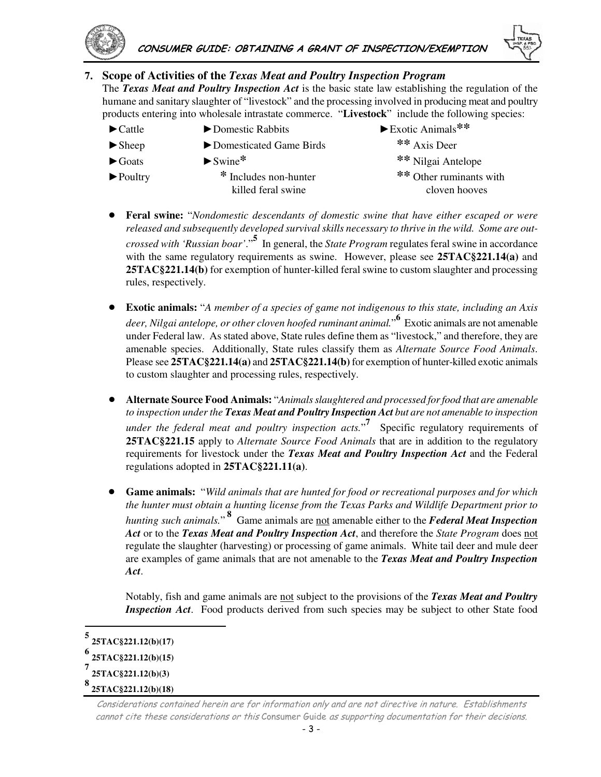

### **7. Scope of Activities of the** *Texas Meat and Poultry Inspection Program*

The *Texas Meat and Poultry Inspection Act* is the basic state law establishing the regulation of the humane and sanitary slaughter of "livestock" and the processing involved in producing meat and poultry products entering into wholesale intrastate commerce. "**Livestock**" include the following species:

- ►Cattle ►Domestic Rabbits ►Exotic Animals**\*\***
- 
- ►Sheep ►Domesticated Game Birds **\*\*** Axis Deer
	-
- 
- ►Poultry **\*** Includes non-hunter **\*\*** Other ruminants with
- ►Goats ►Swine**\* \*\*** Nilgai Antelope killed feral swine cloven hooves
- ! **Feral swine:** "*Nondomestic descendants of domestic swine that have either escaped or were released and subsequently developed survival skills necessary to thrive in the wild. Some are outcrossed with 'Russian boar'*."**<sup>5</sup>** In general, the *State Program* regulates feral swine in accordance with the same regulatory requirements as swine. However, please see **25TAC§221.14(a)** and **25TAC§221.14(b)** for exemption of hunter-killed feral swine to custom slaughter and processing rules, respectively.
- ! **Exotic animals:** "*A member of a species of game not indigenous to this state, including an Axis deer, Nilgai antelope, or other cloven hoofed ruminant animal.*" **6** Exotic animals are not amenable under Federal law. As stated above, State rules define them as "livestock," and therefore, they are amenable species. Additionally, State rules classify them as *Alternate Source Food Animals*. Please see **25TAC§221.14(a)** and **25TAC§221.14(b)** for exemption of hunter-killed exotic animals to custom slaughter and processing rules, respectively.
- ! **Alternate Source Food Animals:** "*Animals slaughtered and processed for food that are amenable to inspection under the Texas Meat and Poultry Inspection Act but are not amenable to inspection under the federal meat and poultry inspection acts.*" **7** Specific regulatory requirements of **25TAC§221.15** apply to *Alternate Source Food Animals* that are in addition to the regulatory requirements for livestock under the *Texas Meat and Poultry Inspection Act* and the Federal regulations adopted in **25TAC§221.11(a)**.
- ! **Game animals:** "*Wild animals that are hunted for food or recreational purposes and for which the hunter must obtain a hunting license from the Texas Parks and Wildlife Department prior to hunting such animals.*"<sup>8</sup> Game animals are <u>not</u> amenable either to the *Federal Meat Inspection Act* or to the *Texas Meat and Poultry Inspection Act*, and therefore the *State Program* does not regulate the slaughter (harvesting) or processing of game animals. White tail deer and mule deer are examples of game animals that are not amenable to the *Texas Meat and Poultry Inspection Act*.

Notably, fish and game animals are not subject to the provisions of the *Texas Meat and Poultry Inspection Act*. Food products derived from such species may be subject to other State food

 $\overline{a}$ 

**<sup>5</sup> 25TAC§221.12(b)(17) 6 25TAC§221.12(b)(15)**

**<sup>7</sup>**

**<sup>25</sup>TAC§221.12(b)(3)** 

**<sup>8</sup>  25TAC§221.12(b)(18)**

Considerations contained herein are for information only and are not directive in nature. Establishments cannot cite these considerations or this Consumer Guide as supporting documentation for their decisions.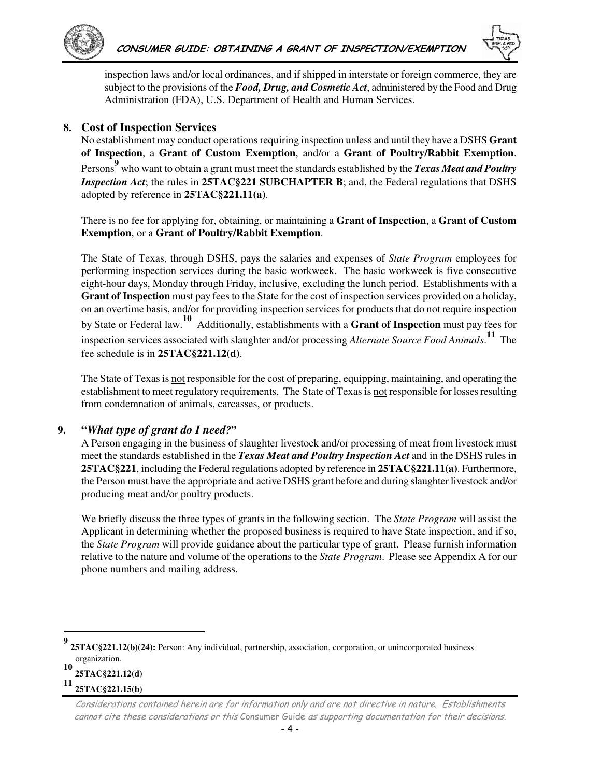



inspection laws and/or local ordinances, and if shipped in interstate or foreign commerce, they are subject to the provisions of the *Food, Drug, and Cosmetic Act*, administered by the Food and Drug Administration (FDA), U.S. Department of Health and Human Services.

#### **8. Cost of Inspection Services**

No establishment may conduct operations requiring inspection unless and until they have a DSHS **Grant of Inspection**, a **Grant of Custom Exemption**, and/or a **Grant of Poultry/Rabbit Exemption**. Persons**<sup>9</sup>** who want to obtain a grant must meet the standards established by the *Texas Meat and Poultry Inspection Act*; the rules in 25TAC§221 SUBCHAPTER B; and, the Federal regulations that DSHS adopted by reference in **25TAC§221.11(a)**.

There is no fee for applying for, obtaining, or maintaining a **Grant of Inspection**, a **Grant of Custom Exemption**, or a **Grant of Poultry/Rabbit Exemption**.

The State of Texas, through DSHS, pays the salaries and expenses of *State Program* employees for performing inspection services during the basic workweek. The basic workweek is five consecutive eight-hour days, Monday through Friday, inclusive, excluding the lunch period. Establishments with a **Grant of Inspection** must pay fees to the State for the cost of inspection services provided on a holiday, on an overtime basis, and/or for providing inspection services for products that do not require inspection by State or Federal law.**10** Additionally, establishments with a **Grant of Inspection** must pay fees for inspection services associated with slaughter and/or processing *Alternate Source Food Animals*. **<sup>11</sup>** The fee schedule is in **25TAC§221.12(d)**.

The State of Texas is not responsible for the cost of preparing, equipping, maintaining, and operating the establishment to meet regulatory requirements. The State of Texas is not responsible for losses resulting from condemnation of animals, carcasses, or products.

### **9. "***What type of grant do I need?***"**

A Person engaging in the business of slaughter livestock and/or processing of meat from livestock must meet the standards established in the *Texas Meat and Poultry Inspection Act* and in the DSHS rules in **25TAC§221**, including the Federal regulations adopted by reference in **25TAC§221.11(a)**. Furthermore, the Person must have the appropriate and active DSHS grant before and during slaughter livestock and/or producing meat and/or poultry products.

We briefly discuss the three types of grants in the following section. The *State Program* will assist the Applicant in determining whether the proposed business is required to have State inspection, and if so, the *State Program* will provide guidance about the particular type of grant. Please furnish information relative to the nature and volume of the operations to the *State Program*. Please see Appendix A for our phone numbers and mailing address.

**25TAC§221.12(d)**

 $\overline{a}$ 

**11 25TAC§221.15(b)** 

**<sup>9</sup> 25TAC§221.12(b)(24):** Person: Any individual, partnership, association, corporation, or unincorporated business organization. **10**

Considerations contained herein are for information only and are not directive in nature. Establishments cannot cite these considerations or this Consumer Guide as supporting documentation for their decisions.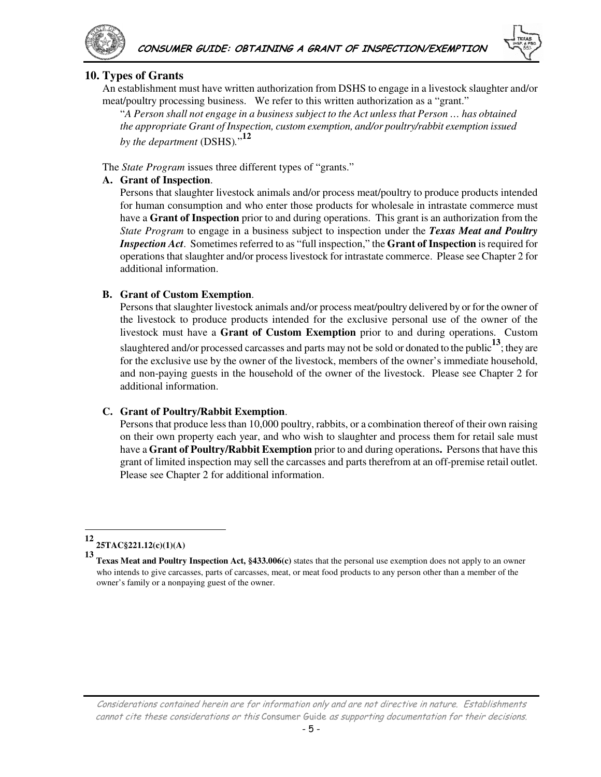

#### **10. Types of Grants**

An establishment must have written authorization from DSHS to engage in a livestock slaughter and/or meat/poultry processing business. We refer to this written authorization as a "grant."

"*A Person shall not engage in a business subject to the Act unless that Person … has obtained the appropriate Grant of Inspection, custom exemption, and/or poultry/rabbit exemption issued by the department* (DSHS)*.*" **12**

The *State Program* issues three different types of "grants."

#### **A. Grant of Inspection**.

Persons that slaughter livestock animals and/or process meat/poultry to produce products intended for human consumption and who enter those products for wholesale in intrastate commerce must have a **Grant of Inspection** prior to and during operations. This grant is an authorization from the *State Program* to engage in a business subject to inspection under the *Texas Meat and Poultry Inspection Act*. Sometimes referred to as "full inspection," the **Grant of Inspection** is required for operations that slaughter and/or process livestock for intrastate commerce. Please see Chapter 2 for additional information.

#### **B. Grant of Custom Exemption**.

Persons that slaughter livestock animals and/or process meat/poultry delivered by or for the owner of the livestock to produce products intended for the exclusive personal use of the owner of the livestock must have a **Grant of Custom Exemption** prior to and during operations. Custom slaughtered and/or processed carcasses and parts may not be sold or donated to the public**13**; they are for the exclusive use by the owner of the livestock, members of the owner's immediate household, and non-paying guests in the household of the owner of the livestock. Please see Chapter 2 for additional information.

#### **C. Grant of Poultry/Rabbit Exemption**.

Persons that produce less than 10,000 poultry, rabbits, or a combination thereof of their own raising on their own property each year, and who wish to slaughter and process them for retail sale must have a **Grant of Poultry/Rabbit Exemption** prior to and during operations**.** Persons that have this grant of limited inspection may sell the carcasses and parts therefrom at an off-premise retail outlet. Please see Chapter 2 for additional information.

 $\overline{a}$ 

**<sup>12</sup> 25TAC§221.12(c)(1)(A)**

**<sup>13</sup> Texas Meat and Poultry Inspection Act, §433.006(c)** states that the personal use exemption does not apply to an owner who intends to give carcasses, parts of carcasses, meat, or meat food products to any person other than a member of the owner's family or a nonpaying guest of the owner.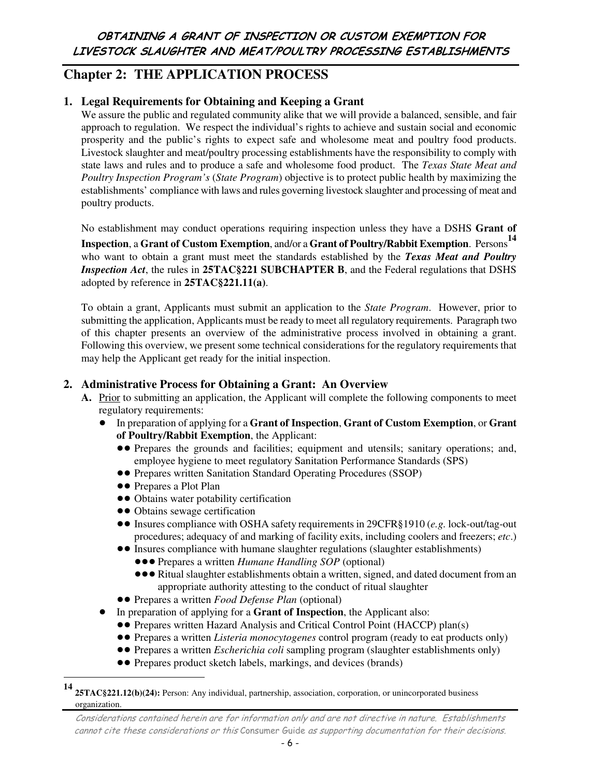## **Chapter 2: THE APPLICATION PROCESS**

### **1. Legal Requirements for Obtaining and Keeping a Grant**

We assure the public and regulated community alike that we will provide a balanced, sensible, and fair approach to regulation. We respect the individual's rights to achieve and sustain social and economic prosperity and the public's rights to expect safe and wholesome meat and poultry food products. Livestock slaughter and meat/poultry processing establishments have the responsibility to comply with state laws and rules and to produce a safe and wholesome food product. The *Texas State Meat and Poultry Inspection Program's* (*State Program*) objective is to protect public health by maximizing the establishments' compliance with laws and rules governing livestock slaughter and processing of meat and poultry products.

No establishment may conduct operations requiring inspection unless they have a DSHS **Grant of** 

**Inspection**, a **Grant of Custom Exemption**, and/or a **Grant of Poultry/Rabbit Exemption**. Persons**<sup>14</sup>** who want to obtain a grant must meet the standards established by the *Texas Meat and Poultry Inspection Act*, the rules in **25TAC§221 SUBCHAPTER B**, and the Federal regulations that DSHS adopted by reference in **25TAC§221.11(a)**.

To obtain a grant, Applicants must submit an application to the *State Program*. However, prior to submitting the application, Applicants must be ready to meet all regulatory requirements. Paragraph two of this chapter presents an overview of the administrative process involved in obtaining a grant. Following this overview, we present some technical considerations for the regulatory requirements that may help the Applicant get ready for the initial inspection.

### **2. Administrative Process for Obtaining a Grant: An Overview**

- **A.** Prior to submitting an application, the Applicant will complete the following components to meet regulatory requirements:
	- ! In preparation of applying for a **Grant of Inspection**, **Grant of Custom Exemption**, or **Grant of Poultry/Rabbit Exemption**, the Applicant:
		- !! Prepares the grounds and facilities; equipment and utensils; sanitary operations; and, employee hygiene to meet regulatory Sanitation Performance Standards (SPS)
		- **••** Prepares written Sanitation Standard Operating Procedures (SSOP)
		- $\bullet \bullet$  Prepares a Plot Plan

 $\overline{a}$ 

- $\bullet\bullet$  Obtains water potability certification
- Obtains sewage certification
- !! Insures compliance with OSHA safety requirements in 29CFR§1910 (*e.g.* lock-out/tag-out procedures; adequacy of and marking of facility exits, including coolers and freezers; *etc*.)
- Insures compliance with humane slaughter regulations (slaughter establishments)
	- **. • Prepares a written** *Humane Handling SOP* (optional)
	- **...** The Ritual slaughter establishments obtain a written, signed, and dated document from an appropriate authority attesting to the conduct of ritual slaughter
- **••** Prepares a written *Food Defense Plan* (optional)
- ! In preparation of applying for a **Grant of Inspection**, the Applicant also:
	- Prepares written Hazard Analysis and Critical Control Point (HACCP) plan(s)
	- !! Prepares a written *Listeria monocytogenes* control program (ready to eat products only)
	- !! Prepares a written *Escherichia coli* sampling program (slaughter establishments only)
	- Prepares product sketch labels, markings, and devices (brands)

**<sup>14</sup> 25TAC§221.12(b)(24):** Person: Any individual, partnership, association, corporation, or unincorporated business organization.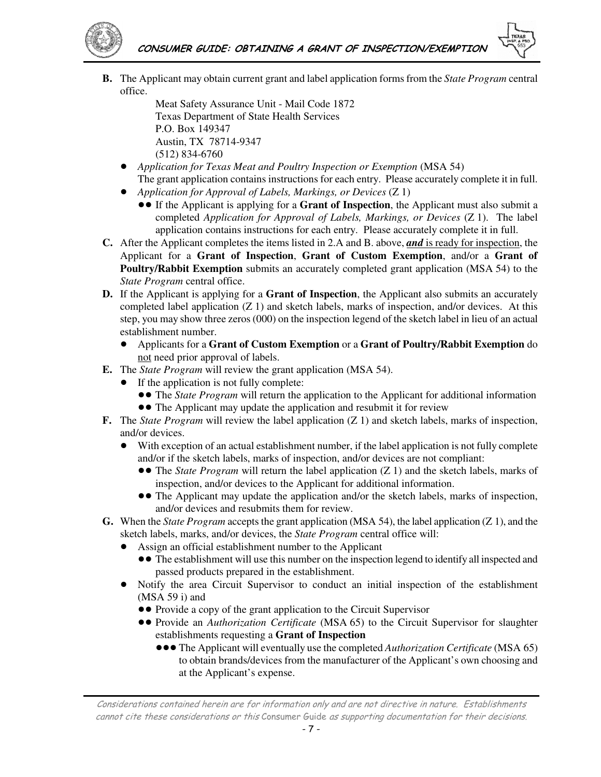

**B.** The Applicant may obtain current grant and label application forms from the *State Program* central office.

Meat Safety Assurance Unit - Mail Code 1872 Texas Department of State Health Services P.O. Box 149347 Austin, TX 78714-9347 (512) 834-6760

- ! *Application for Texas Meat and Poultry Inspection or Exemption* (MSA 54) The grant application contains instructions for each entry. Please accurately complete it in full.
- ! *Application for Approval of Labels, Markings, or Devices* (Z 1)
	- !! If the Applicant is applying for a **Grant of Inspection**, the Applicant must also submit a completed *Application for Approval of Labels, Markings, or Devices* (Z 1). The label application contains instructions for each entry. Please accurately complete it in full.
- **C.** After the Applicant completes the items listed in 2.A and B. above, *and* is ready for inspection, the Applicant for a **Grant of Inspection**, **Grant of Custom Exemption**, and/or a **Grant of Poultry/Rabbit Exemption** submits an accurately completed grant application (MSA 54) to the *State Program* central office.
- **D.** If the Applicant is applying for a **Grant of Inspection**, the Applicant also submits an accurately completed label application  $(Z 1)$  and sketch labels, marks of inspection, and/or devices. At this step, you may show three zeros (000) on the inspection legend of the sketch label in lieu of an actual establishment number.
	- ! Applicants for a **Grant of Custom Exemption** or a **Grant of Poultry/Rabbit Exemption** do not need prior approval of labels.
- **E.** The *State Program* will review the grant application (MSA 54).
	- If the application is not fully complete:
		- **••** The *State Program* will return the application to the Applicant for additional information
		- The Applicant may update the application and resubmit it for review
- **F.** The *State Program* will review the label application (Z 1) and sketch labels, marks of inspection, and/or devices.
	- ! With exception of an actual establishment number, if the label application is not fully complete and/or if the sketch labels, marks of inspection, and/or devices are not compliant:
		- !! The *State Program* will return the label application (Z 1) and the sketch labels, marks of inspection, and/or devices to the Applicant for additional information.
		- The Applicant may update the application and/or the sketch labels, marks of inspection, and/or devices and resubmits them for review.
- **G.** When the *State Program* accepts the grant application (MSA 54), the label application (Z 1), and the sketch labels, marks, and/or devices, the *State Program* central office will:
	- ! Assign an official establishment number to the Applicant
		- The establishment will use this number on the inspection legend to identify all inspected and passed products prepared in the establishment.
	- ! Notify the area Circuit Supervisor to conduct an initial inspection of the establishment (MSA 59 i) and
		- Provide a copy of the grant application to the Circuit Supervisor
		- !! Provide an *Authorization Certificate* (MSA 65) to the Circuit Supervisor for slaughter establishments requesting a **Grant of Inspection** 
			- **.** The Applicant will eventually use the completed *Authorization Certificate* (MSA 65) to obtain brands/devices from the manufacturer of the Applicant's own choosing and at the Applicant's expense.

Considerations contained herein are for information only and are not directive in nature. Establishments cannot cite these considerations or this Consumer Guide as supporting documentation for their decisions.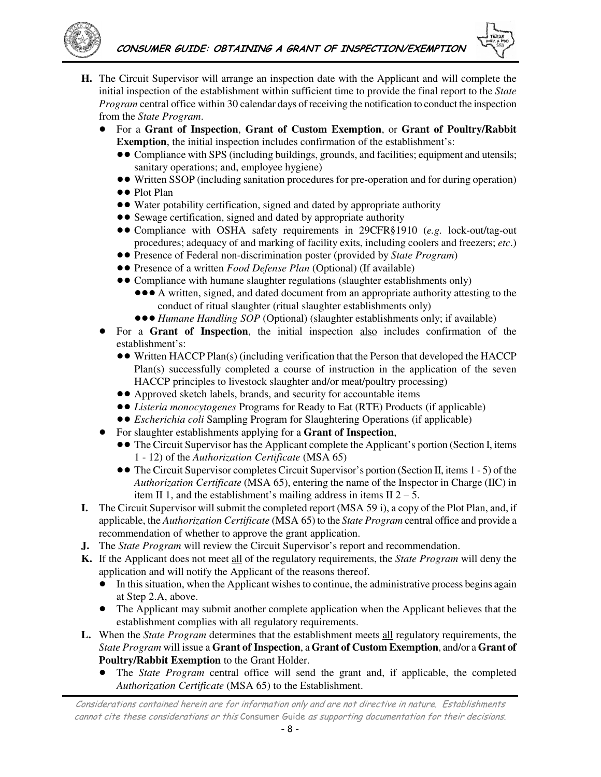

- **H.** The Circuit Supervisor will arrange an inspection date with the Applicant and will complete the initial inspection of the establishment within sufficient time to provide the final report to the *State Program* central office within 30 calendar days of receiving the notification to conduct the inspection from the *State Program*.
	- ! For a **Grant of Inspection**, **Grant of Custom Exemption**, or **Grant of Poultry/Rabbit Exemption**, the initial inspection includes confirmation of the establishment's:
		- !! Compliance with SPS (including buildings, grounds, and facilities; equipment and utensils; sanitary operations; and, employee hygiene)
		- !! Written SSOP (including sanitation procedures for pre-operation and for during operation)
		- Plot Plan
		- Water potability certification, signed and dated by appropriate authority
		- Sewage certification, signed and dated by appropriate authority
		- ●● Compliance with OSHA safety requirements in 29CFR§1910 (*e.g.* lock-out/tag-out procedures; adequacy of and marking of facility exits, including coolers and freezers; *etc*.)
		- !! Presence of Federal non-discrimination poster (provided by *State Program*)
		- Presence of a written *Food Defense Plan* (Optional) (If available)
		- Compliance with humane slaughter regulations (slaughter establishments only)
			- **.**  $\bullet \bullet A$  written, signed, and dated document from an appropriate authority attesting to the conduct of ritual slaughter (ritual slaughter establishments only)
			- **•••** *Humane Handling SOP* (Optional) (slaughter establishments only; if available)
	- ! For a **Grant of Inspection**, the initial inspection also includes confirmation of the establishment's:
		- Written HACCP Plan(s) (including verification that the Person that developed the HACCP Plan(s) successfully completed a course of instruction in the application of the seven HACCP principles to livestock slaughter and/or meat/poultry processing)
		- Approved sketch labels, brands, and security for accountable items
		- !! *Listeria monocytogenes* Programs for Ready to Eat (RTE) Products (if applicable)
		- !! *Escherichia coli* Sampling Program for Slaughtering Operations (if applicable)
		- ! For slaughter establishments applying for a **Grant of Inspection**,
			- The Circuit Supervisor has the Applicant complete the Applicant's portion (Section I, items 1 - 12) of the *Authorization Certificate* (MSA 65)
			- The Circuit Supervisor completes Circuit Supervisor's portion (Section II, items 1 5) of the *Authorization Certificate* (MSA 65), entering the name of the Inspector in Charge (IIC) in item II 1, and the establishment's mailing address in items II  $2 - 5$ .
- **I.** The Circuit Supervisor will submit the completed report (MSA 59 i), a copy of the Plot Plan, and, if applicable, the *Authorization Certificate* (MSA 65) to the *State Program* central office and provide a recommendation of whether to approve the grant application.
- **J.** The *State Program* will review the Circuit Supervisor's report and recommendation.
- **K.** If the Applicant does not meet all of the regulatory requirements, the *State Program* will deny the application and will notify the Applicant of the reasons thereof.
	- In this situation, when the Applicant wishes to continue, the administrative process begins again at Step 2.A, above.
	- ! The Applicant may submit another complete application when the Applicant believes that the establishment complies with all regulatory requirements.
- **L.** When the *State Program* determines that the establishment meets all regulatory requirements, the *State Program* will issue a **Grant of Inspection**, a **Grant of Custom Exemption**, and/or a **Grant of Poultry/Rabbit Exemption** to the Grant Holder.
	- ! The *State Program* central office will send the grant and, if applicable, the completed *Authorization Certificate* (MSA 65) to the Establishment.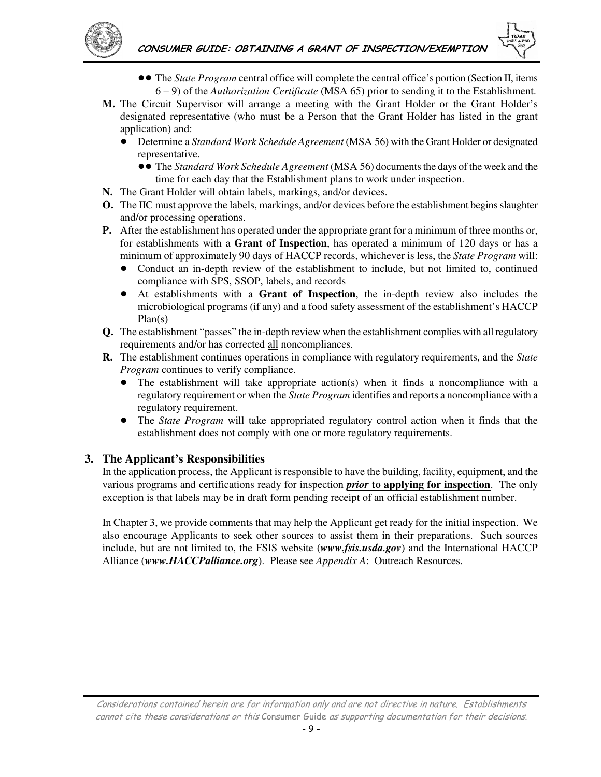



- • The *State Program* central office will complete the central office's portion (Section II, items 6 – 9) of the *Authorization Certificate* (MSA 65) prior to sending it to the Establishment.
- **M.** The Circuit Supervisor will arrange a meeting with the Grant Holder or the Grant Holder's designated representative (who must be a Person that the Grant Holder has listed in the grant application) and:
	- ! Determine a *Standard Work Schedule Agreement* (MSA 56) with the Grant Holder or designated representative.
		- !! The *Standard Work Schedule Agreement* (MSA 56) documents the days of the week and the time for each day that the Establishment plans to work under inspection.
- **N.** The Grant Holder will obtain labels, markings, and/or devices.
- **O.** The IIC must approve the labels, markings, and/or devices before the establishment begins slaughter and/or processing operations.
- **P.** After the establishment has operated under the appropriate grant for a minimum of three months or, for establishments with a **Grant of Inspection**, has operated a minimum of 120 days or has a minimum of approximately 90 days of HACCP records, whichever is less, the *State Program* will:
	- ! Conduct an in-depth review of the establishment to include, but not limited to, continued compliance with SPS, SSOP, labels, and records
	- ! At establishments with a **Grant of Inspection**, the in-depth review also includes the microbiological programs (if any) and a food safety assessment of the establishment's HACCP Plan(s)
- **Q.** The establishment "passes" the in-depth review when the establishment complies with all regulatory requirements and/or has corrected all noncompliances.
- **R.** The establishment continues operations in compliance with regulatory requirements, and the *State Program* continues to verify compliance.
	- $\bullet$  The establishment will take appropriate action(s) when it finds a noncompliance with a regulatory requirement or when the *State Program* identifies and reports a noncompliance with a regulatory requirement.
	- ! The *State Program* will take appropriated regulatory control action when it finds that the establishment does not comply with one or more regulatory requirements.

### **3. The Applicant's Responsibilities**

In the application process, the Applicant is responsible to have the building, facility, equipment, and the various programs and certifications ready for inspection *prior* **to applying for inspection**. The only exception is that labels may be in draft form pending receipt of an official establishment number.

In Chapter 3, we provide comments that may help the Applicant get ready for the initial inspection. We also encourage Applicants to seek other sources to assist them in their preparations. Such sources include, but are not limited to, the FSIS website (*www.fsis.usda.gov*) and the International HACCP Alliance (*www.HACCPalliance.org*). Please see *Appendix A*: Outreach Resources.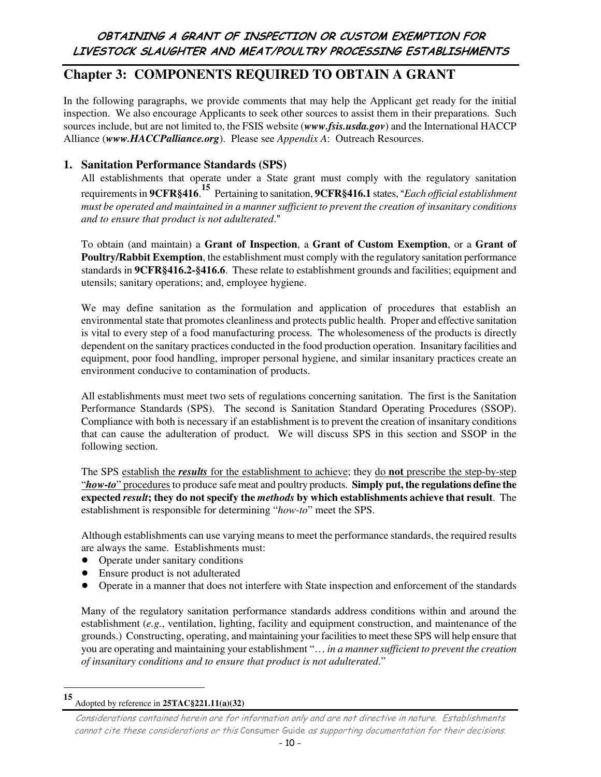## OBTAINING A GRANT OF INSPECTION OR CUSTOM EXEMPTION FOR LIVESTOCK SLAUGHTER AND MEAT/POULTRY PROCESSING ESTABLISHMENTS

## **Chapter 3: COMPONENTS REQUIRED TO OBTAIN A GRANT**

In the following paragraphs, we provide comments that may help the Applicant get ready for the initial inspection. We also encourage Applicants to seek other sources to assist them in their preparations. Such sources include, but are not limited to, the FSIS website (*www.fsis.usda.gov*) and the International HACCP Alliance (*www.HACCPalliance.org*). Please see *Appendix A*: Outreach Resources.

### **1. Sanitation Performance Standards (SPS)**

All establishments that operate under a State grant must comply with the regulatory sanitation requirements in **9CFR§416.**<sup>15</sup> Pertaining to sanitation, **9CFR§416.1** states, "Each official establishment *must be operated and maintained in a manner sufficient to prevent the creation of insanitary conditions and to ensure that product is not adulterated.*"

To obtain (and maintain) a **Grant of Inspection**, a **Grant of Custom Exemption**, or a **Grant of Poultry/Rabbit Exemption**, the establishment must comply with the regulatory sanitation performance standards in **9CFR§416.2-§416.6**. These relate to establishment grounds and facilities; equipment and utensils; sanitary operations; and, employee hygiene.

We may define sanitation as the formulation and application of procedures that establish an environmental state that promotes cleanliness and protects public health. Proper and effective sanitation is vital to every step of a food manufacturing process. The wholesomeness of the products is directly dependent on the sanitary practices conducted in the food production operation. Insanitary facilities and equipment, poor food handling, improper personal hygiene, and similar insanitary practices create an environment conducive to contamination of products.

All establishments must meet two sets of regulations concerning sanitation. The first is the Sanitation Performance Standards (SPS). The second is Sanitation Standard Operating Procedures (SSOP). Compliance with both is necessary if an establishment is to prevent the creation of insanitary conditions that can cause the adulteration of product. We will discuss SPS in this section and SSOP in the following section.

The SPS establish the *results* for the establishment to achieve; they do **not** prescribe the step-by-step "*how-to*" procedures to produce safe meat and poultry products. **Simply put, the regulations define the expected** *result***; they do not specify the** *methods* **by which establishments achieve that result**. The establishment is responsible for determining "*how-to*" meet the SPS.

Although establishments can use varying means to meet the performance standards, the required results are always the same. Establishments must:

- Operate under sanitary conditions
- ! Ensure product is not adulterated
- ! Operate in a manner that does not interfere with State inspection and enforcement of the standards

Many of the regulatory sanitation performance standards address conditions within and around the establishment (*e.g.*, ventilation, lighting, facility and equipment construction, and maintenance of the grounds.) Constructing, operating, and maintaining your facilities to meet these SPS will help ensure that you are operating and maintaining your establishment "… *in a manner sufficient to prevent the creation of insanitary conditions and to ensure that product is not adulterated*."

 $\overline{a}$ 

**<sup>15</sup>** Adopted by reference in **25TAC§221.11(a)(32)** 

Considerations contained herein are for information only and are not directive in nature. Establishments cannot cite these considerations or this Consumer Guide as supporting documentation for their decisions.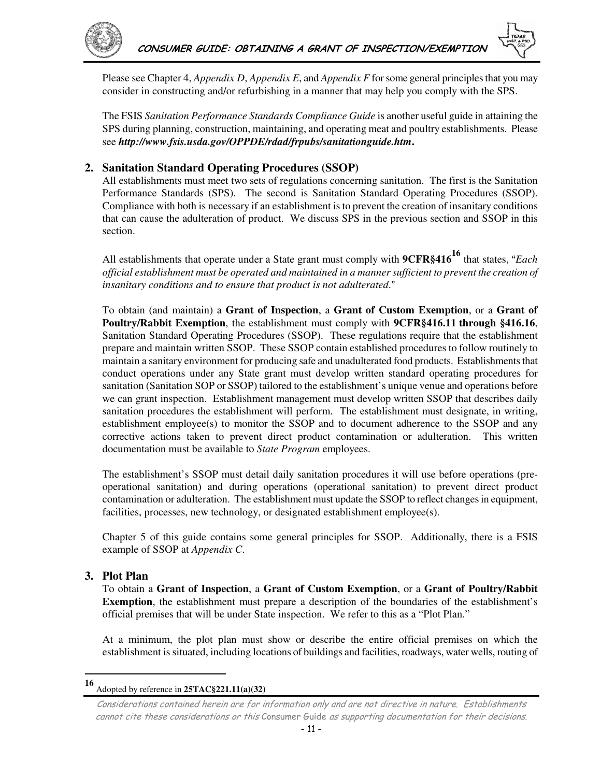

Please see Chapter 4, *Appendix D*, *Appendix E*, and *Appendix F* for some general principles that you may consider in constructing and/or refurbishing in a manner that may help you comply with the SPS.

The FSIS *Sanitation Performance Standards Compliance Guide* is another useful guide in attaining the SPS during planning, construction, maintaining, and operating meat and poultry establishments. Please see *http://www.fsis.usda.gov/OPPDE/rdad/frpubs/sanitationguide.htm***.**

### **2. Sanitation Standard Operating Procedures (SSOP)**

All establishments must meet two sets of regulations concerning sanitation. The first is the Sanitation Performance Standards (SPS). The second is Sanitation Standard Operating Procedures (SSOP). Compliance with both is necessary if an establishment is to prevent the creation of insanitary conditions that can cause the adulteration of product. We discuss SPS in the previous section and SSOP in this section.

All establishments that operate under a State grant must comply with **9CFR§416<sup>16</sup>** that states, "Each *official establishment must be operated and maintained in a manner sufficient to prevent the creation of insanitary conditions and to ensure that product is not adulterated.*"

To obtain (and maintain) a **Grant of Inspection**, a **Grant of Custom Exemption**, or a **Grant of Poultry/Rabbit Exemption**, the establishment must comply with **9CFR§416.11 through §416.16**, Sanitation Standard Operating Procedures (SSOP). These regulations require that the establishment prepare and maintain written SSOP. These SSOP contain established procedures to follow routinely to maintain a sanitary environment for producing safe and unadulterated food products. Establishments that conduct operations under any State grant must develop written standard operating procedures for sanitation (Sanitation SOP or SSOP) tailored to the establishment's unique venue and operations before we can grant inspection. Establishment management must develop written SSOP that describes daily sanitation procedures the establishment will perform. The establishment must designate, in writing, establishment employee(s) to monitor the SSOP and to document adherence to the SSOP and any corrective actions taken to prevent direct product contamination or adulteration. This written documentation must be available to *State Program* employees.

The establishment's SSOP must detail daily sanitation procedures it will use before operations (preoperational sanitation) and during operations (operational sanitation) to prevent direct product contamination or adulteration. The establishment must update the SSOP to reflect changes in equipment, facilities, processes, new technology, or designated establishment employee(s).

Chapter 5 of this guide contains some general principles for SSOP. Additionally, there is a FSIS example of SSOP at *Appendix C*.

#### **3. Plot Plan**

 $\overline{a}$ 

To obtain a **Grant of Inspection**, a **Grant of Custom Exemption**, or a **Grant of Poultry/Rabbit Exemption**, the establishment must prepare a description of the boundaries of the establishment's official premises that will be under State inspection. We refer to this as a "Plot Plan."

At a minimum, the plot plan must show or describe the entire official premises on which the establishment is situated, including locations of buildings and facilities, roadways, water wells, routing of

**<sup>16</sup>** Adopted by reference in **25TAC§221.11(a)(32)** 

Considerations contained herein are for information only and are not directive in nature. Establishments cannot cite these considerations or this Consumer Guide as supporting documentation for their decisions.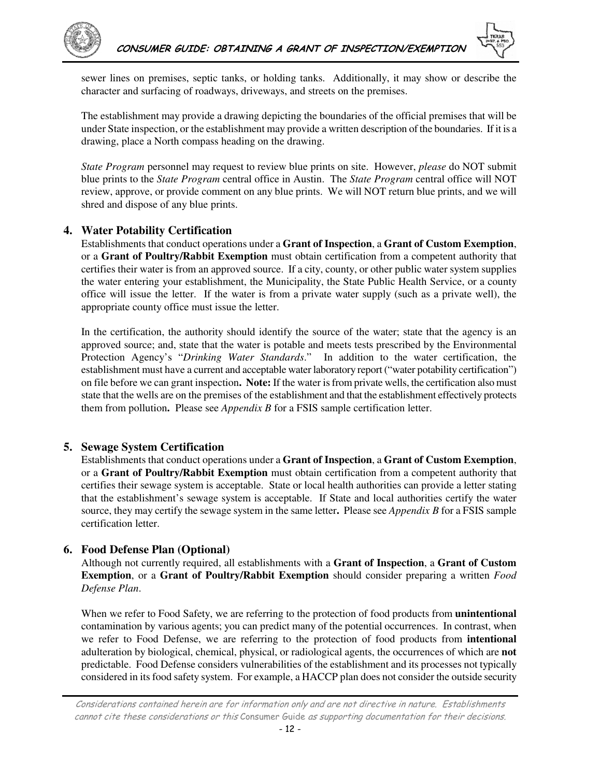



sewer lines on premises, septic tanks, or holding tanks. Additionally, it may show or describe the character and surfacing of roadways, driveways, and streets on the premises.

The establishment may provide a drawing depicting the boundaries of the official premises that will be under State inspection, or the establishment may provide a written description of the boundaries. If it is a drawing, place a North compass heading on the drawing.

*State Program* personnel may request to review blue prints on site. However, *please* do NOT submit blue prints to the *State Program* central office in Austin. The *State Program* central office will NOT review, approve, or provide comment on any blue prints. We will NOT return blue prints, and we will shred and dispose of any blue prints.

#### **4. Water Potability Certification**

Establishments that conduct operations under a **Grant of Inspection**, a **Grant of Custom Exemption**, or a **Grant of Poultry/Rabbit Exemption** must obtain certification from a competent authority that certifies their water is from an approved source. If a city, county, or other public water system supplies the water entering your establishment, the Municipality, the State Public Health Service, or a county office will issue the letter. If the water is from a private water supply (such as a private well), the appropriate county office must issue the letter.

In the certification, the authority should identify the source of the water; state that the agency is an approved source; and, state that the water is potable and meets tests prescribed by the Environmental Protection Agency's "*Drinking Water Standards*." In addition to the water certification, the establishment must have a current and acceptable water laboratory report ("water potability certification") on file before we can grant inspection**. Note:** If the water is from private wells, the certification also must state that the wells are on the premises of the establishment and that the establishment effectively protects them from pollution**.** Please see *Appendix B* for a FSIS sample certification letter.

#### **5. Sewage System Certification**

Establishments that conduct operations under a **Grant of Inspection**, a **Grant of Custom Exemption**, or a **Grant of Poultry/Rabbit Exemption** must obtain certification from a competent authority that certifies their sewage system is acceptable. State or local health authorities can provide a letter stating that the establishment's sewage system is acceptable. If State and local authorities certify the water source, they may certify the sewage system in the same letter**.** Please see *Appendix B* for a FSIS sample certification letter.

#### **6. Food Defense Plan (Optional)**

Although not currently required, all establishments with a **Grant of Inspection**, a **Grant of Custom Exemption**, or a **Grant of Poultry/Rabbit Exemption** should consider preparing a written *Food Defense Plan*.

When we refer to Food Safety, we are referring to the protection of food products from **unintentional** contamination by various agents; you can predict many of the potential occurrences. In contrast, when we refer to Food Defense, we are referring to the protection of food products from **intentional** adulteration by biological, chemical, physical, or radiological agents, the occurrences of which are **not** predictable. Food Defense considers vulnerabilities of the establishment and its processes not typically considered in its food safety system. For example, a HACCP plan does not consider the outside security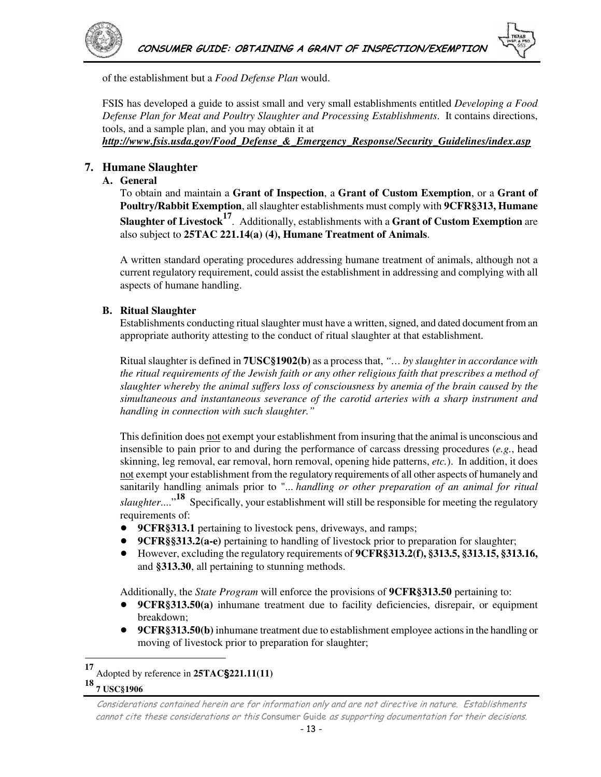

of the establishment but a *Food Defense Plan* would.

FSIS has developed a guide to assist small and very small establishments entitled *Developing a Food Defense Plan for Meat and Poultry Slaughter and Processing Establishments*. It contains directions, tools, and a sample plan, and you may obtain it at *http://www.fsis.usda.gov/Food\_Defense\_&\_Emergency\_Response/Security\_Guidelines/index.asp*

### **7. Humane Slaughter**

#### **A. General**

To obtain and maintain a **Grant of Inspection**, a **Grant of Custom Exemption**, or a **Grant of Poultry/Rabbit Exemption**, all slaughter establishments must comply with **9CFR§313, Humane Slaughter of Livestock17**. Additionally, establishments with a **Grant of Custom Exemption** are also subject to **25TAC 221.14(a) (4), Humane Treatment of Animals**.

A written standard operating procedures addressing humane treatment of animals, although not a current regulatory requirement, could assist the establishment in addressing and complying with all aspects of humane handling.

#### **B. Ritual Slaughter**

Establishments conducting ritual slaughter must have a written, signed, and dated document from an appropriate authority attesting to the conduct of ritual slaughter at that establishment.

Ritual slaughter is defined in **7USC§1902(b)** as a process that, *"… by slaughter in accordance with the ritual requirements of the Jewish faith or any other religious faith that prescribes a method of slaughter whereby the animal suffers loss of consciousness by anemia of the brain caused by the simultaneous and instantaneous severance of the carotid arteries with a sharp instrument and handling in connection with such slaughter."*

This definition does not exempt your establishment from insuring that the animal is unconscious and insensible to pain prior to and during the performance of carcass dressing procedures (*e.g.*, head skinning, leg removal, ear removal, horn removal, opening hide patterns, *etc.*). In addition, it does not exempt your establishment from the regulatory requirements of all other aspects of humanely and sanitarily handling animals prior to "... *handling or other preparation of an animal for ritual slaughter*...."**18** Specifically, your establishment will still be responsible for meeting the regulatory requirements of:

- ! **9CFR§313.1** pertaining to livestock pens, driveways, and ramps;
- ! **9CFR§§313.2(a-e)** pertaining to handling of livestock prior to preparation for slaughter;
- ! However, excluding the regulatory requirements of **9CFR§313.2(f), §313.5, §313.15, §313.16,** and **§313.30**, all pertaining to stunning methods.

Additionally, the *State Program* will enforce the provisions of **9CFR§313.50** pertaining to:

- **• 9CFR§313.50(a)** inhumane treatment due to facility deficiencies, disrepair, or equipment breakdown;
- **9CFR§313.50(b)** inhumane treatment due to establishment employee actions in the handling or moving of livestock prior to preparation for slaughter;

**<sup>17</sup>** Adopted by reference in **25TAC§221.11(11)**

#### **18 7 USC§1906**

 $\overline{a}$ 

Considerations contained herein are for information only and are not directive in nature. Establishments cannot cite these considerations or this Consumer Guide as supporting documentation for their decisions.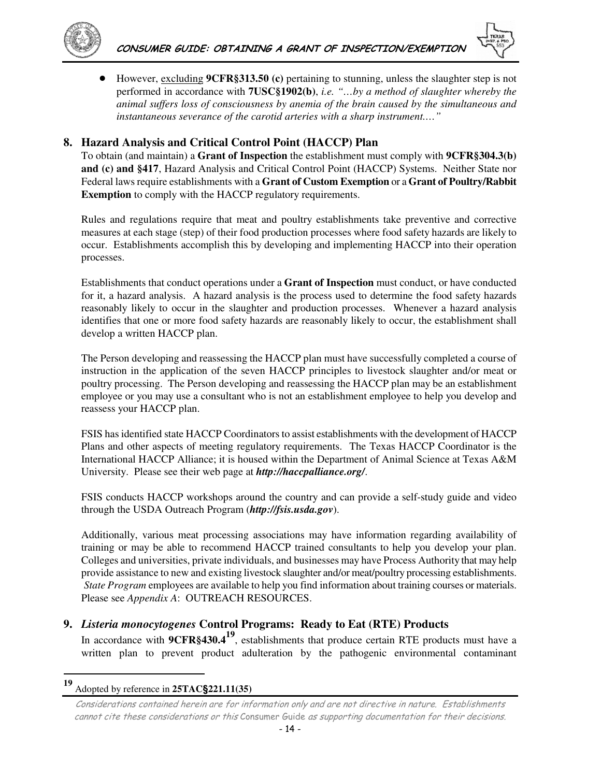



! However, excluding **9CFR§313.50 (c)** pertaining to stunning, unless the slaughter step is not performed in accordance with **7USC§1902(b)**, *i.e. "…by a method of slaughter whereby the animal suffers loss of consciousness by anemia of the brain caused by the simultaneous and instantaneous severance of the carotid arteries with a sharp instrument.…"*

### **8. Hazard Analysis and Critical Control Point (HACCP) Plan**

To obtain (and maintain) a **Grant of Inspection** the establishment must comply with **9CFR§304.3(b) and (c) and §417**, Hazard Analysis and Critical Control Point (HACCP) Systems. Neither State nor Federal laws require establishments with a **Grant of Custom Exemption** or a **Grant of Poultry/Rabbit Exemption** to comply with the HACCP regulatory requirements.

Rules and regulations require that meat and poultry establishments take preventive and corrective measures at each stage (step) of their food production processes where food safety hazards are likely to occur. Establishments accomplish this by developing and implementing HACCP into their operation processes.

Establishments that conduct operations under a **Grant of Inspection** must conduct, or have conducted for it, a hazard analysis. A hazard analysis is the process used to determine the food safety hazards reasonably likely to occur in the slaughter and production processes. Whenever a hazard analysis identifies that one or more food safety hazards are reasonably likely to occur, the establishment shall develop a written HACCP plan.

The Person developing and reassessing the HACCP plan must have successfully completed a course of instruction in the application of the seven HACCP principles to livestock slaughter and/or meat or poultry processing. The Person developing and reassessing the HACCP plan may be an establishment employee or you may use a consultant who is not an establishment employee to help you develop and reassess your HACCP plan.

FSIS has identified state HACCP Coordinators to assist establishments with the development of HACCP Plans and other aspects of meeting regulatory requirements. The Texas HACCP Coordinator is the International HACCP Alliance; it is housed within the Department of Animal Science at Texas A&M University. Please see their web page at *http://haccpalliance.org/*.

FSIS conducts HACCP workshops around the country and can provide a self-study guide and video through the USDA Outreach Program (*http://fsis.usda.gov*).

Additionally, various meat processing associations may have information regarding availability of training or may be able to recommend HACCP trained consultants to help you develop your plan. Colleges and universities, private individuals, and businesses may have Process Authority that may help provide assistance to new and existing livestock slaughter and/or meat/poultry processing establishments. *State Program* employees are available to help you find information about training courses or materials. Please see *Appendix A*: OUTREACH RESOURCES.

### **9.** *Listeria monocytogenes* **Control Programs: Ready to Eat (RTE) Products**

In accordance with **9CFR§430.419**, establishments that produce certain RTE products must have a written plan to prevent product adulteration by the pathogenic environmental contaminant

 $\overline{a}$ 

**<sup>19</sup>** Adopted by reference in **25TAC§221.11(35)**

Considerations contained herein are for information only and are not directive in nature. Establishments cannot cite these considerations or this Consumer Guide as supporting documentation for their decisions.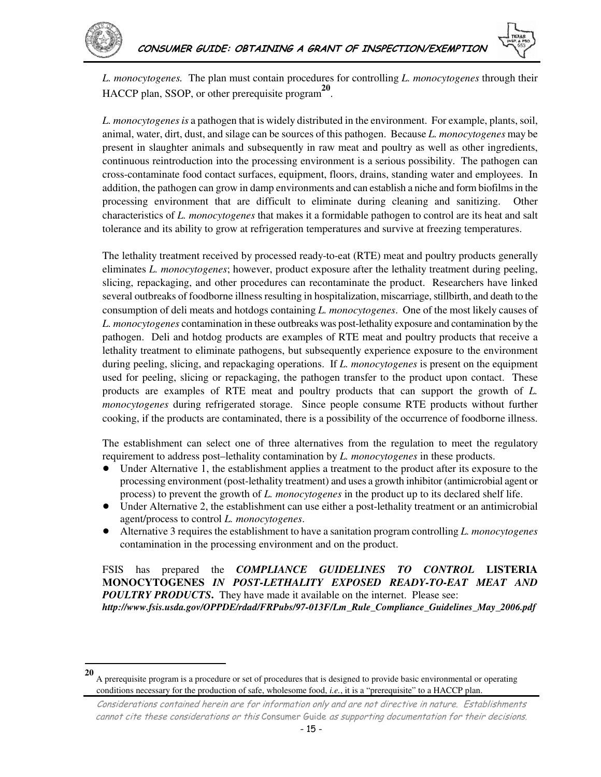$\overline{a}$ 

*L. monocytogenes.* The plan must contain procedures for controlling *L. monocytogenes* through their HACCP plan, SSOP, or other prerequisite program**<sup>20</sup>** .

*L. monocytogenes is* a pathogen that is widely distributed in the environment. For example, plants, soil, animal, water, dirt, dust, and silage can be sources of this pathogen. Because *L. monocytogenes* may be present in slaughter animals and subsequently in raw meat and poultry as well as other ingredients, continuous reintroduction into the processing environment is a serious possibility. The pathogen can cross-contaminate food contact surfaces, equipment, floors, drains, standing water and employees. In addition, the pathogen can grow in damp environments and can establish a niche and form biofilms in the processing environment that are difficult to eliminate during cleaning and sanitizing. Other characteristics of *L. monocytogenes* that makes it a formidable pathogen to control are its heat and salt tolerance and its ability to grow at refrigeration temperatures and survive at freezing temperatures.

The lethality treatment received by processed ready-to-eat (RTE) meat and poultry products generally eliminates *L. monocytogenes*; however, product exposure after the lethality treatment during peeling, slicing, repackaging, and other procedures can recontaminate the product. Researchers have linked several outbreaks of foodborne illness resulting in hospitalization, miscarriage, stillbirth, and death to the consumption of deli meats and hotdogs containing *L. monocytogenes*. One of the most likely causes of *L. monocytogenes* contamination in these outbreaks was post-lethality exposure and contamination by the pathogen. Deli and hotdog products are examples of RTE meat and poultry products that receive a lethality treatment to eliminate pathogens, but subsequently experience exposure to the environment during peeling, slicing, and repackaging operations. If *L. monocytogenes* is present on the equipment used for peeling, slicing or repackaging, the pathogen transfer to the product upon contact. These products are examples of RTE meat and poultry products that can support the growth of *L. monocytogenes* during refrigerated storage. Since people consume RTE products without further cooking, if the products are contaminated, there is a possibility of the occurrence of foodborne illness.

The establishment can select one of three alternatives from the regulation to meet the regulatory requirement to address post–lethality contamination by *L. monocytogenes* in these products.

- ! Under Alternative 1, the establishment applies a treatment to the product after its exposure to the processing environment (post-lethality treatment) and uses a growth inhibitor (antimicrobial agent or process) to prevent the growth of *L. monocytogenes* in the product up to its declared shelf life.
- Under Alternative 2, the establishment can use either a post-lethality treatment or an antimicrobial agent/process to control *L. monocytogenes*.
- ! Alternative 3 requires the establishment to have a sanitation program controlling *L. monocytogenes*  contamination in the processing environment and on the product.

FSIS has prepared the *COMPLIANCE GUIDELINES TO CONTROL* **LISTERIA MONOCYTOGENES** *IN POST-LETHALITY EXPOSED READY-TO-EAT MEAT AND POULTRY PRODUCTS*. They have made it available on the internet. Please see: *http://www.fsis.usda.gov/OPPDE/rdad/FRPubs/97-013F/Lm\_Rule\_Compliance\_Guidelines\_May\_2006.pdf* 

**<sup>20</sup>** A prerequisite program is a procedure or set of procedures that is designed to provide basic environmental or operating conditions necessary for the production of safe, wholesome food, *i.e.*, it is a "prerequisite" to a HACCP plan.

Considerations contained herein are for information only and are not directive in nature. Establishments cannot cite these considerations or this Consumer Guide as supporting documentation for their decisions.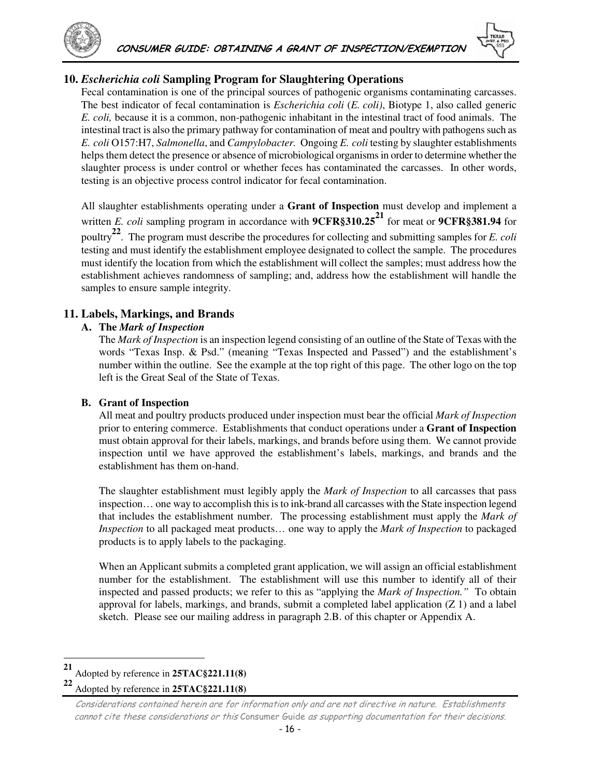

### **10.** *Escherichia coli* **Sampling Program for Slaughtering Operations**

Fecal contamination is one of the principal sources of pathogenic organisms contaminating carcasses. The best indicator of fecal contamination is *Escherichia coli* (*E. coli)*, Biotype 1, also called generic *E. coli,* because it is a common, non-pathogenic inhabitant in the intestinal tract of food animals. The intestinal tract is also the primary pathway for contamination of meat and poultry with pathogens such as *E. coli* O157:H7, *Salmonella*, and *Campylobacter.* Ongoing *E. coli* testing by slaughter establishments helps them detect the presence or absence of microbiological organisms in order to determine whether the slaughter process is under control or whether feces has contaminated the carcasses. In other words, testing is an objective process control indicator for fecal contamination.

All slaughter establishments operating under a **Grant of Inspection** must develop and implement a written *E. coli* sampling program in accordance with **9CFR§310.2521** for meat or **9CFR§381.94** for poultry**22**. The program must describe the procedures for collecting and submitting samples for *E. coli*  testing and must identify the establishment employee designated to collect the sample. The procedures must identify the location from which the establishment will collect the samples; must address how the establishment achieves randomness of sampling; and, address how the establishment will handle the samples to ensure sample integrity.

### **11. Labels, Markings, and Brands**

#### **A. The** *Mark of Inspection*

The *Mark of Inspection* is an inspection legend consisting of an outline of the State of Texas with the words "Texas Insp. & Psd." (meaning "Texas Inspected and Passed") and the establishment's number within the outline. See the example at the top right of this page. The other logo on the top left is the Great Seal of the State of Texas.

#### **B. Grant of Inspection**

All meat and poultry products produced under inspection must bear the official *Mark of Inspection* prior to entering commerce. Establishments that conduct operations under a **Grant of Inspection** must obtain approval for their labels, markings, and brands before using them. We cannot provide inspection until we have approved the establishment's labels, markings, and brands and the establishment has them on-hand.

The slaughter establishment must legibly apply the *Mark of Inspection* to all carcasses that pass inspection… one way to accomplish this is to ink-brand all carcasses with the State inspection legend that includes the establishment number. The processing establishment must apply the *Mark of Inspection* to all packaged meat products… one way to apply the *Mark of Inspection* to packaged products is to apply labels to the packaging.

When an Applicant submits a completed grant application, we will assign an official establishment number for the establishment. The establishment will use this number to identify all of their inspected and passed products; we refer to this as "applying the *Mark of Inspection."* To obtain approval for labels, markings, and brands, submit a completed label application  $(Z 1)$  and a label sketch. Please see our mailing address in paragraph 2.B. of this chapter or Appendix A.

 $\overline{a}$ 

**<sup>22</sup>** Adopted by reference in **25TAC§221.11(8)**

**<sup>21</sup>** Adopted by reference in **25TAC§221.11(8)**

Considerations contained herein are for information only and are not directive in nature. Establishments cannot cite these considerations or this Consumer Guide as supporting documentation for their decisions.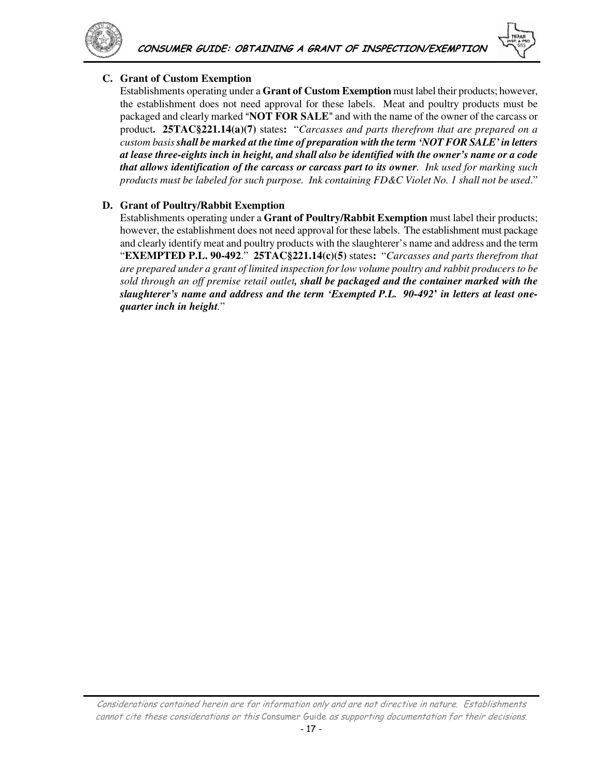

### **C. Grant of Custom Exemption**

Establishments operating under a **Grant of Custom Exemption** must label their products; however, the establishment does not need approval for these labels. Meat and poultry products must be packaged and clearly marked "**NOT FOR SALE**" and with the name of the owner of the carcass or product**. 25TAC§221.14(a)(7)** states**:** "*Carcasses and parts therefrom that are prepared on a custom basis shall be marked at the time of preparation with the term 'NOT FOR SALE' in letters at lease three-eights inch in height, and shall also be identified with the owner's name or a code that allows identification of the carcass or carcass part to its owner. Ink used for marking such products must be labeled for such purpose. Ink containing FD&C Violet No. 1 shall not be used*."

### **D. Grant of Poultry/Rabbit Exemption**

Establishments operating under a **Grant of Poultry/Rabbit Exemption** must label their products; however, the establishment does not need approval for these labels. The establishment must package and clearly identify meat and poultry products with the slaughterer's name and address and the term "**EXEMPTED P.L. 90-492**." **25TAC§221.14(c)(5)** states**:** "*Carcasses and parts therefrom that are prepared under a grant of limited inspection for low volume poultry and rabbit producers to be sold through an off premise retail outlet, shall be packaged and the container marked with the slaughterer's name and address and the term 'Exempted P.L. 90-492***'** *in letters at least onequarter inch in height.*"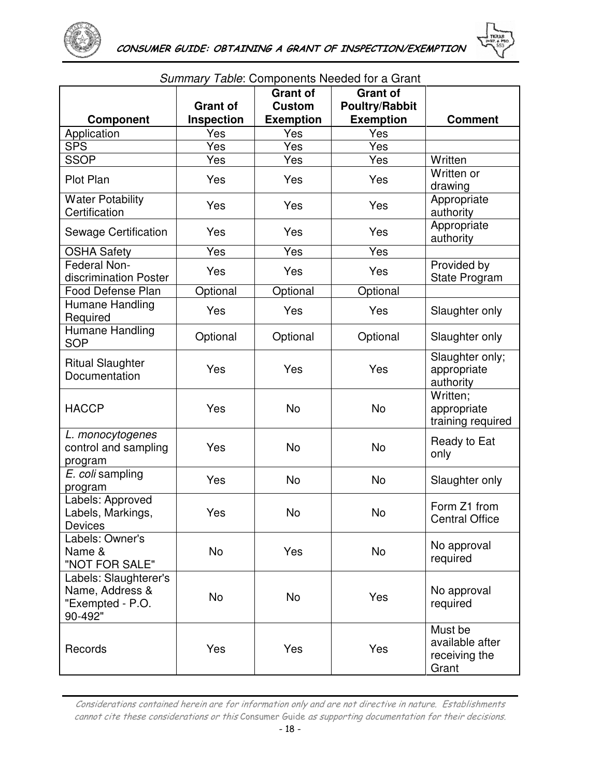



|                                                                         | <b>Grant of</b> | <b>Grant of</b><br><b>Custom</b> | <b>Grant of</b><br><b>Poultry/Rabbit</b> |                                                      |
|-------------------------------------------------------------------------|-----------------|----------------------------------|------------------------------------------|------------------------------------------------------|
| Component                                                               | Inspection      | <b>Exemption</b>                 | <b>Exemption</b>                         | <b>Comment</b>                                       |
| Application                                                             | Yes             | Yes                              | Yes                                      |                                                      |
| <b>SPS</b>                                                              | Yes             | Yes                              | Yes                                      |                                                      |
| <b>SSOP</b>                                                             | Yes             | Yes                              | Yes                                      | Written                                              |
| Plot Plan                                                               | Yes             | Yes                              | Yes                                      | Written or<br>drawing                                |
| <b>Water Potability</b><br>Certification                                | Yes             | Yes                              | Yes                                      | Appropriate<br>authority                             |
| Sewage Certification                                                    | Yes             | Yes                              | Yes                                      | Appropriate<br>authority                             |
| <b>OSHA Safety</b>                                                      | Yes             | Yes                              | Yes                                      |                                                      |
| Federal Non-<br>discrimination Poster                                   | Yes             | Yes                              | Yes                                      | Provided by<br>State Program                         |
| Food Defense Plan                                                       | Optional        | Optional                         | Optional                                 |                                                      |
| Humane Handling<br>Required                                             | Yes             | Yes                              | Yes                                      | Slaughter only                                       |
| Humane Handling<br><b>SOP</b>                                           | Optional        | Optional                         | Optional                                 | Slaughter only                                       |
| <b>Ritual Slaughter</b><br>Documentation                                | Yes             | Yes                              | Yes                                      | Slaughter only;<br>appropriate<br>authority          |
| <b>HACCP</b>                                                            | Yes             | <b>No</b>                        | No                                       | Written;<br>appropriate<br>training required         |
| L. monocytogenes<br>control and sampling<br>program                     | Yes             | <b>No</b>                        | <b>No</b>                                | Ready to Eat<br>only                                 |
| E. coli sampling<br>program                                             | Yes             | <b>No</b>                        | <b>No</b>                                | Slaughter only                                       |
| Labels: Approved<br>Labels, Markings,<br>Devices                        | Yes             | <b>No</b>                        | <b>No</b>                                | Form Z1 from<br><b>Central Office</b>                |
| Labels: Owner's<br>Name &<br>"NOT FOR SALE"                             | No              | Yes                              | <b>No</b>                                | No approval<br>required                              |
| Labels: Slaughterer's<br>Name, Address &<br>"Exempted - P.O.<br>90-492" | <b>No</b>       | <b>No</b>                        | Yes                                      | No approval<br>required                              |
| Records                                                                 | Yes             | Yes                              | Yes                                      | Must be<br>available after<br>receiving the<br>Grant |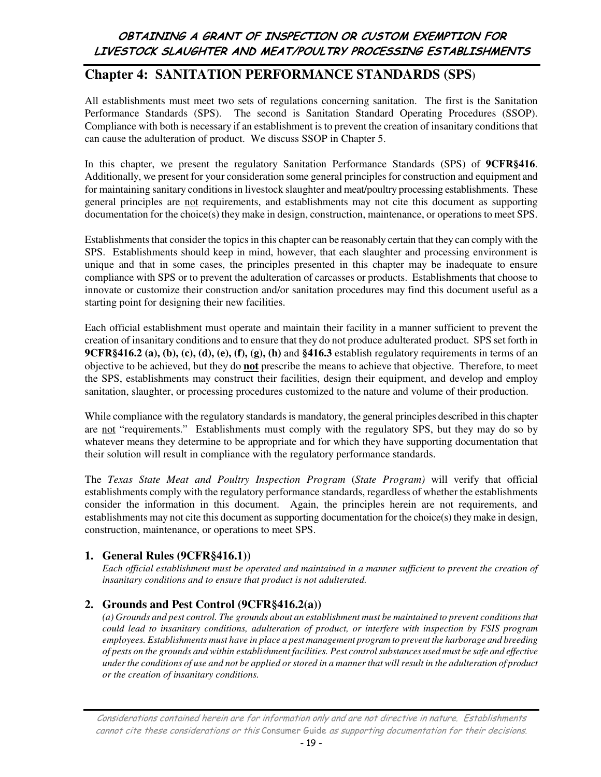## OBTAINING A GRANT OF INSPECTION OR CUSTOM EXEMPTION FOR LIVESTOCK SLAUGHTER AND MEAT/POULTRY PROCESSING ESTABLISHMENTS

## **Chapter 4: SANITATION PERFORMANCE STANDARDS (SPS)**

All establishments must meet two sets of regulations concerning sanitation. The first is the Sanitation Performance Standards (SPS). The second is Sanitation Standard Operating Procedures (SSOP). Compliance with both is necessary if an establishment is to prevent the creation of insanitary conditions that can cause the adulteration of product. We discuss SSOP in Chapter 5.

In this chapter, we present the regulatory Sanitation Performance Standards (SPS) of **9CFR§416**. Additionally, we present for your consideration some general principles for construction and equipment and for maintaining sanitary conditions in livestock slaughter and meat/poultry processing establishments. These general principles are not requirements, and establishments may not cite this document as supporting documentation for the choice(s) they make in design, construction, maintenance, or operations to meet SPS.

Establishments that consider the topics in this chapter can be reasonably certain that they can comply with the SPS. Establishments should keep in mind, however, that each slaughter and processing environment is unique and that in some cases, the principles presented in this chapter may be inadequate to ensure compliance with SPS or to prevent the adulteration of carcasses or products. Establishments that choose to innovate or customize their construction and/or sanitation procedures may find this document useful as a starting point for designing their new facilities.

Each official establishment must operate and maintain their facility in a manner sufficient to prevent the creation of insanitary conditions and to ensure that they do not produce adulterated product. SPS set forth in **9CFR§416.2 (a), (b), (c), (d), (e), (f), (g), (h)** and **§416.3** establish regulatory requirements in terms of an objective to be achieved, but they do **not** prescribe the means to achieve that objective. Therefore, to meet the SPS, establishments may construct their facilities, design their equipment, and develop and employ sanitation, slaughter, or processing procedures customized to the nature and volume of their production.

While compliance with the regulatory standards is mandatory, the general principles described in this chapter are not "requirements." Establishments must comply with the regulatory SPS, but they may do so by whatever means they determine to be appropriate and for which they have supporting documentation that their solution will result in compliance with the regulatory performance standards.

The *Texas State Meat and Poultry Inspection Program* (*State Program)* will verify that official establishments comply with the regulatory performance standards, regardless of whether the establishments consider the information in this document. Again, the principles herein are not requirements, and establishments may not cite this document as supporting documentation for the choice(s) they make in design, construction, maintenance, or operations to meet SPS.

### **1. General Rules (9CFR§416.1))**

*Each official establishment must be operated and maintained in a manner sufficient to prevent the creation of insanitary conditions and to ensure that product is not adulterated.* 

### **2. Grounds and Pest Control (9CFR§416.2(a))**

*(a) Grounds and pest control. The grounds about an establishment must be maintained to prevent conditions that could lead to insanitary conditions, adulteration of product, or interfere with inspection by FSIS program employees. Establishments must have in place a pest management program to prevent the harborage and breeding of pests on the grounds and within establishment facilities. Pest control substances used must be safe and effective under the conditions of use and not be applied or stored in a manner that will result in the adulteration of product or the creation of insanitary conditions.*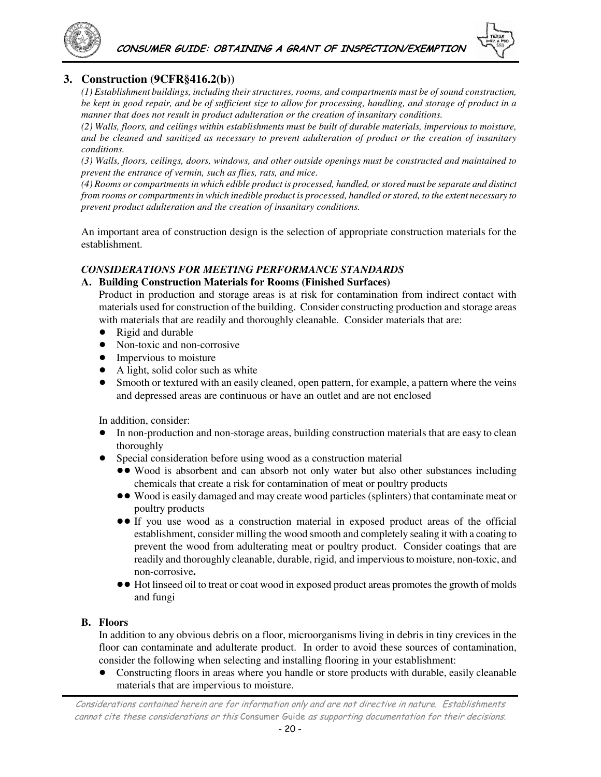

### **3. Construction (9CFR§416.2(b))**

*(1) Establishment buildings, including their structures, rooms, and compartments must be of sound construction, be kept in good repair, and be of sufficient size to allow for processing, handling, and storage of product in a manner that does not result in product adulteration or the creation of insanitary conditions.* 

*(2) Walls, floors, and ceilings within establishments must be built of durable materials, impervious to moisture, and be cleaned and sanitized as necessary to prevent adulteration of product or the creation of insanitary conditions.* 

*(3) Walls, floors, ceilings, doors, windows, and other outside openings must be constructed and maintained to prevent the entrance of vermin, such as flies, rats, and mice.* 

*(4) Rooms or compartments in which edible product is processed, handled, or stored must be separate and distinct from rooms or compartments in which inedible product is processed, handled or stored, to the extent necessary to prevent product adulteration and the creation of insanitary conditions.*

An important area of construction design is the selection of appropriate construction materials for the establishment.

#### *CONSIDERATIONS FOR MEETING PERFORMANCE STANDARDS*

#### **A. Building Construction Materials for Rooms (Finished Surfaces)**

Product in production and storage areas is at risk for contamination from indirect contact with materials used for construction of the building. Consider constructing production and storage areas with materials that are readily and thoroughly cleanable. Consider materials that are:

- Rigid and durable
- Non-toxic and non-corrosive
- Impervious to moisture
- A light, solid color such as white
- ! Smooth or textured with an easily cleaned, open pattern, for example, a pattern where the veins and depressed areas are continuous or have an outlet and are not enclosed

In addition, consider:

- ! In non-production and non-storage areas, building construction materials that are easy to clean thoroughly
- Special consideration before using wood as a construction material
	- !! Wood is absorbent and can absorb not only water but also other substances including chemicals that create a risk for contamination of meat or poultry products
	- !! Wood is easily damaged and may create wood particles (splinters) that contaminate meat or poultry products
	- !! If you use wood as a construction material in exposed product areas of the official establishment, consider milling the wood smooth and completely sealing it with a coating to prevent the wood from adulterating meat or poultry product. Consider coatings that are readily and thoroughly cleanable, durable, rigid, and impervious to moisture, non-toxic, and non-corrosive**.**
	- !! Hot linseed oil to treat or coat wood in exposed product areas promotes the growth of molds and fungi

#### **B. Floors**

In addition to any obvious debris on a floor, microorganisms living in debris in tiny crevices in the floor can contaminate and adulterate product. In order to avoid these sources of contamination, consider the following when selecting and installing flooring in your establishment:

! Constructing floors in areas where you handle or store products with durable, easily cleanable materials that are impervious to moisture.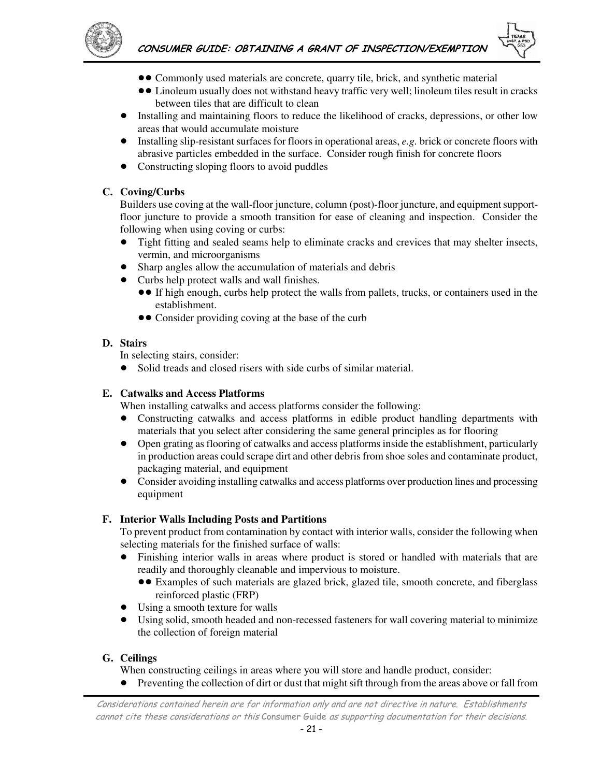

- !! Commonly used materials are concrete, quarry tile, brick, and synthetic material
- !! Linoleum usually does not withstand heavy traffic very well; linoleum tiles result in cracks between tiles that are difficult to clean
- Installing and maintaining floors to reduce the likelihood of cracks, depressions, or other low areas that would accumulate moisture
- ! Installing slip-resistant surfaces for floors in operational areas, *e.g.* brick or concrete floors with abrasive particles embedded in the surface. Consider rough finish for concrete floors
- Constructing sloping floors to avoid puddles

#### **C. Coving/Curbs**

Builders use coving at the wall-floor juncture, column (post)-floor juncture, and equipment supportfloor juncture to provide a smooth transition for ease of cleaning and inspection. Consider the following when using coving or curbs:

- ! Tight fitting and sealed seams help to eliminate cracks and crevices that may shelter insects, vermin, and microorganisms
- Sharp angles allow the accumulation of materials and debris
- Curbs help protect walls and wall finishes.
	- !! If high enough, curbs help protect the walls from pallets, trucks, or containers used in the establishment.
	- Consider providing coving at the base of the curb

#### **D. Stairs**

In selecting stairs, consider:

• Solid treads and closed risers with side curbs of similar material.

#### **E. Catwalks and Access Platforms**

When installing catwalks and access platforms consider the following:

- ! Constructing catwalks and access platforms in edible product handling departments with materials that you select after considering the same general principles as for flooring
- ! Open grating as flooring of catwalks and access platforms inside the establishment, particularly in production areas could scrape dirt and other debris from shoe soles and contaminate product, packaging material, and equipment
- Consider avoiding installing catwalks and access platforms over production lines and processing equipment

#### **F. Interior Walls Including Posts and Partitions**

To prevent product from contamination by contact with interior walls, consider the following when selecting materials for the finished surface of walls:

- ! Finishing interior walls in areas where product is stored or handled with materials that are readily and thoroughly cleanable and impervious to moisture.
	- !! Examples of such materials are glazed brick, glazed tile, smooth concrete, and fiberglass reinforced plastic (FRP)
- Using a smooth texture for walls
- ! Using solid, smooth headed and non-recessed fasteners for wall covering material to minimize the collection of foreign material

#### **G. Ceilings**

When constructing ceilings in areas where you will store and handle product, consider:

! Preventing the collection of dirt or dust that might sift through from the areas above or fall from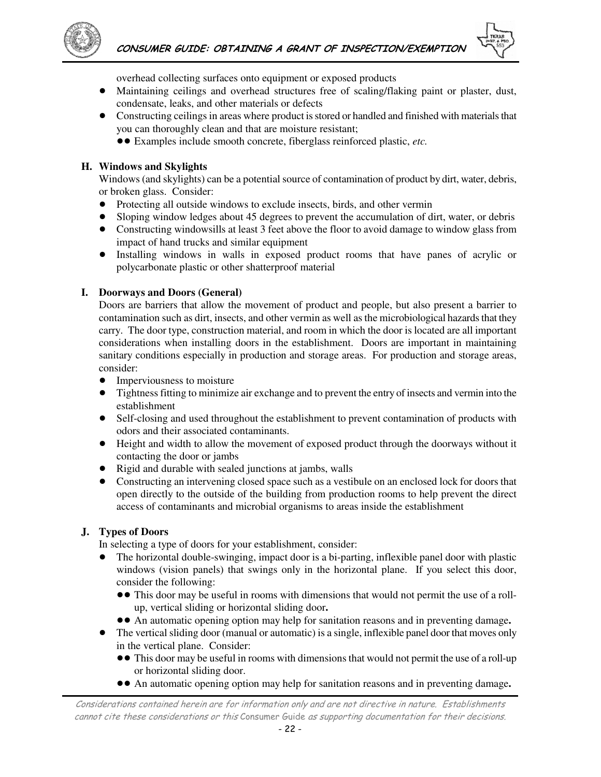

overhead collecting surfaces onto equipment or exposed products

- ! Maintaining ceilings and overhead structures free of scaling/flaking paint or plaster, dust, condensate, leaks, and other materials or defects
- Constructing ceilings in areas where product is stored or handled and finished with materials that you can thoroughly clean and that are moisture resistant;
	- !! Examples include smooth concrete, fiberglass reinforced plastic, *etc.*

#### **H. Windows and Skylights**

Windows (and skylights) can be a potential source of contamination of product by dirt, water, debris, or broken glass. Consider:

- ! Protecting all outside windows to exclude insects, birds, and other vermin
- ! Sloping window ledges about 45 degrees to prevent the accumulation of dirt, water, or debris
- Constructing windowsills at least 3 feet above the floor to avoid damage to window glass from impact of hand trucks and similar equipment
- ! Installing windows in walls in exposed product rooms that have panes of acrylic or polycarbonate plastic or other shatterproof material

#### **I. Doorways and Doors (General)**

Doors are barriers that allow the movement of product and people, but also present a barrier to contamination such as dirt, insects, and other vermin as well as the microbiological hazards that they carry. The door type, construction material, and room in which the door is located are all important considerations when installing doors in the establishment. Doors are important in maintaining sanitary conditions especially in production and storage areas. For production and storage areas, consider:

- Imperviousness to moisture
- ! Tightness fitting to minimize air exchange and to prevent the entry of insects and vermin into the establishment
- Self-closing and used throughout the establishment to prevent contamination of products with odors and their associated contaminants.
- ! Height and width to allow the movement of exposed product through the doorways without it contacting the door or jambs
- ! Rigid and durable with sealed junctions at jambs, walls
- ! Constructing an intervening closed space such as a vestibule on an enclosed lock for doors that open directly to the outside of the building from production rooms to help prevent the direct access of contaminants and microbial organisms to areas inside the establishment

#### **J. Types of Doors**

In selecting a type of doors for your establishment, consider:

- ! The horizontal double-swinging, impact door is a bi-parting, inflexible panel door with plastic windows (vision panels) that swings only in the horizontal plane. If you select this door, consider the following:
	- This door may be useful in rooms with dimensions that would not permit the use of a rollup, vertical sliding or horizontal sliding door**.**
	- !! An automatic opening option may help for sanitation reasons and in preventing damage**.**
- ! The vertical sliding door (manual or automatic) is a single, inflexible panel door that moves only in the vertical plane. Consider:
	- This door may be useful in rooms with dimensions that would not permit the use of a roll-up or horizontal sliding door.
	- !! An automatic opening option may help for sanitation reasons and in preventing damage**.**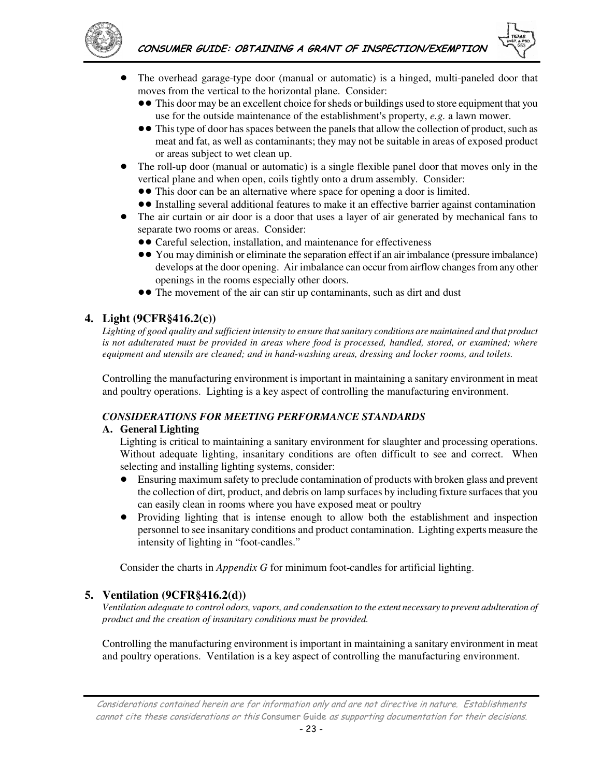



- ! The overhead garage-type door (manual or automatic) is a hinged, multi-paneled door that moves from the vertical to the horizontal plane. Consider:
	- This door may be an excellent choice for sheds or buildings used to store equipment that you use for the outside maintenance of the establishment's property, *e.g.* a lawn mower.
	- This type of door has spaces between the panels that allow the collection of product, such as meat and fat, as well as contaminants; they may not be suitable in areas of exposed product or areas subject to wet clean up.
- The roll-up door (manual or automatic) is a single flexible panel door that moves only in the vertical plane and when open, coils tightly onto a drum assembly. Consider:
	- This door can be an alternative where space for opening a door is limited.
	- !! Installing several additional features to make it an effective barrier against contamination
- The air curtain or air door is a door that uses a layer of air generated by mechanical fans to separate two rooms or areas. Consider:
	- Careful selection, installation, and maintenance for effectiveness
	- !! You may diminish or eliminate the separation effect if an air imbalance (pressure imbalance) develops at the door opening. Air imbalance can occur from airflow changes from any other openings in the rooms especially other doors.
	- The movement of the air can stir up contaminants, such as dirt and dust

### **4. Light (9CFR§416.2(c))**

Lighting of good quality and sufficient intensity to ensure that sanitary conditions are maintained and that product *is not adulterated must be provided in areas where food is processed, handled, stored, or examined; where equipment and utensils are cleaned; and in hand-washing areas, dressing and locker rooms, and toilets.*

Controlling the manufacturing environment is important in maintaining a sanitary environment in meat and poultry operations. Lighting is a key aspect of controlling the manufacturing environment.

### *CONSIDERATIONS FOR MEETING PERFORMANCE STANDARDS*

#### **A. General Lighting**

Lighting is critical to maintaining a sanitary environment for slaughter and processing operations. Without adequate lighting, insanitary conditions are often difficult to see and correct. When selecting and installing lighting systems, consider:

- ! Ensuring maximum safety to preclude contamination of products with broken glass and prevent the collection of dirt, product, and debris on lamp surfaces by including fixture surfaces that you can easily clean in rooms where you have exposed meat or poultry
- Providing lighting that is intense enough to allow both the establishment and inspection personnel to see insanitary conditions and product contamination. Lighting experts measure the intensity of lighting in "foot-candles."

Consider the charts in *Appendix G* for minimum foot-candles for artificial lighting.

#### **5. Ventilation (9CFR§416.2(d))**

*Ventilation adequate to control odors, vapors, and condensation to the extent necessary to prevent adulteration of product and the creation of insanitary conditions must be provided.* 

Controlling the manufacturing environment is important in maintaining a sanitary environment in meat and poultry operations. Ventilation is a key aspect of controlling the manufacturing environment.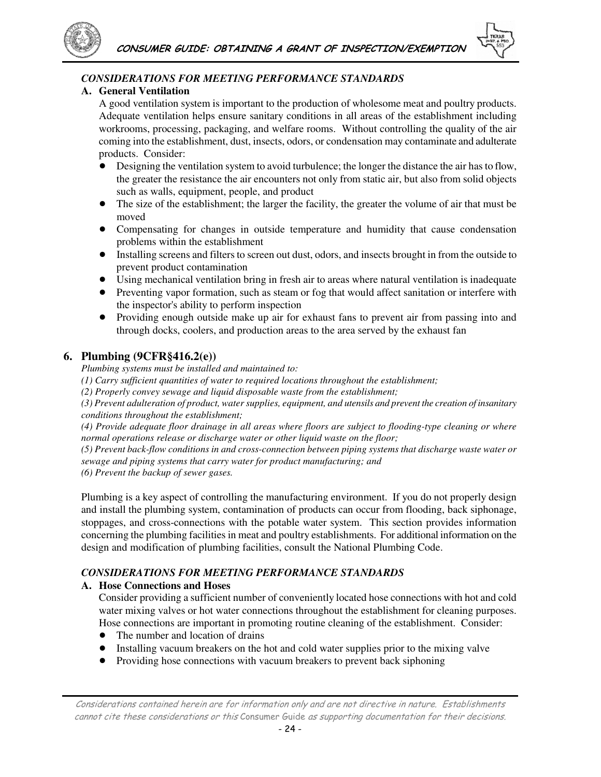



### *CONSIDERATIONS FOR MEETING PERFORMANCE STANDARDS*

#### **A. General Ventilation**

A good ventilation system is important to the production of wholesome meat and poultry products. Adequate ventilation helps ensure sanitary conditions in all areas of the establishment including workrooms, processing, packaging, and welfare rooms. Without controlling the quality of the air coming into the establishment, dust, insects, odors, or condensation may contaminate and adulterate products. Consider:

- ! Designing the ventilation system to avoid turbulence; the longer the distance the air has to flow, the greater the resistance the air encounters not only from static air, but also from solid objects such as walls, equipment, people, and product
- ! The size of the establishment; the larger the facility, the greater the volume of air that must be moved
- Compensating for changes in outside temperature and humidity that cause condensation problems within the establishment
- ! Installing screens and filters to screen out dust, odors, and insects brought in from the outside to prevent product contamination
- ! Using mechanical ventilation bring in fresh air to areas where natural ventilation is inadequate
- ! Preventing vapor formation, such as steam or fog that would affect sanitation or interfere with the inspector's ability to perform inspection
- Providing enough outside make up air for exhaust fans to prevent air from passing into and through docks, coolers, and production areas to the area served by the exhaust fan

### **6. Plumbing (9CFR§416.2(e))**

*Plumbing systems must be installed and maintained to:* 

*(1) Carry sufficient quantities of water to required locations throughout the establishment;* 

*(2) Properly convey sewage and liquid disposable waste from the establishment;* 

*(3) Prevent adulteration of product, water supplies, equipment, and utensils and prevent the creation of insanitary conditions throughout the establishment;* 

*(4) Provide adequate floor drainage in all areas where floors are subject to flooding-type cleaning or where normal operations release or discharge water or other liquid waste on the floor;* 

*(5) Prevent back-flow conditions in and cross-connection between piping systems that discharge waste water or sewage and piping systems that carry water for product manufacturing; and* 

*(6) Prevent the backup of sewer gases.* 

Plumbing is a key aspect of controlling the manufacturing environment. If you do not properly design and install the plumbing system, contamination of products can occur from flooding, back siphonage, stoppages, and cross-connections with the potable water system. This section provides information concerning the plumbing facilities in meat and poultry establishments. For additional information on the design and modification of plumbing facilities, consult the National Plumbing Code.

### *CONSIDERATIONS FOR MEETING PERFORMANCE STANDARDS*

### **A. Hose Connections and Hoses**

Consider providing a sufficient number of conveniently located hose connections with hot and cold water mixing valves or hot water connections throughout the establishment for cleaning purposes. Hose connections are important in promoting routine cleaning of the establishment. Consider:

- The number and location of drains
- ! Installing vacuum breakers on the hot and cold water supplies prior to the mixing valve
- ! Providing hose connections with vacuum breakers to prevent back siphoning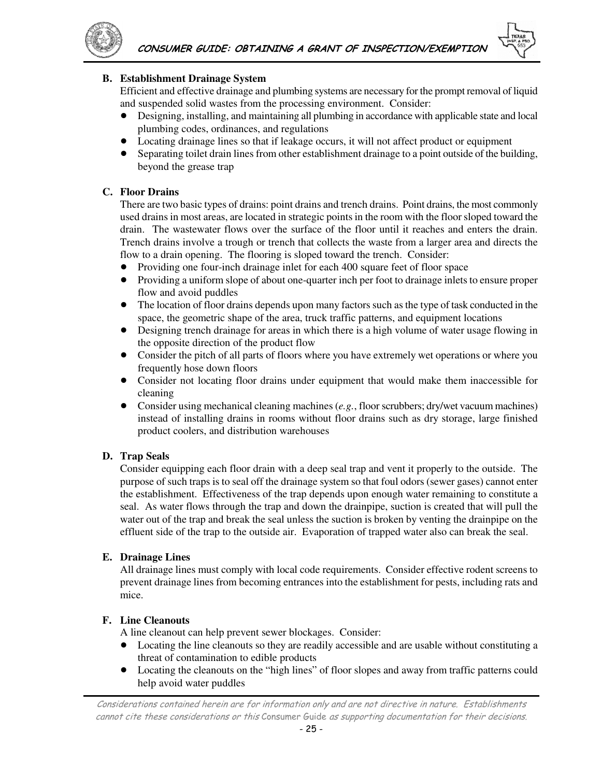

#### **B. Establishment Drainage System**

Efficient and effective drainage and plumbing systems are necessary for the prompt removal of liquid and suspended solid wastes from the processing environment. Consider:

- ! Designing, installing, and maintaining all plumbing in accordance with applicable state and local plumbing codes, ordinances, and regulations
- ! Locating drainage lines so that if leakage occurs, it will not affect product or equipment
- ! Separating toilet drain lines from other establishment drainage to a point outside of the building, beyond the grease trap

#### **C. Floor Drains**

There are two basic types of drains: point drains and trench drains. Point drains, the most commonly used drains in most areas, are located in strategic points in the room with the floor sloped toward the drain. The wastewater flows over the surface of the floor until it reaches and enters the drain. Trench drains involve a trough or trench that collects the waste from a larger area and directs the flow to a drain opening. The flooring is sloped toward the trench. Consider:

- Providing one four-inch drainage inlet for each 400 square feet of floor space
- ! Providing a uniform slope of about one-quarter inch per foot to drainage inlets to ensure proper flow and avoid puddles
- The location of floor drains depends upon many factors such as the type of task conducted in the space, the geometric shape of the area, truck traffic patterns, and equipment locations
- Designing trench drainage for areas in which there is a high volume of water usage flowing in the opposite direction of the product flow
- Consider the pitch of all parts of floors where you have extremely wet operations or where you frequently hose down floors
- Consider not locating floor drains under equipment that would make them inaccessible for cleaning
- ! Consider using mechanical cleaning machines (*e.g.*, floor scrubbers; dry/wet vacuum machines) instead of installing drains in rooms without floor drains such as dry storage, large finished product coolers, and distribution warehouses

#### **D. Trap Seals**

Consider equipping each floor drain with a deep seal trap and vent it properly to the outside. The purpose of such traps is to seal off the drainage system so that foul odors (sewer gases) cannot enter the establishment. Effectiveness of the trap depends upon enough water remaining to constitute a seal. As water flows through the trap and down the drainpipe, suction is created that will pull the water out of the trap and break the seal unless the suction is broken by venting the drainpipe on the effluent side of the trap to the outside air. Evaporation of trapped water also can break the seal.

#### **E. Drainage Lines**

All drainage lines must comply with local code requirements. Consider effective rodent screens to prevent drainage lines from becoming entrances into the establishment for pests, including rats and mice.

#### **F. Line Cleanouts**

A line cleanout can help prevent sewer blockages. Consider:

- Locating the line cleanouts so they are readily accessible and are usable without constituting a threat of contamination to edible products
- Locating the cleanouts on the "high lines" of floor slopes and away from traffic patterns could help avoid water puddles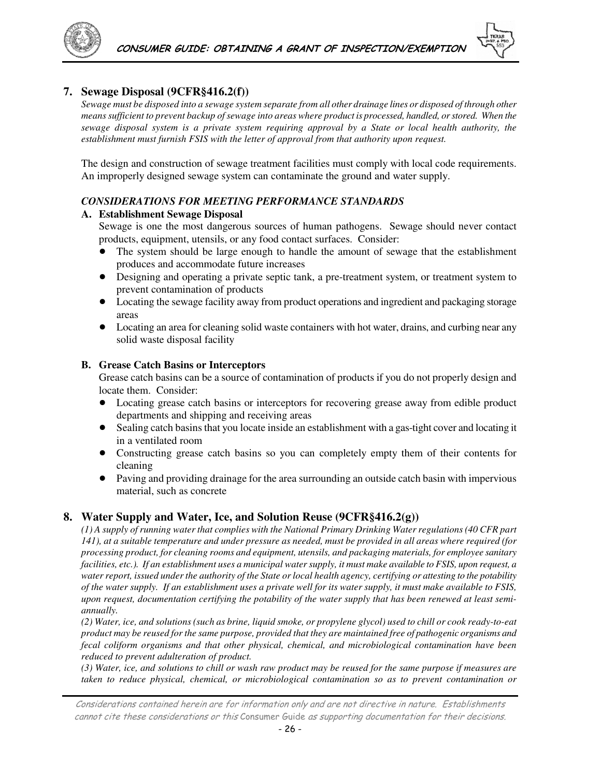

#### **7. Sewage Disposal (9CFR§416.2(f))**

*Sewage must be disposed into a sewage system separate from all other drainage lines or disposed of through other means sufficient to prevent backup of sewage into areas where product is processed, handled, or stored. When the sewage disposal system is a private system requiring approval by a State or local health authority, the establishment must furnish FSIS with the letter of approval from that authority upon request.* 

The design and construction of sewage treatment facilities must comply with local code requirements. An improperly designed sewage system can contaminate the ground and water supply.

#### *CONSIDERATIONS FOR MEETING PERFORMANCE STANDARDS*

#### **A. Establishment Sewage Disposal**

Sewage is one the most dangerous sources of human pathogens. Sewage should never contact products, equipment, utensils, or any food contact surfaces. Consider:

- The system should be large enough to handle the amount of sewage that the establishment produces and accommodate future increases
- ! Designing and operating a private septic tank, a pre-treatment system, or treatment system to prevent contamination of products
- Locating the sewage facility away from product operations and ingredient and packaging storage areas
- Locating an area for cleaning solid waste containers with hot water, drains, and curbing near any solid waste disposal facility

#### **B. Grease Catch Basins or Interceptors**

Grease catch basins can be a source of contamination of products if you do not properly design and locate them. Consider:

- ! Locating grease catch basins or interceptors for recovering grease away from edible product departments and shipping and receiving areas
- ! Sealing catch basins that you locate inside an establishment with a gas-tight cover and locating it in a ventilated room
- ! Constructing grease catch basins so you can completely empty them of their contents for cleaning
- ! Paving and providing drainage for the area surrounding an outside catch basin with impervious material, such as concrete

#### **8. Water Supply and Water, Ice, and Solution Reuse (9CFR§416.2(g))**

*(1) A supply of running water that complies with the National Primary Drinking Water regulations (40 CFR part 141), at a suitable temperature and under pressure as needed, must be provided in all areas where required (for processing product, for cleaning rooms and equipment, utensils, and packaging materials, for employee sanitary facilities, etc.). If an establishment uses a municipal water supply, it must make available to FSIS, upon request, a water report, issued under the authority of the State or local health agency, certifying or attesting to the potability of the water supply. If an establishment uses a private well for its water supply, it must make available to FSIS, upon request, documentation certifying the potability of the water supply that has been renewed at least semiannually.* 

*(2) Water, ice, and solutions (such as brine, liquid smoke, or propylene glycol) used to chill or cook ready-to-eat product may be reused for the same purpose, provided that they are maintained free of pathogenic organisms and fecal coliform organisms and that other physical, chemical, and microbiological contamination have been reduced to prevent adulteration of product.* 

*(3) Water, ice, and solutions to chill or wash raw product may be reused for the same purpose if measures are taken to reduce physical, chemical, or microbiological contamination so as to prevent contamination or*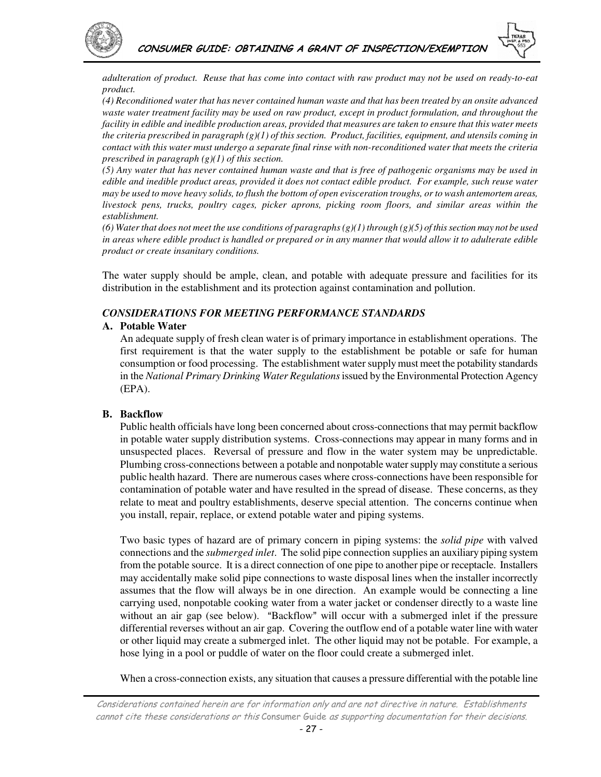



*adulteration of product. Reuse that has come into contact with raw product may not be used on ready-to-eat product.* 

*(4) Reconditioned water that has never contained human waste and that has been treated by an onsite advanced waste water treatment facility may be used on raw product, except in product formulation, and throughout the facility in edible and inedible production areas, provided that measures are taken to ensure that this water meets the criteria prescribed in paragraph (g)(1) of this section. Product, facilities, equipment, and utensils coming in contact with this water must undergo a separate final rinse with non-reconditioned water that meets the criteria prescribed in paragraph (g)(1) of this section.* 

*(5) Any water that has never contained human waste and that is free of pathogenic organisms may be used in edible and inedible product areas, provided it does not contact edible product. For example, such reuse water may be used to move heavy solids, to flush the bottom of open evisceration troughs, or to wash antemortem areas, livestock pens, trucks, poultry cages, picker aprons, picking room floors, and similar areas within the establishment.* 

*(6) Water that does not meet the use conditions of paragraphs (g)(1) through (g)(5) of this section may not be used in areas where edible product is handled or prepared or in any manner that would allow it to adulterate edible product or create insanitary conditions.* 

The water supply should be ample, clean, and potable with adequate pressure and facilities for its distribution in the establishment and its protection against contamination and pollution.

#### *CONSIDERATIONS FOR MEETING PERFORMANCE STANDARDS*

#### **A. Potable Water**

An adequate supply of fresh clean water is of primary importance in establishment operations. The first requirement is that the water supply to the establishment be potable or safe for human consumption or food processing. The establishment water supply must meet the potability standards in the *National Primary Drinking Water Regulations* issued by the Environmental Protection Agency (EPA).

#### **B. Backflow**

Public health officials have long been concerned about cross-connections that may permit backflow in potable water supply distribution systems. Cross-connections may appear in many forms and in unsuspected places. Reversal of pressure and flow in the water system may be unpredictable. Plumbing cross-connections between a potable and nonpotable water supply may constitute a serious public health hazard. There are numerous cases where cross-connections have been responsible for contamination of potable water and have resulted in the spread of disease. These concerns, as they relate to meat and poultry establishments, deserve special attention. The concerns continue when you install, repair, replace, or extend potable water and piping systems.

Two basic types of hazard are of primary concern in piping systems: the *solid pipe* with valved connections and the *submerged inlet*. The solid pipe connection supplies an auxiliary piping system from the potable source. It is a direct connection of one pipe to another pipe or receptacle. Installers may accidentally make solid pipe connections to waste disposal lines when the installer incorrectly assumes that the flow will always be in one direction. An example would be connecting a line carrying used, nonpotable cooking water from a water jacket or condenser directly to a waste line without an air gap (see below). "Backflow" will occur with a submerged inlet if the pressure differential reverses without an air gap. Covering the outflow end of a potable water line with water or other liquid may create a submerged inlet. The other liquid may not be potable. For example, a hose lying in a pool or puddle of water on the floor could create a submerged inlet.

When a cross-connection exists, any situation that causes a pressure differential with the potable line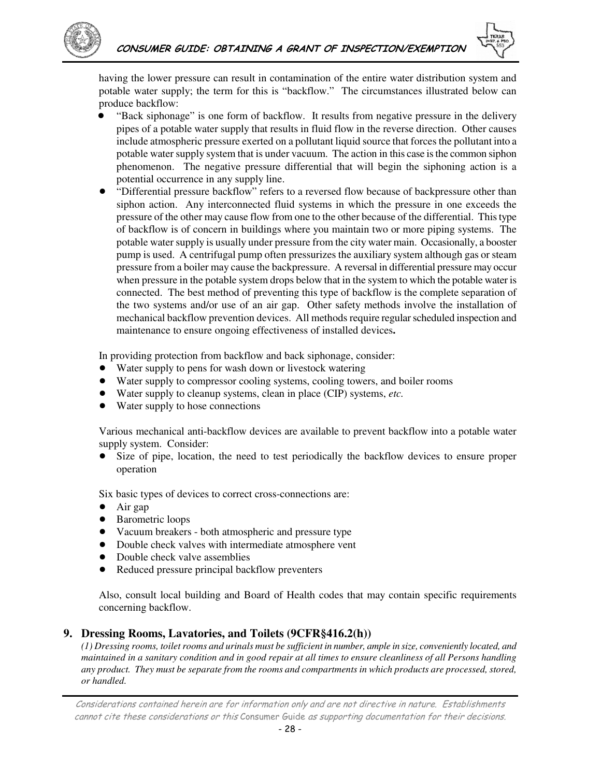

having the lower pressure can result in contamination of the entire water distribution system and potable water supply; the term for this is "backflow." The circumstances illustrated below can produce backflow:

- ! "Back siphonage" is one form of backflow. It results from negative pressure in the delivery pipes of a potable water supply that results in fluid flow in the reverse direction. Other causes include atmospheric pressure exerted on a pollutant liquid source that forces the pollutant into a potable water supply system that is under vacuum. The action in this case is the common siphon phenomenon. The negative pressure differential that will begin the siphoning action is a potential occurrence in any supply line.
- "Differential pressure backflow" refers to a reversed flow because of backpressure other than siphon action. Any interconnected fluid systems in which the pressure in one exceeds the pressure of the other may cause flow from one to the other because of the differential. This type of backflow is of concern in buildings where you maintain two or more piping systems. The potable water supply is usually under pressure from the city water main. Occasionally, a booster pump is used. A centrifugal pump often pressurizes the auxiliary system although gas or steam pressure from a boiler may cause the backpressure. A reversal in differential pressure may occur when pressure in the potable system drops below that in the system to which the potable water is connected. The best method of preventing this type of backflow is the complete separation of the two systems and/or use of an air gap. Other safety methods involve the installation of mechanical backflow prevention devices. All methods require regular scheduled inspection and maintenance to ensure ongoing effectiveness of installed devices**.**

In providing protection from backflow and back siphonage, consider:

- Water supply to pens for wash down or livestock watering
- Water supply to compressor cooling systems, cooling towers, and boiler rooms
- ! Water supply to cleanup systems, clean in place (CIP) systems, *etc.*
- Water supply to hose connections

Various mechanical anti-backflow devices are available to prevent backflow into a potable water supply system. Consider:

! Size of pipe, location, the need to test periodically the backflow devices to ensure proper operation

Six basic types of devices to correct cross-connections are:

- ! Air gap
- Barometric loops
- ! Vacuum breakers both atmospheric and pressure type
- ! Double check valves with intermediate atmosphere vent
- ! Double check valve assemblies
- Reduced pressure principal backflow preventers

Also, consult local building and Board of Health codes that may contain specific requirements concerning backflow.

### **9. Dressing Rooms, Lavatories, and Toilets (9CFR§416.2(h))**

*(1) Dressing rooms, toilet rooms and urinals must be sufficient in number, ample in size, conveniently located, and maintained in a sanitary condition and in good repair at all times to ensure cleanliness of all Persons handling any product. They must be separate from the rooms and compartments in which products are processed, stored, or handled.*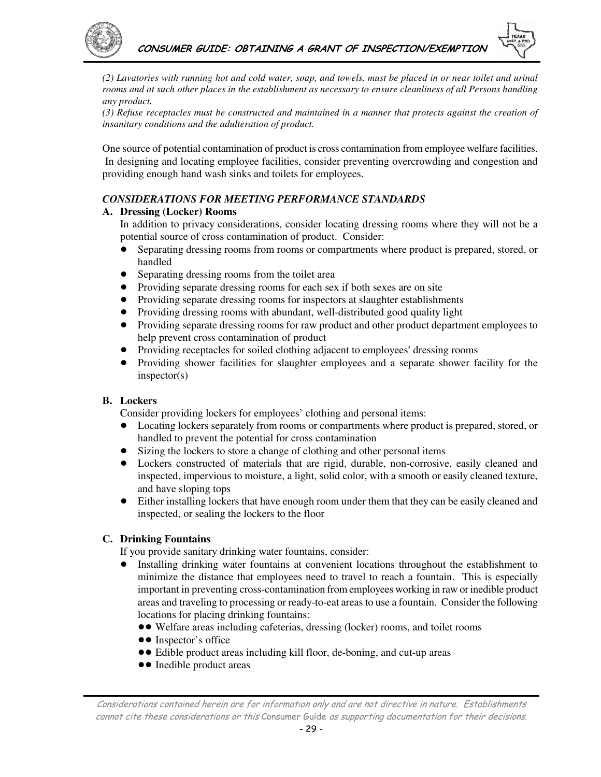

*(2) Lavatories with running hot and cold water, soap, and towels, must be placed in or near toilet and urinal rooms and at such other places in the establishment as necessary to ensure cleanliness of all Persons handling any product.* 

*(3) Refuse receptacles must be constructed and maintained in a manner that protects against the creation of insanitary conditions and the adulteration of product.* 

One source of potential contamination of product is cross contamination from employee welfare facilities. In designing and locating employee facilities, consider preventing overcrowding and congestion and providing enough hand wash sinks and toilets for employees.

#### *CONSIDERATIONS FOR MEETING PERFORMANCE STANDARDS*

#### **A. Dressing (Locker) Rooms**

In addition to privacy considerations, consider locating dressing rooms where they will not be a potential source of cross contamination of product. Consider:

- ! Separating dressing rooms from rooms or compartments where product is prepared, stored, or handled
- Separating dressing rooms from the toilet area
- Providing separate dressing rooms for each sex if both sexes are on site
- ! Providing separate dressing rooms for inspectors at slaughter establishments
- Providing dressing rooms with abundant, well-distributed good quality light
- ! Providing separate dressing rooms for raw product and other product department employees to help prevent cross contamination of product
- Providing receptacles for soiled clothing adjacent to employees' dressing rooms
- ! Providing shower facilities for slaughter employees and a separate shower facility for the inspector(s)

#### **B. Lockers**

Consider providing lockers for employees' clothing and personal items:

- ! Locating lockers separately from rooms or compartments where product is prepared, stored, or handled to prevent the potential for cross contamination
- Sizing the lockers to store a change of clothing and other personal items
- ! Lockers constructed of materials that are rigid, durable, non-corrosive, easily cleaned and inspected, impervious to moisture, a light, solid color, with a smooth or easily cleaned texture, and have sloping tops
- ! Either installing lockers that have enough room under them that they can be easily cleaned and inspected, or sealing the lockers to the floor

#### **C. Drinking Fountains**

If you provide sanitary drinking water fountains, consider:

- ! Installing drinking water fountains at convenient locations throughout the establishment to minimize the distance that employees need to travel to reach a fountain. This is especially important in preventing cross-contamination from employees working in raw or inedible product areas and traveling to processing or ready-to-eat areas to use a fountain. Consider the following locations for placing drinking fountains:
	- Welfare areas including cafeterias, dressing (locker) rooms, and toilet rooms
	- Inspector's office
	- !! Edible product areas including kill floor, de-boning, and cut-up areas
	- Inedible product areas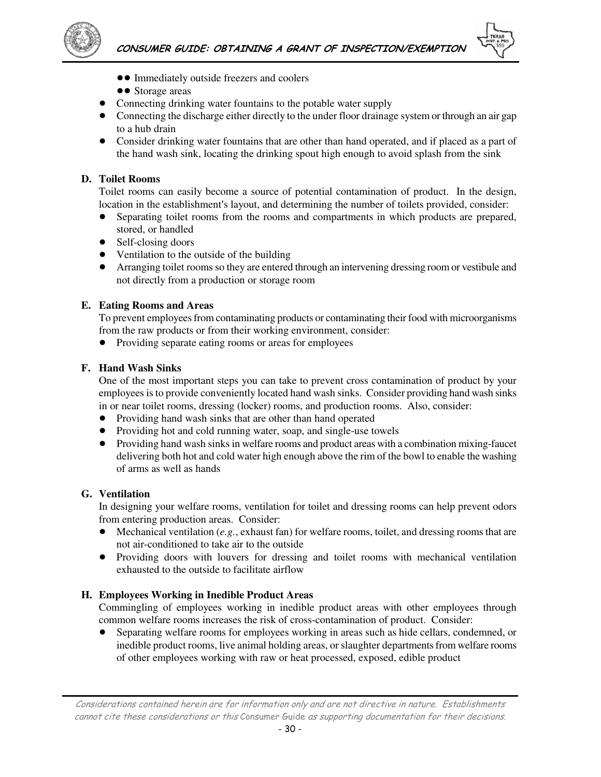



- $\bullet$  Immediately outside freezers and coolers
- Storage areas
- ! Connecting drinking water fountains to the potable water supply
- ! Connecting the discharge either directly to the under floor drainage system or through an air gap to a hub drain
- Consider drinking water fountains that are other than hand operated, and if placed as a part of the hand wash sink, locating the drinking spout high enough to avoid splash from the sink

#### **D. Toilet Rooms**

Toilet rooms can easily become a source of potential contamination of product. In the design, location in the establishment's layout, and determining the number of toilets provided, consider:

- Separating toilet rooms from the rooms and compartments in which products are prepared, stored, or handled
- Self-closing doors
- Ventilation to the outside of the building
- ! Arranging toilet rooms so they are entered through an intervening dressing room or vestibule and not directly from a production or storage room

#### **E. Eating Rooms and Areas**

To prevent employees from contaminating products or contaminating their food with microorganisms from the raw products or from their working environment, consider:

! Providing separate eating rooms or areas for employees

#### **F. Hand Wash Sinks**

One of the most important steps you can take to prevent cross contamination of product by your employees is to provide conveniently located hand wash sinks. Consider providing hand wash sinks in or near toilet rooms, dressing (locker) rooms, and production rooms. Also, consider:

- Providing hand wash sinks that are other than hand operated
- ! Providing hot and cold running water, soap, and single-use towels
- ! Providing hand wash sinks in welfare rooms and product areas with a combination mixing-faucet delivering both hot and cold water high enough above the rim of the bowl to enable the washing of arms as well as hands

### **G. Ventilation**

In designing your welfare rooms, ventilation for toilet and dressing rooms can help prevent odors from entering production areas. Consider:

- $\bullet$  Mechanical ventilation (*e.g.*, exhaust fan) for welfare rooms, toilet, and dressing rooms that are not air-conditioned to take air to the outside
- ! Providing doors with louvers for dressing and toilet rooms with mechanical ventilation exhausted to the outside to facilitate airflow

### **H. Employees Working in Inedible Product Areas**

Commingling of employees working in inedible product areas with other employees through common welfare rooms increases the risk of cross-contamination of product. Consider:

! Separating welfare rooms for employees working in areas such as hide cellars, condemned, or inedible product rooms, live animal holding areas, or slaughter departments from welfare rooms of other employees working with raw or heat processed, exposed, edible product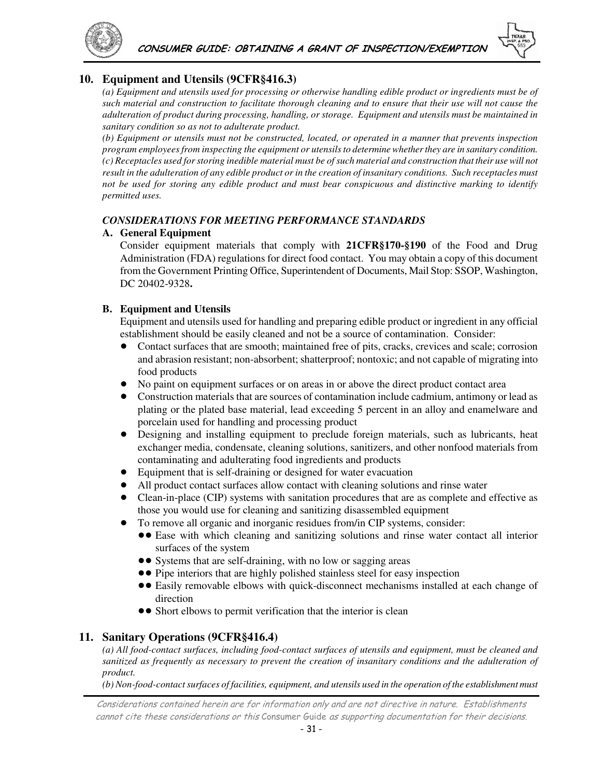

### **10. Equipment and Utensils (9CFR§416.3)**

*(a) Equipment and utensils used for processing or otherwise handling edible product or ingredients must be of such material and construction to facilitate thorough cleaning and to ensure that their use will not cause the adulteration of product during processing, handling, or storage. Equipment and utensils must be maintained in sanitary condition so as not to adulterate product.*

*(b) Equipment or utensils must not be constructed, located, or operated in a manner that prevents inspection program employees from inspecting the equipment or utensils to determine whether they are in sanitary condition. (c) Receptacles used for storing inedible material must be of such material and construction that their use will not result in the adulteration of any edible product or in the creation of insanitary conditions. Such receptacles must not be used for storing any edible product and must bear conspicuous and distinctive marking to identify permitted uses.* 

#### *CONSIDERATIONS FOR MEETING PERFORMANCE STANDARDS*

#### **A. General Equipment**

Consider equipment materials that comply with **21CFR§170-§190** of the Food and Drug Administration (FDA) regulations for direct food contact. You may obtain a copy of this document from the Government Printing Office, Superintendent of Documents, Mail Stop: SSOP, Washington, DC 20402-9328**.** 

#### **B. Equipment and Utensils**

Equipment and utensils used for handling and preparing edible product or ingredient in any official establishment should be easily cleaned and not be a source of contamination. Consider:

- ! Contact surfaces that are smooth; maintained free of pits, cracks, crevices and scale; corrosion and abrasion resistant; non-absorbent; shatterproof; nontoxic; and not capable of migrating into food products
- ! No paint on equipment surfaces or on areas in or above the direct product contact area
- ! Construction materials that are sources of contamination include cadmium, antimony or lead as plating or the plated base material, lead exceeding 5 percent in an alloy and enamelware and porcelain used for handling and processing product
- ! Designing and installing equipment to preclude foreign materials, such as lubricants, heat exchanger media, condensate, cleaning solutions, sanitizers, and other nonfood materials from contaminating and adulterating food ingredients and products
- Equipment that is self-draining or designed for water evacuation
- ! All product contact surfaces allow contact with cleaning solutions and rinse water
- Clean-in-place (CIP) systems with sanitation procedures that are as complete and effective as those you would use for cleaning and sanitizing disassembled equipment
- ! To remove all organic and inorganic residues from/in CIP systems, consider:
	- !! Ease with which cleaning and sanitizing solutions and rinse water contact all interior surfaces of the system
	- Systems that are self-draining, with no low or sagging areas
	- Pipe interiors that are highly polished stainless steel for easy inspection
	- Easily removable elbows with quick-disconnect mechanisms installed at each change of direction
	- Short elbows to permit verification that the interior is clean

### **11. Sanitary Operations (9CFR§416.4)**

*(a) All food-contact surfaces, including food-contact surfaces of utensils and equipment, must be cleaned and sanitized as frequently as necessary to prevent the creation of insanitary conditions and the adulteration of product.* 

*(b) Non-food-contact surfaces of facilities, equipment, and utensils used in the operation of the establishment must*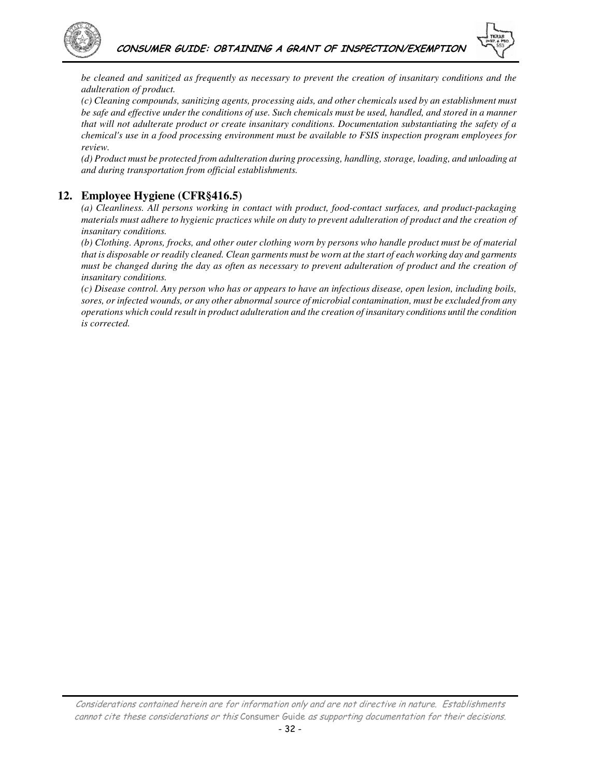



*be cleaned and sanitized as frequently as necessary to prevent the creation of insanitary conditions and the adulteration of product.* 

*(c) Cleaning compounds, sanitizing agents, processing aids, and other chemicals used by an establishment must be safe and effective under the conditions of use. Such chemicals must be used, handled, and stored in a manner that will not adulterate product or create insanitary conditions. Documentation substantiating the safety of a chemical's use in a food processing environment must be available to FSIS inspection program employees for review.* 

*(d) Product must be protected from adulteration during processing, handling, storage, loading, and unloading at and during transportation from official establishments.* 

### **12. Employee Hygiene (CFR§416.5)**

*(a) Cleanliness. All persons working in contact with product, food-contact surfaces, and product-packaging materials must adhere to hygienic practices while on duty to prevent adulteration of product and the creation of insanitary conditions.* 

*(b) Clothing. Aprons, frocks, and other outer clothing worn by persons who handle product must be of material that is disposable or readily cleaned. Clean garments must be worn at the start of each working day and garments must be changed during the day as often as necessary to prevent adulteration of product and the creation of insanitary conditions.* 

*(c) Disease control. Any person who has or appears to have an infectious disease, open lesion, including boils, sores, or infected wounds, or any other abnormal source of microbial contamination, must be excluded from any operations which could result in product adulteration and the creation of insanitary conditions until the condition is corrected.*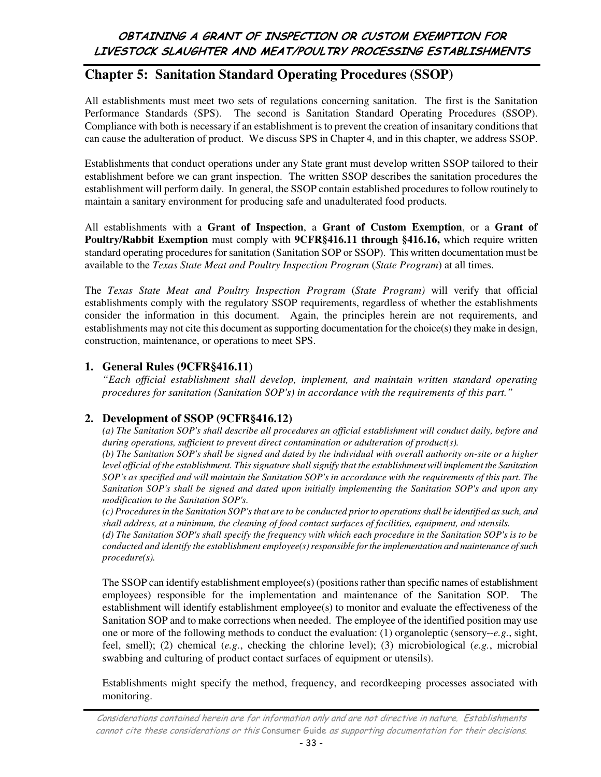# **Chapter 5: Sanitation Standard Operating Procedures (SSOP)**

All establishments must meet two sets of regulations concerning sanitation. The first is the Sanitation Performance Standards (SPS). The second is Sanitation Standard Operating Procedures (SSOP). Compliance with both is necessary if an establishment is to prevent the creation of insanitary conditions that can cause the adulteration of product. We discuss SPS in Chapter 4, and in this chapter, we address SSOP.

Establishments that conduct operations under any State grant must develop written SSOP tailored to their establishment before we can grant inspection. The written SSOP describes the sanitation procedures the establishment will perform daily. In general, the SSOP contain established procedures to follow routinely to maintain a sanitary environment for producing safe and unadulterated food products.

All establishments with a **Grant of Inspection**, a **Grant of Custom Exemption**, or a **Grant of Poultry/Rabbit Exemption** must comply with **9CFR§416.11 through §416.16,** which require written standard operating procedures for sanitation (Sanitation SOP or SSOP). This written documentation must be available to the *Texas State Meat and Poultry Inspection Program* (*State Program*) at all times.

The *Texas State Meat and Poultry Inspection Program* (*State Program)* will verify that official establishments comply with the regulatory SSOP requirements, regardless of whether the establishments consider the information in this document. Again, the principles herein are not requirements, and establishments may not cite this document as supporting documentation for the choice(s) they make in design, construction, maintenance, or operations to meet SPS.

### **1. General Rules (9CFR§416.11)**

*"Each official establishment shall develop, implement, and maintain written standard operating procedures for sanitation (Sanitation SOP's) in accordance with the requirements of this part."*

### **2. Development of SSOP (9CFR§416.12)**

*(a) The Sanitation SOP's shall describe all procedures an official establishment will conduct daily, before and during operations, sufficient to prevent direct contamination or adulteration of product(s).* 

*(b) The Sanitation SOP's shall be signed and dated by the individual with overall authority on-site or a higher*  level official of the establishment. This signature shall signify that the establishment will implement the Sanitation *SOP's as specified and will maintain the Sanitation SOP's in accordance with the requirements of this part. The Sanitation SOP's shall be signed and dated upon initially implementing the Sanitation SOP's and upon any modification to the Sanitation SOP's.* 

*(c) Procedures in the Sanitation SOP's that are to be conducted prior to operations shall be identified as such, and shall address, at a minimum, the cleaning of food contact surfaces of facilities, equipment, and utensils.* 

*(d) The Sanitation SOP's shall specify the frequency with which each procedure in the Sanitation SOP's is to be conducted and identify the establishment employee(s) responsible for the implementation and maintenance of such procedure(s).* 

The SSOP can identify establishment employee(s) (positions rather than specific names of establishment employees) responsible for the implementation and maintenance of the Sanitation SOP. The establishment will identify establishment employee(s) to monitor and evaluate the effectiveness of the Sanitation SOP and to make corrections when needed. The employee of the identified position may use one or more of the following methods to conduct the evaluation: (1) organoleptic (sensory--*e.g.*, sight, feel, smell); (2) chemical (*e.g.*, checking the chlorine level); (3) microbiological (*e.g.*, microbial swabbing and culturing of product contact surfaces of equipment or utensils).

Establishments might specify the method, frequency, and recordkeeping processes associated with monitoring.

Considerations contained herein are for information only and are not directive in nature. Establishments cannot cite these considerations or this Consumer Guide as supporting documentation for their decisions.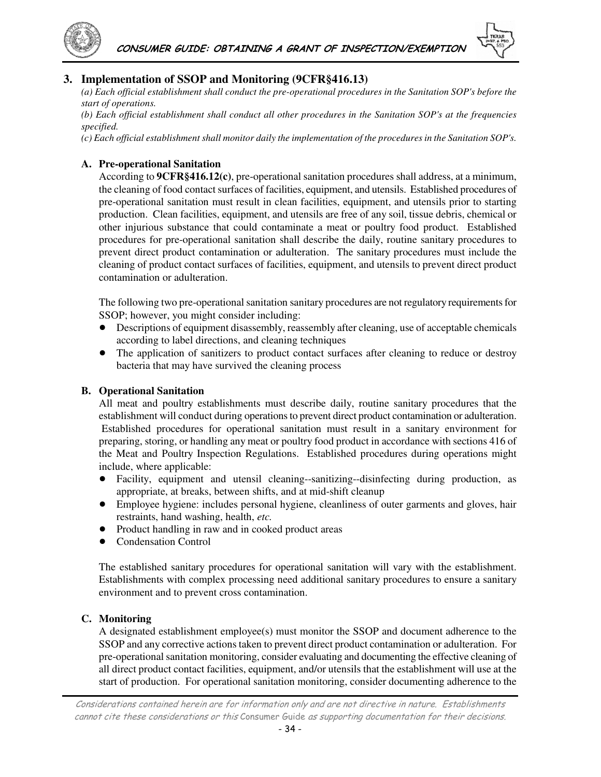



*(a) Each official establishment shall conduct the pre-operational procedures in the Sanitation SOP's before the start of operations.* 

*(b) Each official establishment shall conduct all other procedures in the Sanitation SOP's at the frequencies specified.* 

*(c) Each official establishment shall monitor daily the implementation of the procedures in the Sanitation SOP's.*

#### **A. Pre-operational Sanitation**

According to **9CFR§416.12(c)**, pre-operational sanitation procedures shall address, at a minimum, the cleaning of food contact surfaces of facilities, equipment, and utensils. Established procedures of pre-operational sanitation must result in clean facilities, equipment, and utensils prior to starting production. Clean facilities, equipment, and utensils are free of any soil, tissue debris, chemical or other injurious substance that could contaminate a meat or poultry food product. Established procedures for pre-operational sanitation shall describe the daily, routine sanitary procedures to prevent direct product contamination or adulteration. The sanitary procedures must include the cleaning of product contact surfaces of facilities, equipment, and utensils to prevent direct product contamination or adulteration.

The following two pre-operational sanitation sanitary procedures are not regulatory requirements for SSOP; however, you might consider including:

- ! Descriptions of equipment disassembly, reassembly after cleaning, use of acceptable chemicals according to label directions, and cleaning techniques
- The application of sanitizers to product contact surfaces after cleaning to reduce or destroy bacteria that may have survived the cleaning process

#### **B. Operational Sanitation**

All meat and poultry establishments must describe daily, routine sanitary procedures that the establishment will conduct during operations to prevent direct product contamination or adulteration. Established procedures for operational sanitation must result in a sanitary environment for preparing, storing, or handling any meat or poultry food product in accordance with sections 416 of the Meat and Poultry Inspection Regulations. Established procedures during operations might include, where applicable:

- ! Facility, equipment and utensil cleaning--sanitizing--disinfecting during production, as appropriate, at breaks, between shifts, and at mid-shift cleanup
- ! Employee hygiene: includes personal hygiene, cleanliness of outer garments and gloves, hair restraints, hand washing, health, *etc.*
- ! Product handling in raw and in cooked product areas
- **Condensation Control**

The established sanitary procedures for operational sanitation will vary with the establishment. Establishments with complex processing need additional sanitary procedures to ensure a sanitary environment and to prevent cross contamination.

#### **C. Monitoring**

A designated establishment employee(s) must monitor the SSOP and document adherence to the SSOP and any corrective actions taken to prevent direct product contamination or adulteration. For pre-operational sanitation monitoring, consider evaluating and documenting the effective cleaning of all direct product contact facilities, equipment, and/or utensils that the establishment will use at the start of production. For operational sanitation monitoring, consider documenting adherence to the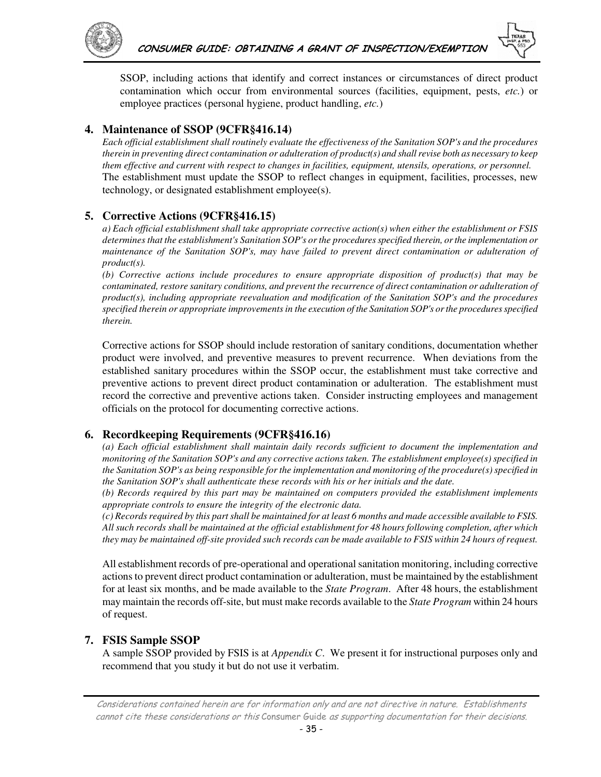



SSOP, including actions that identify and correct instances or circumstances of direct product contamination which occur from environmental sources (facilities, equipment, pests, *etc.*) or employee practices (personal hygiene, product handling, *etc.*)

### **4. Maintenance of SSOP (9CFR§416.14)**

*Each official establishment shall routinely evaluate the effectiveness of the Sanitation SOP's and the procedures therein in preventing direct contamination or adulteration of product(s) and shall revise both as necessary to keep them effective and current with respect to changes in facilities, equipment, utensils, operations, or personnel.*  The establishment must update the SSOP to reflect changes in equipment, facilities, processes, new technology, or designated establishment employee(s).

### **5. Corrective Actions (9CFR§416.15)**

*a) Each official establishment shall take appropriate corrective action(s) when either the establishment or FSIS determines that the establishment's Sanitation SOP's or the procedures specified therein, or the implementation or maintenance of the Sanitation SOP's, may have failed to prevent direct contamination or adulteration of product(s).* 

*(b) Corrective actions include procedures to ensure appropriate disposition of product(s) that may be*  contaminated, restore sanitary conditions, and prevent the recurrence of direct contamination or adulteration of *product(s), including appropriate reevaluation and modification of the Sanitation SOP's and the procedures specified therein or appropriate improvements in the execution of the Sanitation SOP's or the procedures specified therein.* 

Corrective actions for SSOP should include restoration of sanitary conditions, documentation whether product were involved, and preventive measures to prevent recurrence. When deviations from the established sanitary procedures within the SSOP occur, the establishment must take corrective and preventive actions to prevent direct product contamination or adulteration. The establishment must record the corrective and preventive actions taken. Consider instructing employees and management officials on the protocol for documenting corrective actions.

### **6. Recordkeeping Requirements (9CFR§416.16)**

*(a) Each official establishment shall maintain daily records sufficient to document the implementation and monitoring of the Sanitation SOP's and any corrective actions taken. The establishment employee(s) specified in the Sanitation SOP's as being responsible for the implementation and monitoring of the procedure(s) specified in the Sanitation SOP's shall authenticate these records with his or her initials and the date.* 

*(b) Records required by this part may be maintained on computers provided the establishment implements appropriate controls to ensure the integrity of the electronic data.* 

*(c) Records required by this part shall be maintained for at least 6 months and made accessible available to FSIS. All such records shall be maintained at the official establishment for 48 hours following completion, after which they may be maintained off-site provided such records can be made available to FSIS within 24 hours of request.* 

All establishment records of pre-operational and operational sanitation monitoring, including corrective actions to prevent direct product contamination or adulteration, must be maintained by the establishment for at least six months, and be made available to the *State Program*. After 48 hours, the establishment may maintain the records off-site, but must make records available to the *State Program* within 24 hours of request.

### **7. FSIS Sample SSOP**

A sample SSOP provided by FSIS is at *Appendix C*. We present it for instructional purposes only and recommend that you study it but do not use it verbatim.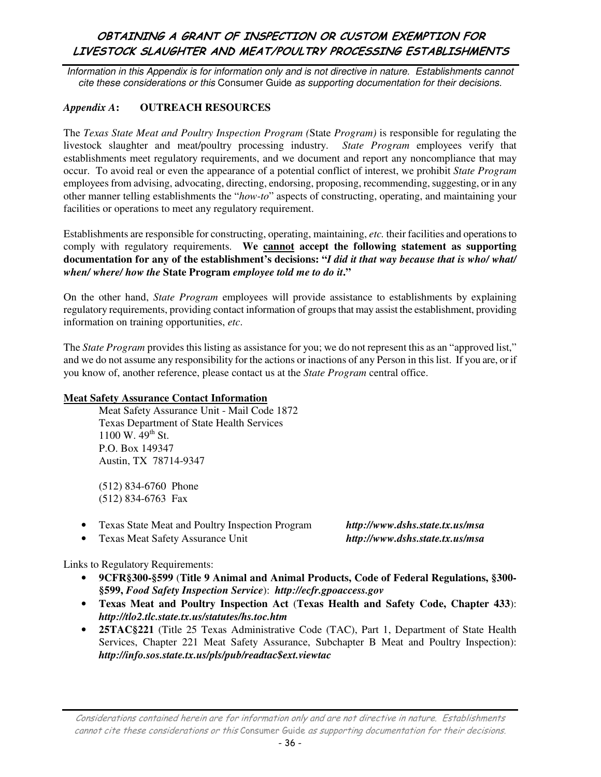Information in this Appendix is for information only and is not directive in nature. Establishments cannot cite these considerations or this Consumer Guide as supporting documentation for their decisions.

#### *Appendix A***: OUTREACH RESOURCES**

The *Texas State Meat and Poultry Inspection Program (*State *Program)* is responsible for regulating the livestock slaughter and meat/poultry processing industry. *State Program* employees verify that establishments meet regulatory requirements, and we document and report any noncompliance that may occur. To avoid real or even the appearance of a potential conflict of interest, we prohibit *State Program*  employees from advising, advocating, directing, endorsing, proposing, recommending, suggesting, or in any other manner telling establishments the "*how-to*" aspects of constructing, operating, and maintaining your facilities or operations to meet any regulatory requirement.

Establishments are responsible for constructing, operating, maintaining, *etc.* their facilities and operations to comply with regulatory requirements. We **cannot accept the following statement as supporting documentation for any of the establishment's decisions: "***I did it that way because that is who/ what/ when/ where/ how the* **State Program** *employee told me to do it***."**

On the other hand, *State Program* employees will provide assistance to establishments by explaining regulatory requirements, providing contact information of groups that may assist the establishment, providing information on training opportunities, *etc*.

The *State Program* provides this listing as assistance for you; we do not represent this as an "approved list," and we do not assume any responsibility for the actions or inactions of any Person in this list. If you are, or if you know of, another reference, please contact us at the *State Program* central office.

#### **Meat Safety Assurance Contact Information**

Meat Safety Assurance Unit - Mail Code 1872 Texas Department of State Health Services  $1100 \text{ W}$ . 49<sup>th</sup> St. P.O. Box 149347 Austin, TX 78714-9347

(512) 834-6760 Phone (512) 834-6763 Fax

- Texas State Meat and Poultry Inspection Program *http://www.dshs.state.tx.us/msa*
- Texas Meat Safety Assurance Unit *http://www.dshs.state.tx.us/msa*

Links to Regulatory Requirements:

- **9CFR§300-§599** (**Title 9 Animal and Animal Products, Code of Federal Regulations, §300- §599,** *Food Safety Inspection Service*): *http://ecfr.gpoaccess.gov*
- **Texas Meat and Poultry Inspection Act** (**Texas Health and Safety Code, Chapter 433**): *http://tlo2.tlc.state.tx.us/statutes/hs.toc.htm*
- **25TAC§221** (Title 25 Texas Administrative Code (TAC), Part 1, Department of State Health Services, Chapter 221 Meat Safety Assurance, Subchapter B Meat and Poultry Inspection): *http://info.sos.state.tx.us/pls/pub/readtac\$ext.viewtac*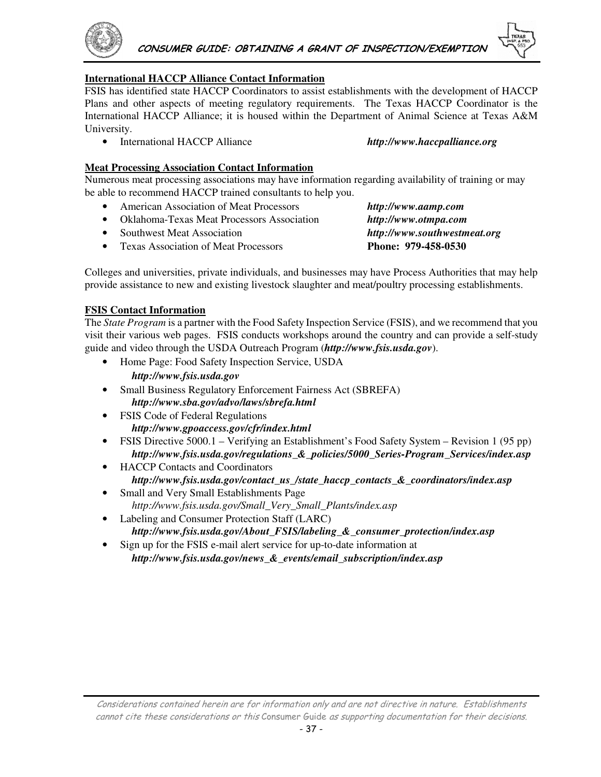

#### **International HACCP Alliance Contact Information**

FSIS has identified state HACCP Coordinators to assist establishments with the development of HACCP Plans and other aspects of meeting regulatory requirements. The Texas HACCP Coordinator is the International HACCP Alliance; it is housed within the Department of Animal Science at Texas A&M University.

• International HACCP Alliance *http://www.haccpalliance.org*

#### **Meat Processing Association Contact Information**

Numerous meat processing associations may have information regarding availability of training or may be able to recommend HACCP trained consultants to help you.

- American Association of Meat Processors *http://www.aamp.com*
- Oklahoma-Texas Meat Processors Association *http://www.otmpa.com*
- Southwest Meat Association *http://www.southwestmeat.org*
- Texas Association of Meat Processors **Phone: 979-458-0530**

Colleges and universities, private individuals, and businesses may have Process Authorities that may help provide assistance to new and existing livestock slaughter and meat/poultry processing establishments.

#### **FSIS Contact Information**

The *State Program* is a partner with the Food Safety Inspection Service (FSIS), and we recommend that you visit their various web pages. FSIS conducts workshops around the country and can provide a self-study guide and video through the USDA Outreach Program (*http://www.fsis.usda.gov*).

- Home Page: Food Safety Inspection Service, USDA *http://www.fsis.usda.gov*
- Small Business Regulatory Enforcement Fairness Act (SBREFA) *http://www.sba.gov/advo/laws/sbrefa.html*
- FSIS Code of Federal Regulations *http://www.gpoaccess.gov/cfr/index.html*
- FSIS Directive 5000.1 Verifying an Establishment's Food Safety System Revision 1 (95 pp) *http://www.fsis.usda.gov/regulations\_&\_policies/5000\_Series-Program\_Services/index.asp*
- HACCP Contacts and Coordinators *http://www.fsis.usda.gov/contact\_us\_/state\_haccp\_contacts\_&\_coordinators/index.asp*
- Small and Very Small Establishments Page *http://www.fsis.usda.gov/Small\_Very\_Small\_Plants/index.asp*
- Labeling and Consumer Protection Staff (LARC) *http://www.fsis.usda.gov/About\_FSIS/labeling\_&\_consumer\_protection/index.asp*
- Sign up for the FSIS e-mail alert service for up-to-date information at *http://www.fsis.usda.gov/news\_&\_events/email\_subscription/index.asp*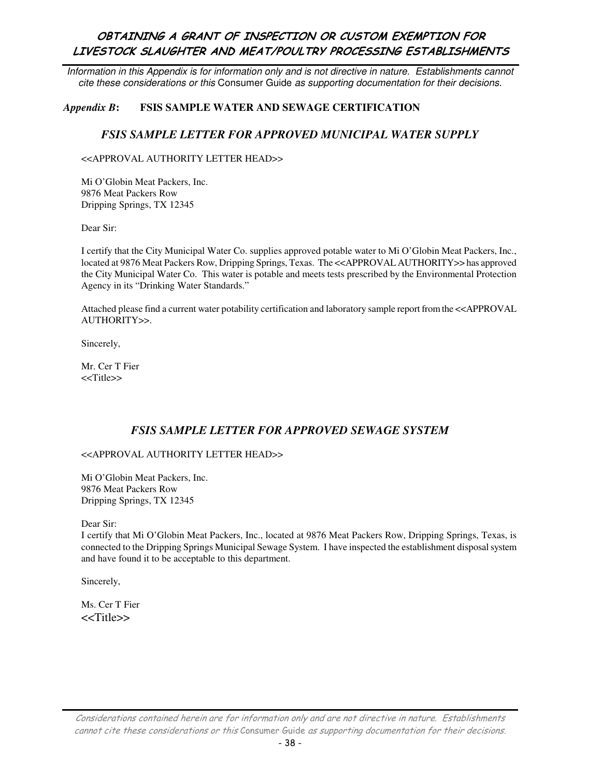Information in this Appendix is for information only and is not directive in nature. Establishments cannot cite these considerations or this Consumer Guide as supporting documentation for their decisions.

#### *Appendix B***: FSIS SAMPLE WATER AND SEWAGE CERTIFICATION**

#### *FSIS SAMPLE LETTER FOR APPROVED MUNICIPAL WATER SUPPLY*

<<APPROVAL AUTHORITY LETTER HEAD>>

Mi O'Globin Meat Packers, Inc. 9876 Meat Packers Row Dripping Springs, TX 12345

Dear Sir:

I certify that the City Municipal Water Co. supplies approved potable water to Mi O'Globin Meat Packers, Inc., located at 9876 Meat Packers Row, Dripping Springs, Texas. The <<APPROVAL AUTHORITY>> has approved the City Municipal Water Co. This water is potable and meets tests prescribed by the Environmental Protection Agency in its "Drinking Water Standards."

Attached please find a current water potability certification and laboratory sample report from the <<APPROVAL AUTHORITY>>.

Sincerely,

Mr. Cer T Fier <<Title>>

### *FSIS SAMPLE LETTER FOR APPROVED SEWAGE SYSTEM*

#### <<APPROVAL AUTHORITY LETTER HEAD>>

Mi O'Globin Meat Packers, Inc. 9876 Meat Packers Row Dripping Springs, TX 12345

Dear Sir:

I certify that Mi O'Globin Meat Packers, Inc., located at 9876 Meat Packers Row, Dripping Springs, Texas, is connected to the Dripping Springs Municipal Sewage System. I have inspected the establishment disposal system and have found it to be acceptable to this department.

Sincerely,

Ms. Cer T Fier <<Title>>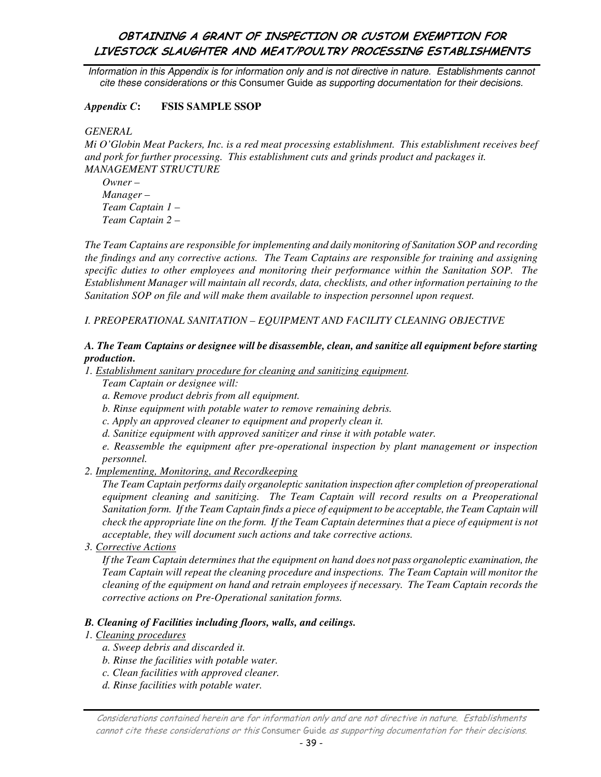Information in this Appendix is for information only and is not directive in nature. Establishments cannot cite these considerations or this Consumer Guide as supporting documentation for their decisions.

#### *Appendix C***: FSIS SAMPLE SSOP**

*GENERAL* 

*Mi O'Globin Meat Packers, Inc. is a red meat processing establishment. This establishment receives beef and pork for further processing. This establishment cuts and grinds product and packages it. MANAGEMENT STRUCTURE* 

*Owner – Manager – Team Captain 1 – Team Captain 2 –* 

*The Team Captains are responsible for implementing and daily monitoring of Sanitation SOP and recording the findings and any corrective actions. The Team Captains are responsible for training and assigning specific duties to other employees and monitoring their performance within the Sanitation SOP. The Establishment Manager will maintain all records, data, checklists, and other information pertaining to the Sanitation SOP on file and will make them available to inspection personnel upon request.* 

#### *I. PREOPERATIONAL SANITATION – EQUIPMENT AND FACILITY CLEANING OBJECTIVE*

#### *A. The Team Captains or designee will be disassemble, clean, and sanitize all equipment before starting production.*

*1. Establishment sanitary procedure for cleaning and sanitizing equipment.* 

- *Team Captain or designee will:*
- *a. Remove product debris from all equipment.*
- *b. Rinse equipment with potable water to remove remaining debris.*
- *c. Apply an approved cleaner to equipment and properly clean it.*
- *d. Sanitize equipment with approved sanitizer and rinse it with potable water.*

*e. Reassemble the equipment after pre-operational inspection by plant management or inspection personnel.* 

*2. Implementing, Monitoring, and Recordkeeping*

*The Team Captain performs daily organoleptic sanitation inspection after completion of preoperational*  equipment cleaning and sanitizing. The Team Captain will record results on a Preoperational *Sanitation form. If the Team Captain finds a piece of equipment to be acceptable, the Team Captain will check the appropriate line on the form. If the Team Captain determines that a piece of equipment is not acceptable, they will document such actions and take corrective actions.* 

*3. Corrective Actions*

*If the Team Captain determines that the equipment on hand does not pass organoleptic examination, the Team Captain will repeat the cleaning procedure and inspections. The Team Captain will monitor the cleaning of the equipment on hand and retrain employees if necessary. The Team Captain records the corrective actions on Pre-Operational sanitation forms.* 

#### *B. Cleaning of Facilities including floors, walls, and ceilings.*

#### *1. Cleaning procedures*

- *a. Sweep debris and discarded it.*
- *b. Rinse the facilities with potable water.*
- *c. Clean facilities with approved cleaner.*
- *d. Rinse facilities with potable water.*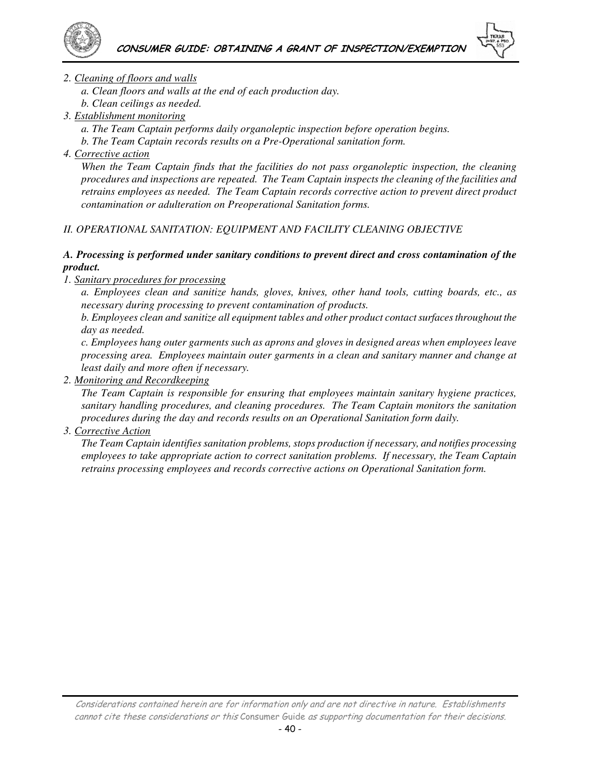



#### *2. Cleaning of floors and walls*

*a. Clean floors and walls at the end of each production day.* 

*b. Clean ceilings as needed.* 

- *3. Establishment monitoring*
	- *a. The Team Captain performs daily organoleptic inspection before operation begins.*
	- *b. The Team Captain records results on a Pre-Operational sanitation form.*
- *4. Corrective action*

*When the Team Captain finds that the facilities do not pass organoleptic inspection, the cleaning procedures and inspections are repeated. The Team Captain inspects the cleaning of the facilities and retrains employees as needed. The Team Captain records corrective action to prevent direct product contamination or adulteration on Preoperational Sanitation forms.* 

### *II. OPERATIONAL SANITATION: EQUIPMENT AND FACILITY CLEANING OBJECTIVE*

#### *A. Processing is performed under sanitary conditions to prevent direct and cross contamination of the product.*

#### *1. Sanitary procedures for processing*

*a. Employees clean and sanitize hands, gloves, knives, other hand tools, cutting boards, etc., as necessary during processing to prevent contamination of products.* 

*b. Employees clean and sanitize all equipment tables and other product contact surfaces throughout the day as needed.* 

*c. Employees hang outer garments such as aprons and gloves in designed areas when employees leave processing area. Employees maintain outer garments in a clean and sanitary manner and change at least daily and more often if necessary.* 

### *2. Monitoring and Recordkeeping*

*The Team Captain is responsible for ensuring that employees maintain sanitary hygiene practices, sanitary handling procedures, and cleaning procedures. The Team Captain monitors the sanitation procedures during the day and records results on an Operational Sanitation form daily.* 

### *3. Corrective Action*

*The Team Captain identifies sanitation problems, stops production if necessary, and notifies processing employees to take appropriate action to correct sanitation problems. If necessary, the Team Captain retrains processing employees and records corrective actions on Operational Sanitation form.*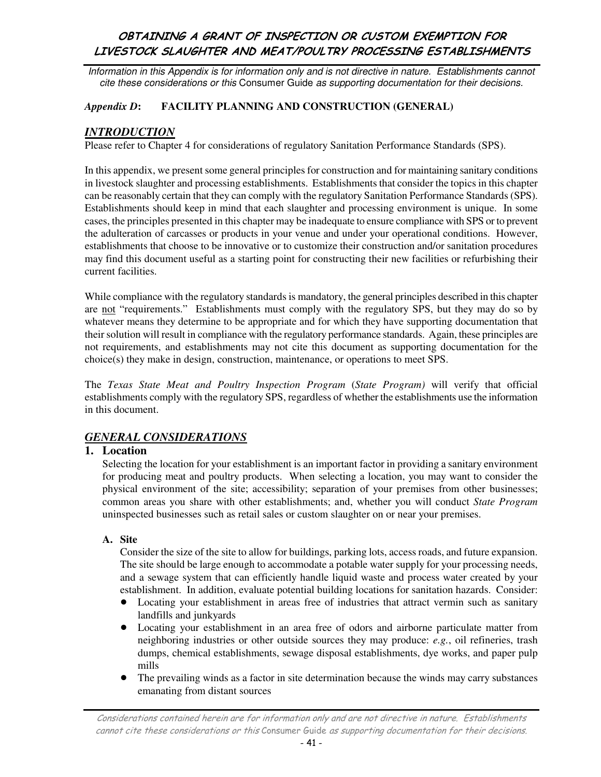Information in this Appendix is for information only and is not directive in nature. Establishments cannot cite these considerations or this Consumer Guide as supporting documentation for their decisions.

#### *Appendix D***: FACILITY PLANNING AND CONSTRUCTION (GENERAL)**

### *INTRODUCTION*

Please refer to Chapter 4 for considerations of regulatory Sanitation Performance Standards (SPS).

In this appendix, we present some general principles for construction and for maintaining sanitary conditions in livestock slaughter and processing establishments. Establishments that consider the topics in this chapter can be reasonably certain that they can comply with the regulatory Sanitation Performance Standards (SPS). Establishments should keep in mind that each slaughter and processing environment is unique. In some cases, the principles presented in this chapter may be inadequate to ensure compliance with SPS or to prevent the adulteration of carcasses or products in your venue and under your operational conditions. However, establishments that choose to be innovative or to customize their construction and/or sanitation procedures may find this document useful as a starting point for constructing their new facilities or refurbishing their current facilities.

While compliance with the regulatory standards is mandatory, the general principles described in this chapter are not "requirements." Establishments must comply with the regulatory SPS, but they may do so by whatever means they determine to be appropriate and for which they have supporting documentation that their solution will result in compliance with the regulatory performance standards. Again, these principles are not requirements, and establishments may not cite this document as supporting documentation for the choice(s) they make in design, construction, maintenance, or operations to meet SPS.

The *Texas State Meat and Poultry Inspection Program* (*State Program)* will verify that official establishments comply with the regulatory SPS, regardless of whether the establishments use the information in this document.

# *GENERAL CONSIDERATIONS*

### **1. Location**

Selecting the location for your establishment is an important factor in providing a sanitary environment for producing meat and poultry products. When selecting a location, you may want to consider the physical environment of the site; accessibility; separation of your premises from other businesses; common areas you share with other establishments; and, whether you will conduct *State Program*  uninspected businesses such as retail sales or custom slaughter on or near your premises.

#### **A. Site**

Consider the size of the site to allow for buildings, parking lots, access roads, and future expansion. The site should be large enough to accommodate a potable water supply for your processing needs, and a sewage system that can efficiently handle liquid waste and process water created by your establishment. In addition, evaluate potential building locations for sanitation hazards. Consider:

- ! Locating your establishment in areas free of industries that attract vermin such as sanitary landfills and junkyards
- ! Locating your establishment in an area free of odors and airborne particulate matter from neighboring industries or other outside sources they may produce: *e.g.*, oil refineries, trash dumps, chemical establishments, sewage disposal establishments, dye works, and paper pulp mills
- The prevailing winds as a factor in site determination because the winds may carry substances emanating from distant sources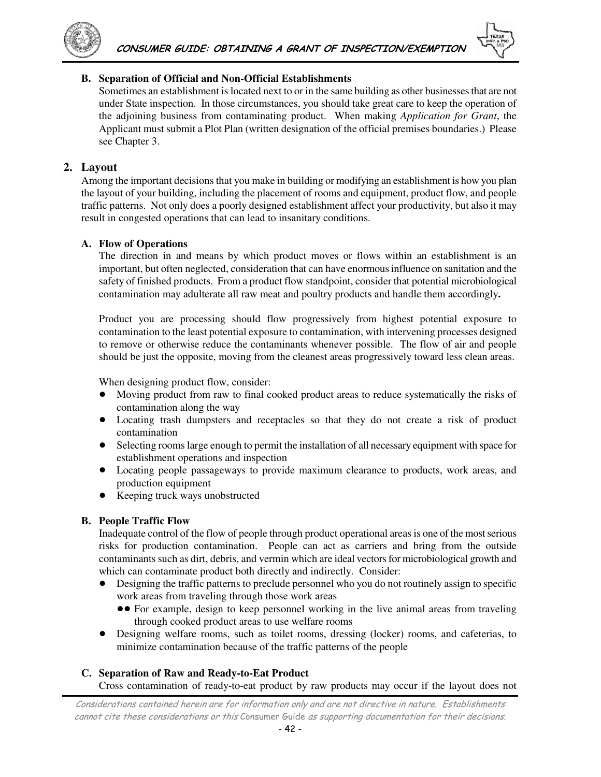



#### **B. Separation of Official and Non-Official Establishments**

Sometimes an establishment is located next to or in the same building as other businesses that are not under State inspection. In those circumstances, you should take great care to keep the operation of the adjoining business from contaminating product. When making *Application for Grant*, the Applicant must submit a Plot Plan (written designation of the official premises boundaries.) Please see Chapter 3.

#### **2. Layout**

Among the important decisions that you make in building or modifying an establishment is how you plan the layout of your building, including the placement of rooms and equipment, product flow, and people traffic patterns. Not only does a poorly designed establishment affect your productivity, but also it may result in congested operations that can lead to insanitary conditions.

#### **A. Flow of Operations**

The direction in and means by which product moves or flows within an establishment is an important, but often neglected, consideration that can have enormous influence on sanitation and the safety of finished products. From a product flow standpoint, consider that potential microbiological contamination may adulterate all raw meat and poultry products and handle them accordingly**.** 

Product you are processing should flow progressively from highest potential exposure to contamination to the least potential exposure to contamination, with intervening processes designed to remove or otherwise reduce the contaminants whenever possible. The flow of air and people should be just the opposite, moving from the cleanest areas progressively toward less clean areas.

When designing product flow, consider:

- ! Moving product from raw to final cooked product areas to reduce systematically the risks of contamination along the way
- ! Locating trash dumpsters and receptacles so that they do not create a risk of product contamination
- Selecting rooms large enough to permit the installation of all necessary equipment with space for establishment operations and inspection
- ! Locating people passageways to provide maximum clearance to products, work areas, and production equipment
- Keeping truck ways unobstructed

#### **B. People Traffic Flow**

Inadequate control of the flow of people through product operational areas is one of the most serious risks for production contamination. People can act as carriers and bring from the outside contaminants such as dirt, debris, and vermin which are ideal vectors for microbiological growth and which can contaminate product both directly and indirectly. Consider:

- ! Designing the traffic patterns to preclude personnel who you do not routinely assign to specific work areas from traveling through those work areas
	- !! For example, design to keep personnel working in the live animal areas from traveling through cooked product areas to use welfare rooms
- ! Designing welfare rooms, such as toilet rooms, dressing (locker) rooms, and cafeterias, to minimize contamination because of the traffic patterns of the people

#### **C. Separation of Raw and Ready-to-Eat Product**

Cross contamination of ready-to-eat product by raw products may occur if the layout does not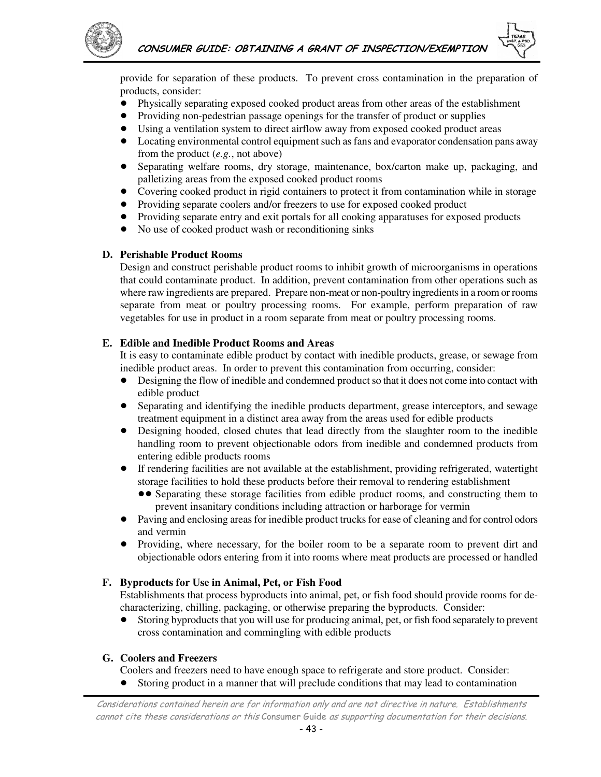

provide for separation of these products. To prevent cross contamination in the preparation of products, consider:

- ! Physically separating exposed cooked product areas from other areas of the establishment
- ! Providing non-pedestrian passage openings for the transfer of product or supplies
- ! Using a ventilation system to direct airflow away from exposed cooked product areas
- ! Locating environmental control equipment such as fans and evaporator condensation pans away from the product (*e.g.*, not above)
- ! Separating welfare rooms, dry storage, maintenance, box/carton make up, packaging, and palletizing areas from the exposed cooked product rooms
- Covering cooked product in rigid containers to protect it from contamination while in storage
- ! Providing separate coolers and/or freezers to use for exposed cooked product
- ! Providing separate entry and exit portals for all cooking apparatuses for exposed products
- No use of cooked product wash or reconditioning sinks

#### **D. Perishable Product Rooms**

Design and construct perishable product rooms to inhibit growth of microorganisms in operations that could contaminate product. In addition, prevent contamination from other operations such as where raw ingredients are prepared. Prepare non-meat or non-poultry ingredients in a room or rooms separate from meat or poultry processing rooms. For example, perform preparation of raw vegetables for use in product in a room separate from meat or poultry processing rooms.

#### **E. Edible and Inedible Product Rooms and Areas**

It is easy to contaminate edible product by contact with inedible products, grease, or sewage from inedible product areas. In order to prevent this contamination from occurring, consider:

- Designing the flow of inedible and condemned product so that it does not come into contact with edible product
- ! Separating and identifying the inedible products department, grease interceptors, and sewage treatment equipment in a distinct area away from the areas used for edible products
- ! Designing hooded, closed chutes that lead directly from the slaughter room to the inedible handling room to prevent objectionable odors from inedible and condemned products from entering edible products rooms
- ! If rendering facilities are not available at the establishment, providing refrigerated, watertight storage facilities to hold these products before their removal to rendering establishment
	- !! Separating these storage facilities from edible product rooms, and constructing them to prevent insanitary conditions including attraction or harborage for vermin
- ! Paving and enclosing areas for inedible product trucks for ease of cleaning and for control odors and vermin
- ! Providing, where necessary, for the boiler room to be a separate room to prevent dirt and objectionable odors entering from it into rooms where meat products are processed or handled

#### **F. Byproducts for Use in Animal, Pet, or Fish Food**

Establishments that process byproducts into animal, pet, or fish food should provide rooms for decharacterizing, chilling, packaging, or otherwise preparing the byproducts. Consider:

! Storing byproducts that you will use for producing animal, pet, or fish food separately to prevent cross contamination and commingling with edible products

#### **G. Coolers and Freezers**

Coolers and freezers need to have enough space to refrigerate and store product. Consider:

! Storing product in a manner that will preclude conditions that may lead to contamination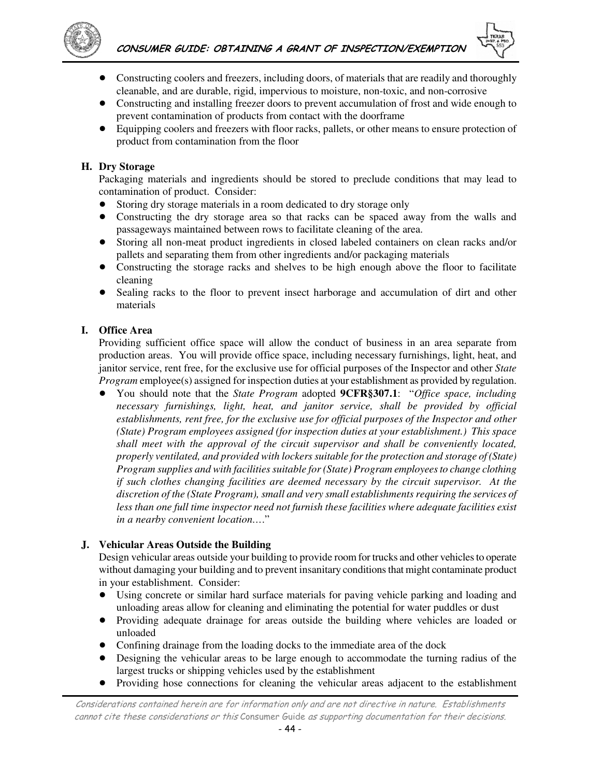

- ! Constructing coolers and freezers, including doors, of materials that are readily and thoroughly cleanable, and are durable, rigid, impervious to moisture, non-toxic, and non-corrosive
- ! Constructing and installing freezer doors to prevent accumulation of frost and wide enough to prevent contamination of products from contact with the doorframe
- ! Equipping coolers and freezers with floor racks, pallets, or other means to ensure protection of product from contamination from the floor

#### **H. Dry Storage**

Packaging materials and ingredients should be stored to preclude conditions that may lead to contamination of product. Consider:

- ! Storing dry storage materials in a room dedicated to dry storage only
- ! Constructing the dry storage area so that racks can be spaced away from the walls and passageways maintained between rows to facilitate cleaning of the area.
- ! Storing all non-meat product ingredients in closed labeled containers on clean racks and/or pallets and separating them from other ingredients and/or packaging materials
- Constructing the storage racks and shelves to be high enough above the floor to facilitate cleaning
- Sealing racks to the floor to prevent insect harborage and accumulation of dirt and other materials

#### **I. Office Area**

Providing sufficient office space will allow the conduct of business in an area separate from production areas. You will provide office space, including necessary furnishings, light, heat, and janitor service, rent free, for the exclusive use for official purposes of the Inspector and other *State Program* employee(s) assigned for inspection duties at your establishment as provided by regulation.

! You should note that the *State Program* adopted **9CFR§307.1**: "*Office space, including necessary furnishings, light, heat, and janitor service, shall be provided by official establishments, rent free, for the exclusive use for official purposes of the Inspector and other (State) Program employees assigned (for inspection duties at your establishment.) This space shall meet with the approval of the circuit supervisor and shall be conveniently located, properly ventilated, and provided with lockers suitable for the protection and storage of (State) Program supplies and with facilities suitable for (State) Program employees to change clothing if such clothes changing facilities are deemed necessary by the circuit supervisor. At the discretion of the (State Program), small and very small establishments requiring the services of less than one full time inspector need not furnish these facilities where adequate facilities exist in a nearby convenient location…*."

#### **J. Vehicular Areas Outside the Building**

Design vehicular areas outside your building to provide room for trucks and other vehicles to operate without damaging your building and to prevent insanitary conditions that might contaminate product in your establishment. Consider:

- ! Using concrete or similar hard surface materials for paving vehicle parking and loading and unloading areas allow for cleaning and eliminating the potential for water puddles or dust
- ! Providing adequate drainage for areas outside the building where vehicles are loaded or unloaded
- ! Confining drainage from the loading docks to the immediate area of the dock
- ! Designing the vehicular areas to be large enough to accommodate the turning radius of the largest trucks or shipping vehicles used by the establishment
- ! Providing hose connections for cleaning the vehicular areas adjacent to the establishment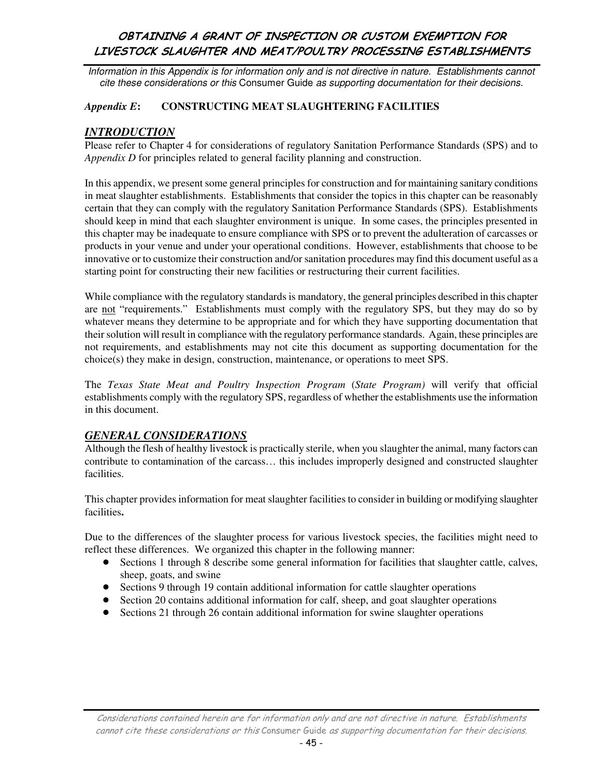Information in this Appendix is for information only and is not directive in nature. Establishments cannot cite these considerations or this Consumer Guide as supporting documentation for their decisions.

#### *Appendix E***: CONSTRUCTING MEAT SLAUGHTERING FACILITIES**

### *INTRODUCTION*

Please refer to Chapter 4 for considerations of regulatory Sanitation Performance Standards (SPS) and to *Appendix D* for principles related to general facility planning and construction.

In this appendix, we present some general principles for construction and for maintaining sanitary conditions in meat slaughter establishments. Establishments that consider the topics in this chapter can be reasonably certain that they can comply with the regulatory Sanitation Performance Standards (SPS). Establishments should keep in mind that each slaughter environment is unique. In some cases, the principles presented in this chapter may be inadequate to ensure compliance with SPS or to prevent the adulteration of carcasses or products in your venue and under your operational conditions. However, establishments that choose to be innovative or to customize their construction and/or sanitation procedures may find this document useful as a starting point for constructing their new facilities or restructuring their current facilities.

While compliance with the regulatory standards is mandatory, the general principles described in this chapter are not "requirements." Establishments must comply with the regulatory SPS, but they may do so by whatever means they determine to be appropriate and for which they have supporting documentation that their solution will result in compliance with the regulatory performance standards. Again, these principles are not requirements, and establishments may not cite this document as supporting documentation for the choice(s) they make in design, construction, maintenance, or operations to meet SPS.

The *Texas State Meat and Poultry Inspection Program* (*State Program)* will verify that official establishments comply with the regulatory SPS, regardless of whether the establishments use the information in this document.

### *GENERAL CONSIDERATIONS*

Although the flesh of healthy livestock is practically sterile, when you slaughter the animal, many factors can contribute to contamination of the carcass… this includes improperly designed and constructed slaughter facilities.

This chapter provides information for meat slaughter facilities to consider in building or modifying slaughter facilities**.** 

Due to the differences of the slaughter process for various livestock species, the facilities might need to reflect these differences. We organized this chapter in the following manner:

- ! Sections 1 through 8 describe some general information for facilities that slaughter cattle, calves, sheep, goats, and swine
- Sections 9 through 19 contain additional information for cattle slaughter operations
- Section 20 contains additional information for calf, sheep, and goat slaughter operations
- Sections 21 through 26 contain additional information for swine slaughter operations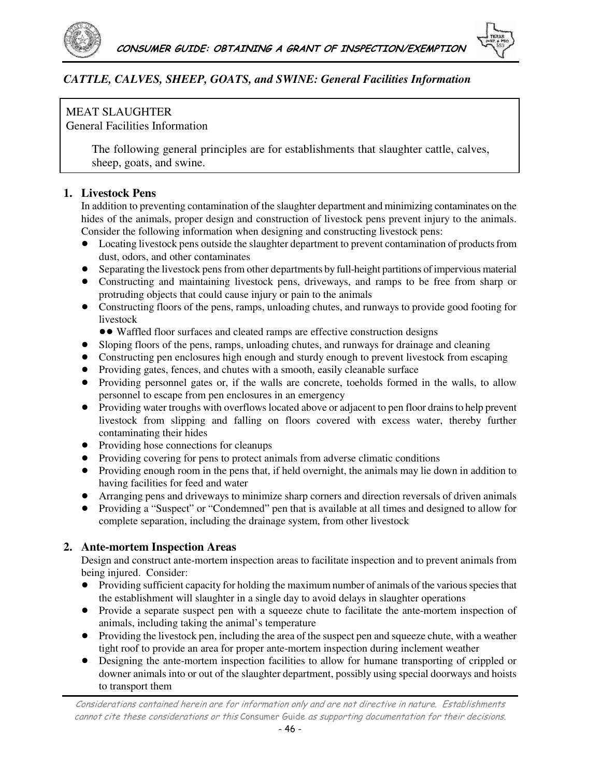



# *CATTLE, CALVES, SHEEP, GOATS, and SWINE: General Facilities Information*

# MEAT SLAUGHTER

General Facilities Information

The following general principles are for establishments that slaughter cattle, calves, sheep, goats, and swine.

# **1. Livestock Pens**

In addition to preventing contamination of the slaughter department and minimizing contaminates on the hides of the animals, proper design and construction of livestock pens prevent injury to the animals. Consider the following information when designing and constructing livestock pens:

- Locating livestock pens outside the slaughter department to prevent contamination of products from dust, odors, and other contaminates
- Separating the livestock pens from other departments by full-height partitions of impervious material
- ! Constructing and maintaining livestock pens, driveways, and ramps to be free from sharp or protruding objects that could cause injury or pain to the animals
- Constructing floors of the pens, ramps, unloading chutes, and runways to provide good footing for livestock
	- Waffled floor surfaces and cleated ramps are effective construction designs
- ! Sloping floors of the pens, ramps, unloading chutes, and runways for drainage and cleaning
- Constructing pen enclosures high enough and sturdy enough to prevent livestock from escaping
- ! Providing gates, fences, and chutes with a smooth, easily cleanable surface
- Providing personnel gates or, if the walls are concrete, toeholds formed in the walls, to allow personnel to escape from pen enclosures in an emergency
- ! Providing water troughs with overflows located above or adjacent to pen floor drains to help prevent livestock from slipping and falling on floors covered with excess water, thereby further contaminating their hides
- ! Providing hose connections for cleanups
- ! Providing covering for pens to protect animals from adverse climatic conditions
- Providing enough room in the pens that, if held overnight, the animals may lie down in addition to having facilities for feed and water
- ! Arranging pens and driveways to minimize sharp corners and direction reversals of driven animals
- ! Providing a "Suspect" or "Condemned" pen that is available at all times and designed to allow for complete separation, including the drainage system, from other livestock

# **2. Ante-mortem Inspection Areas**

Design and construct ante-mortem inspection areas to facilitate inspection and to prevent animals from being injured. Consider:

- ! Providing sufficient capacity for holding the maximum number of animals of the various species that the establishment will slaughter in a single day to avoid delays in slaughter operations
- Provide a separate suspect pen with a squeeze chute to facilitate the ante-mortem inspection of animals, including taking the animal's temperature
- ! Providing the livestock pen, including the area of the suspect pen and squeeze chute, with a weather tight roof to provide an area for proper ante-mortem inspection during inclement weather
- ! Designing the ante-mortem inspection facilities to allow for humane transporting of crippled or downer animals into or out of the slaughter department, possibly using special doorways and hoists to transport them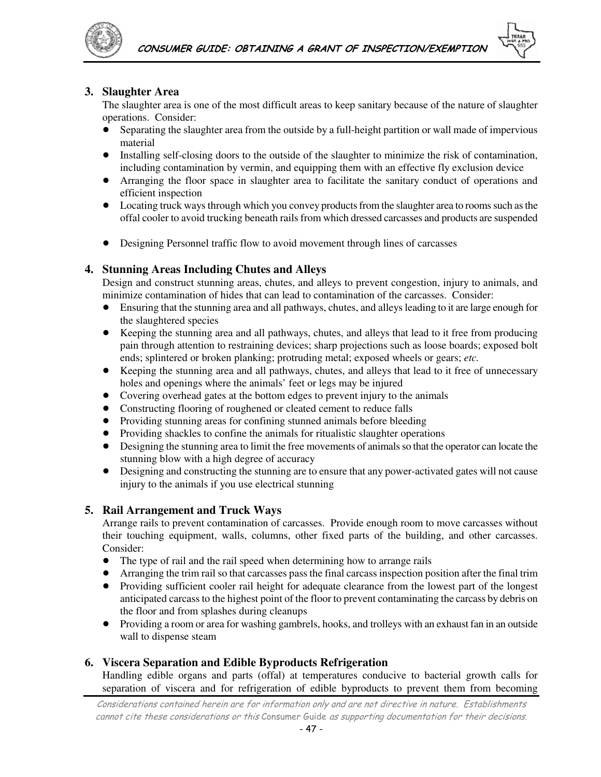

#### **3. Slaughter Area**

The slaughter area is one of the most difficult areas to keep sanitary because of the nature of slaughter operations. Consider:

- ! Separating the slaughter area from the outside by a full-height partition or wall made of impervious material
- ! Installing self-closing doors to the outside of the slaughter to minimize the risk of contamination, including contamination by vermin, and equipping them with an effective fly exclusion device
- ! Arranging the floor space in slaughter area to facilitate the sanitary conduct of operations and efficient inspection
- ! Locating truck ways through which you convey products from the slaughter area to rooms such as the offal cooler to avoid trucking beneath rails from which dressed carcasses and products are suspended
- ! Designing Personnel traffic flow to avoid movement through lines of carcasses

#### **4. Stunning Areas Including Chutes and Alleys**

Design and construct stunning areas, chutes, and alleys to prevent congestion, injury to animals, and minimize contamination of hides that can lead to contamination of the carcasses. Consider:

- ! Ensuring that the stunning area and all pathways, chutes, and alleys leading to it are large enough for the slaughtered species
- ! Keeping the stunning area and all pathways, chutes, and alleys that lead to it free from producing pain through attention to restraining devices; sharp projections such as loose boards; exposed bolt ends; splintered or broken planking; protruding metal; exposed wheels or gears; *etc.*
- ! Keeping the stunning area and all pathways, chutes, and alleys that lead to it free of unnecessary holes and openings where the animals' feet or legs may be injured
- Covering overhead gates at the bottom edges to prevent injury to the animals
- Constructing flooring of roughened or cleated cement to reduce falls
- ! Providing stunning areas for confining stunned animals before bleeding
- Providing shackles to confine the animals for ritualistic slaughter operations
- ! Designing the stunning area to limit the free movements of animals so that the operator can locate the stunning blow with a high degree of accuracy
- ! Designing and constructing the stunning are to ensure that any power-activated gates will not cause injury to the animals if you use electrical stunning

#### **5. Rail Arrangement and Truck Ways**

Arrange rails to prevent contamination of carcasses. Provide enough room to move carcasses without their touching equipment, walls, columns, other fixed parts of the building, and other carcasses. Consider:

- The type of rail and the rail speed when determining how to arrange rails
- ! Arranging the trim rail so that carcasses pass the final carcass inspection position after the final trim
- Providing sufficient cooler rail height for adequate clearance from the lowest part of the longest anticipated carcass to the highest point of the floor to prevent contaminating the carcass by debris on the floor and from splashes during cleanups
- ! Providing a room or area for washing gambrels, hooks, and trolleys with an exhaust fan in an outside wall to dispense steam

#### **6. Viscera Separation and Edible Byproducts Refrigeration**

Handling edible organs and parts (offal) at temperatures conducive to bacterial growth calls for separation of viscera and for refrigeration of edible byproducts to prevent them from becoming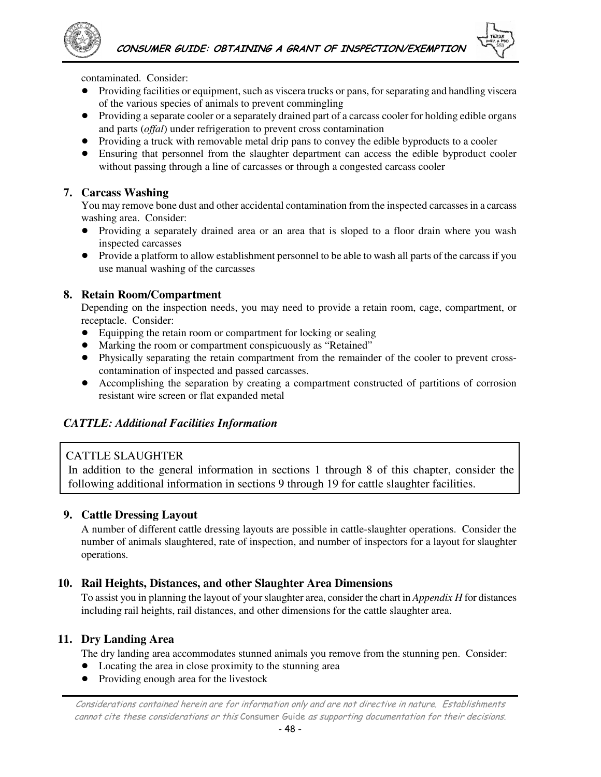

contaminated. Consider:

- ! Providing facilities or equipment, such as viscera trucks or pans, for separating and handling viscera of the various species of animals to prevent commingling
- ! Providing a separate cooler or a separately drained part of a carcass cooler for holding edible organs and parts (*offal*) under refrigeration to prevent cross contamination
- Providing a truck with removable metal drip pans to convey the edible byproducts to a cooler
- Ensuring that personnel from the slaughter department can access the edible byproduct cooler without passing through a line of carcasses or through a congested carcass cooler

#### **7. Carcass Washing**

You may remove bone dust and other accidental contamination from the inspected carcasses in a carcass washing area. Consider:

- ! Providing a separately drained area or an area that is sloped to a floor drain where you wash inspected carcasses
- Provide a platform to allow establishment personnel to be able to wash all parts of the carcass if you use manual washing of the carcasses

#### **8. Retain Room/Compartment**

Depending on the inspection needs, you may need to provide a retain room, cage, compartment, or receptacle. Consider:

- ! Equipping the retain room or compartment for locking or sealing
- ! Marking the room or compartment conspicuously as "Retained"
- ! Physically separating the retain compartment from the remainder of the cooler to prevent crosscontamination of inspected and passed carcasses.
- ! Accomplishing the separation by creating a compartment constructed of partitions of corrosion resistant wire screen or flat expanded metal

### *CATTLE: Additional Facilities Information*

### CATTLE SLAUGHTER

In addition to the general information in sections 1 through 8 of this chapter, consider the following additional information in sections 9 through 19 for cattle slaughter facilities.

#### **9. Cattle Dressing Layout**

A number of different cattle dressing layouts are possible in cattle-slaughter operations. Consider the number of animals slaughtered, rate of inspection, and number of inspectors for a layout for slaughter operations.

#### **10. Rail Heights, Distances, and other Slaughter Area Dimensions**

To assist you in planning the layout of your slaughter area, consider the chart in *Appendix H* for distances including rail heights, rail distances, and other dimensions for the cattle slaughter area.

#### **11. Dry Landing Area**

The dry landing area accommodates stunned animals you remove from the stunning pen. Consider:

- Locating the area in close proximity to the stunning area
- Providing enough area for the livestock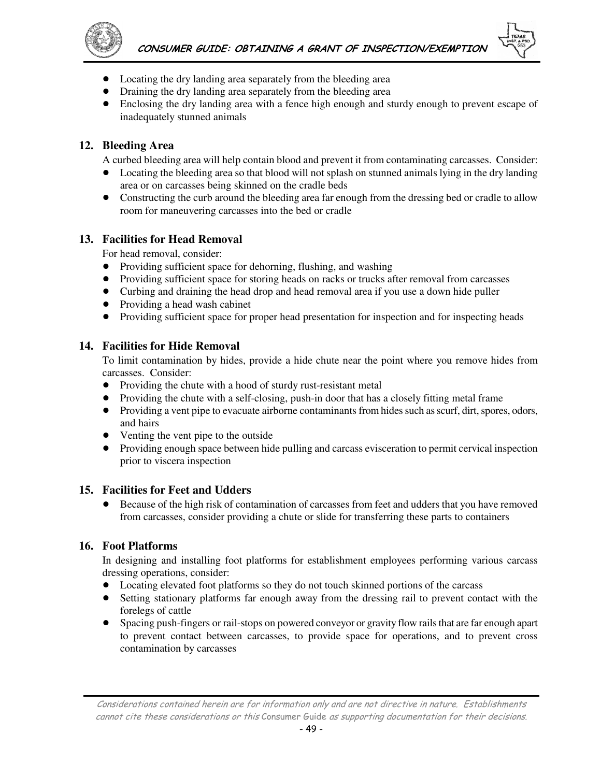

- Locating the dry landing area separately from the bleeding area
- Draining the dry landing area separately from the bleeding area
- ! Enclosing the dry landing area with a fence high enough and sturdy enough to prevent escape of inadequately stunned animals

### **12. Bleeding Area**

A curbed bleeding area will help contain blood and prevent it from contaminating carcasses. Consider:

- Locating the bleeding area so that blood will not splash on stunned animals lying in the dry landing area or on carcasses being skinned on the cradle beds
- Constructing the curb around the bleeding area far enough from the dressing bed or cradle to allow room for maneuvering carcasses into the bed or cradle

### **13. Facilities for Head Removal**

For head removal, consider:

- Providing sufficient space for dehorning, flushing, and washing
- Providing sufficient space for storing heads on racks or trucks after removal from carcasses
- Curbing and draining the head drop and head removal area if you use a down hide puller
- Providing a head wash cabinet
- Providing sufficient space for proper head presentation for inspection and for inspecting heads

#### **14. Facilities for Hide Removal**

To limit contamination by hides, provide a hide chute near the point where you remove hides from carcasses. Consider:

- Providing the chute with a hood of sturdy rust-resistant metal
- Providing the chute with a self-closing, push-in door that has a closely fitting metal frame
- ! Providing a vent pipe to evacuate airborne contaminants from hides such as scurf, dirt, spores, odors, and hairs
- Venting the vent pipe to the outside
- Providing enough space between hide pulling and carcass evisceration to permit cervical inspection prior to viscera inspection

#### **15. Facilities for Feet and Udders**

! Because of the high risk of contamination of carcasses from feet and udders that you have removed from carcasses, consider providing a chute or slide for transferring these parts to containers

#### **16. Foot Platforms**

In designing and installing foot platforms for establishment employees performing various carcass dressing operations, consider:

- Locating elevated foot platforms so they do not touch skinned portions of the carcass
- ! Setting stationary platforms far enough away from the dressing rail to prevent contact with the forelegs of cattle
- ! Spacing push-fingers or rail-stops on powered conveyor or gravity flow rails that are far enough apart to prevent contact between carcasses, to provide space for operations, and to prevent cross contamination by carcasses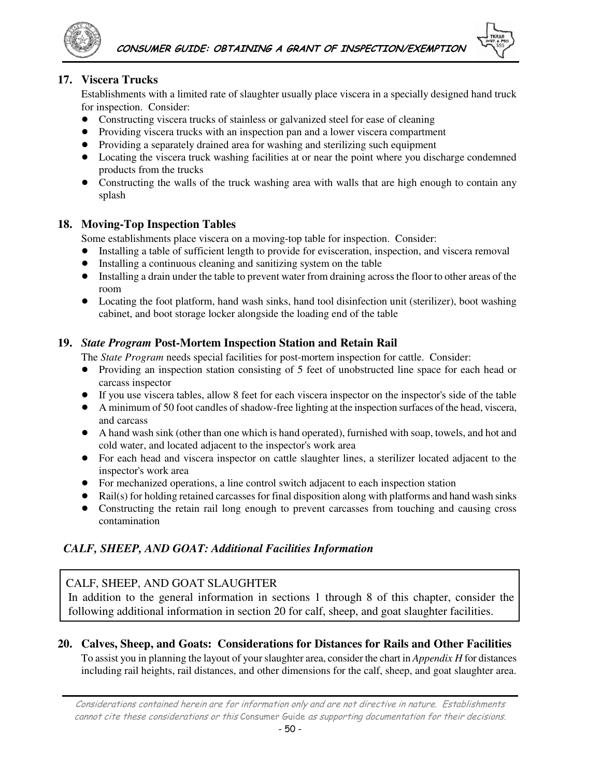

### **17. Viscera Trucks**

Establishments with a limited rate of slaughter usually place viscera in a specially designed hand truck for inspection. Consider:

- ! Constructing viscera trucks of stainless or galvanized steel for ease of cleaning
- ! Providing viscera trucks with an inspection pan and a lower viscera compartment
- ! Providing a separately drained area for washing and sterilizing such equipment
- Locating the viscera truck washing facilities at or near the point where you discharge condemned products from the trucks
- Constructing the walls of the truck washing area with walls that are high enough to contain any splash

#### **18. Moving-Top Inspection Tables**

Some establishments place viscera on a moving-top table for inspection. Consider:

- ! Installing a table of sufficient length to provide for evisceration, inspection, and viscera removal
- ! Installing a continuous cleaning and sanitizing system on the table
- ! Installing a drain under the table to prevent water from draining across the floor to other areas of the room
- Locating the foot platform, hand wash sinks, hand tool disinfection unit (sterilizer), boot washing cabinet, and boot storage locker alongside the loading end of the table

#### **19.** *State Program* **Post-Mortem Inspection Station and Retain Rail**

The *State Program* needs special facilities for post-mortem inspection for cattle. Consider:

- Providing an inspection station consisting of 5 feet of unobstructed line space for each head or carcass inspector
- If you use viscera tables, allow 8 feet for each viscera inspector on the inspector's side of the table
- ! A minimum of 50 foot candles of shadow-free lighting at the inspection surfaces of the head, viscera, and carcass
- A hand wash sink (other than one which is hand operated), furnished with soap, towels, and hot and cold water, and located adjacent to the inspector's work area
- ! For each head and viscera inspector on cattle slaughter lines, a sterilizer located adjacent to the inspector's work area
- For mechanized operations, a line control switch adjacent to each inspection station
- ! Rail(s) for holding retained carcasses for final disposition along with platforms and hand wash sinks
- Constructing the retain rail long enough to prevent carcasses from touching and causing cross contamination

### *CALF, SHEEP, AND GOAT: Additional Facilities Information*

# CALF, SHEEP, AND GOAT SLAUGHTER

In addition to the general information in sections 1 through 8 of this chapter, consider the following additional information in section 20 for calf, sheep, and goat slaughter facilities.

#### **20. Calves, Sheep, and Goats: Considerations for Distances for Rails and Other Facilities**

To assist you in planning the layout of your slaughter area, consider the chart in *Appendix H* for distances including rail heights, rail distances, and other dimensions for the calf, sheep, and goat slaughter area.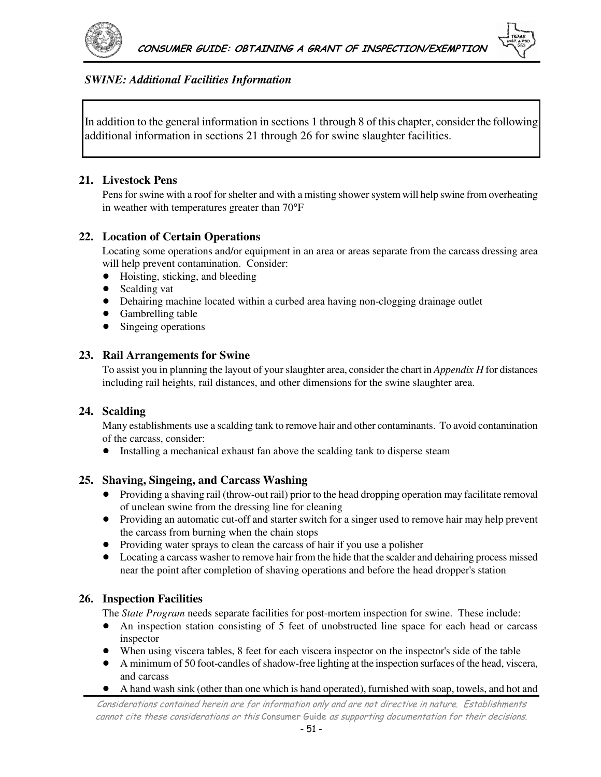

#### *SWINE: Additional Facilities Information*

In addition to the general information in sections 1 through 8 of this chapter, consider the following additional information in sections 21 through 26 for swine slaughter facilities.

#### **21. Livestock Pens**

Pens for swine with a roof for shelter and with a misting shower system will help swine from overheating in weather with temperatures greater than 70°F

#### **22. Location of Certain Operations**

Locating some operations and/or equipment in an area or areas separate from the carcass dressing area will help prevent contamination. Consider:

- $\bullet$  Hoisting, sticking, and bleeding
- Scalding vat
- ! Dehairing machine located within a curbed area having non-clogging drainage outlet
- Gambrelling table
- Singeing operations

#### **23. Rail Arrangements for Swine**

To assist you in planning the layout of your slaughter area, consider the chart in *Appendix H* for distances including rail heights, rail distances, and other dimensions for the swine slaughter area.

#### **24. Scalding**

Many establishments use a scalding tank to remove hair and other contaminants. To avoid contamination of the carcass, consider:

• Installing a mechanical exhaust fan above the scalding tank to disperse steam

#### **25. Shaving, Singeing, and Carcass Washing**

- ! Providing a shaving rail (throw-out rail) prior to the head dropping operation may facilitate removal of unclean swine from the dressing line for cleaning
- ! Providing an automatic cut-off and starter switch for a singer used to remove hair may help prevent the carcass from burning when the chain stops
- ! Providing water sprays to clean the carcass of hair if you use a polisher
- Locating a carcass washer to remove hair from the hide that the scalder and dehairing process missed near the point after completion of shaving operations and before the head dropper's station

#### **26. Inspection Facilities**

The *State Program* needs separate facilities for post-mortem inspection for swine. These include:

- An inspection station consisting of 5 feet of unobstructed line space for each head or carcass inspector
- ! When using viscera tables, 8 feet for each viscera inspector on the inspector's side of the table
- ! A minimum of 50 foot-candles of shadow-free lighting at the inspection surfaces of the head, viscera, and carcass
- A hand wash sink (other than one which is hand operated), furnished with soap, towels, and hot and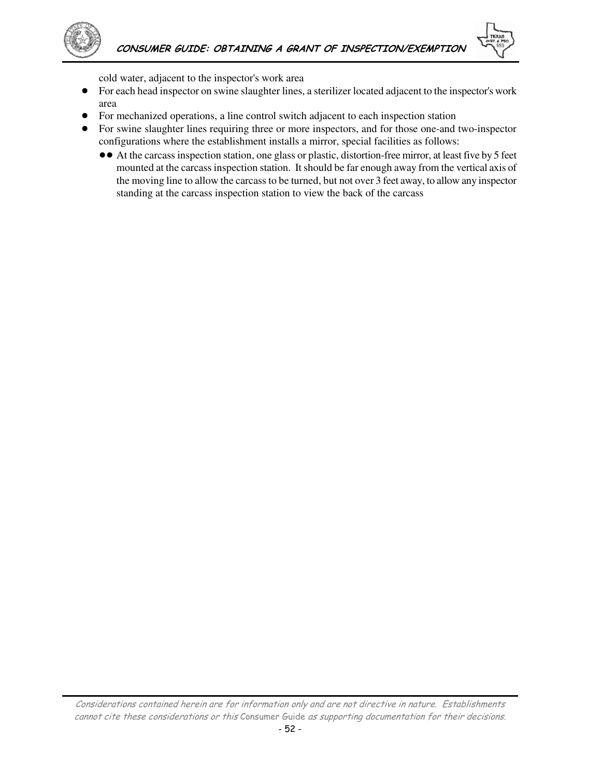



cold water, adjacent to the inspector's work area

- ! For each head inspector on swine slaughter lines, a sterilizer located adjacent to the inspector's work area
- ! For mechanized operations, a line control switch adjacent to each inspection station
- ! For swine slaughter lines requiring three or more inspectors, and for those one-and two-inspector configurations where the establishment installs a mirror, special facilities as follows:
	- !! At the carcass inspection station, one glass or plastic, distortion-free mirror, at least five by 5 feet mounted at the carcass inspection station. It should be far enough away from the vertical axis of the moving line to allow the carcass to be turned, but not over 3 feet away, to allow any inspector standing at the carcass inspection station to view the back of the carcass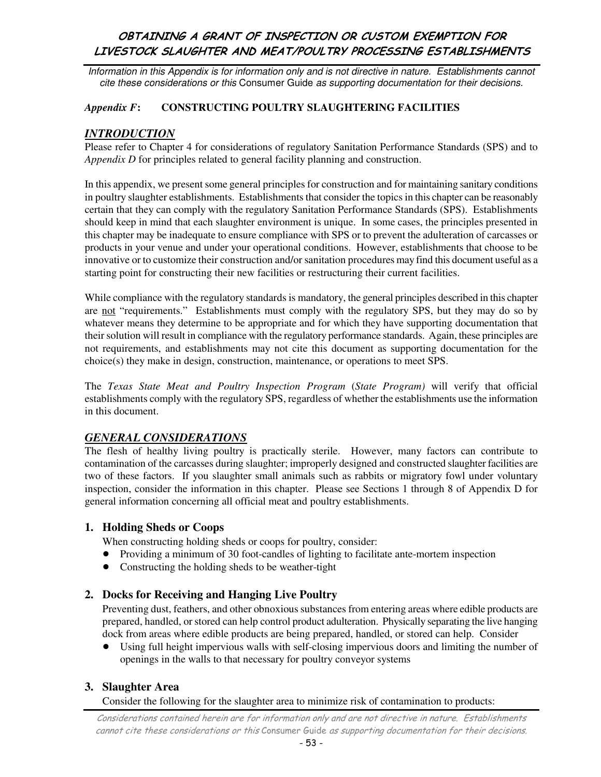Information in this Appendix is for information only and is not directive in nature. Establishments cannot cite these considerations or this Consumer Guide as supporting documentation for their decisions.

#### *Appendix F***: CONSTRUCTING POULTRY SLAUGHTERING FACILITIES**

### *INTRODUCTION*

Please refer to Chapter 4 for considerations of regulatory Sanitation Performance Standards (SPS) and to *Appendix D* for principles related to general facility planning and construction.

In this appendix, we present some general principles for construction and for maintaining sanitary conditions in poultry slaughter establishments. Establishments that consider the topics in this chapter can be reasonably certain that they can comply with the regulatory Sanitation Performance Standards (SPS). Establishments should keep in mind that each slaughter environment is unique. In some cases, the principles presented in this chapter may be inadequate to ensure compliance with SPS or to prevent the adulteration of carcasses or products in your venue and under your operational conditions. However, establishments that choose to be innovative or to customize their construction and/or sanitation procedures may find this document useful as a starting point for constructing their new facilities or restructuring their current facilities.

While compliance with the regulatory standards is mandatory, the general principles described in this chapter are not "requirements." Establishments must comply with the regulatory SPS, but they may do so by whatever means they determine to be appropriate and for which they have supporting documentation that their solution will result in compliance with the regulatory performance standards. Again, these principles are not requirements, and establishments may not cite this document as supporting documentation for the choice(s) they make in design, construction, maintenance, or operations to meet SPS.

The *Texas State Meat and Poultry Inspection Program* (*State Program)* will verify that official establishments comply with the regulatory SPS, regardless of whether the establishments use the information in this document.

### *GENERAL CONSIDERATIONS*

The flesh of healthy living poultry is practically sterile. However, many factors can contribute to contamination of the carcasses during slaughter; improperly designed and constructed slaughter facilities are two of these factors. If you slaughter small animals such as rabbits or migratory fowl under voluntary inspection, consider the information in this chapter. Please see Sections 1 through 8 of Appendix D for general information concerning all official meat and poultry establishments.

#### **1. Holding Sheds or Coops**

When constructing holding sheds or coops for poultry, consider:

- ! Providing a minimum of 30 foot-candles of lighting to facilitate ante-mortem inspection
- Constructing the holding sheds to be weather-tight

#### **2. Docks for Receiving and Hanging Live Poultry**

Preventing dust, feathers, and other obnoxious substances from entering areas where edible products are prepared, handled, or stored can help control product adulteration. Physically separating the live hanging dock from areas where edible products are being prepared, handled, or stored can help. Consider

! Using full height impervious walls with self-closing impervious doors and limiting the number of openings in the walls to that necessary for poultry conveyor systems

#### **3. Slaughter Area**

Consider the following for the slaughter area to minimize risk of contamination to products: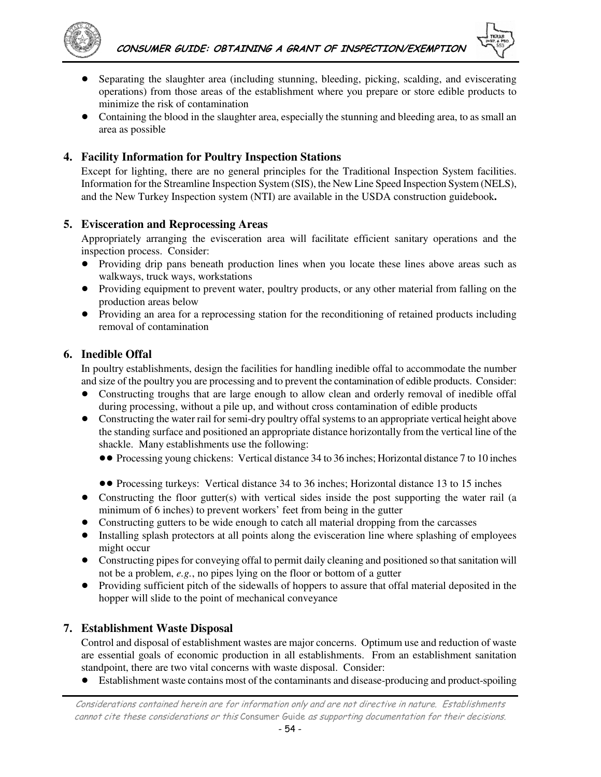

- ! Separating the slaughter area (including stunning, bleeding, picking, scalding, and eviscerating operations) from those areas of the establishment where you prepare or store edible products to minimize the risk of contamination
- ! Containing the blood in the slaughter area, especially the stunning and bleeding area, to as small an area as possible

### **4. Facility Information for Poultry Inspection Stations**

Except for lighting, there are no general principles for the Traditional Inspection System facilities. Information for the Streamline Inspection System (SIS), the New Line Speed Inspection System (NELS), and the New Turkey Inspection system (NTI) are available in the USDA construction guidebook**.** 

#### **5. Evisceration and Reprocessing Areas**

Appropriately arranging the evisceration area will facilitate efficient sanitary operations and the inspection process. Consider:

- ! Providing drip pans beneath production lines when you locate these lines above areas such as walkways, truck ways, workstations
- Providing equipment to prevent water, poultry products, or any other material from falling on the production areas below
- ! Providing an area for a reprocessing station for the reconditioning of retained products including removal of contamination

### **6. Inedible Offal**

In poultry establishments, design the facilities for handling inedible offal to accommodate the number and size of the poultry you are processing and to prevent the contamination of edible products. Consider:

- ! Constructing troughs that are large enough to allow clean and orderly removal of inedible offal during processing, without a pile up, and without cross contamination of edible products
- Constructing the water rail for semi-dry poultry offal systems to an appropriate vertical height above the standing surface and positioned an appropriate distance horizontally from the vertical line of the shackle. Many establishments use the following:
	- !! Processing young chickens: Vertical distance 34 to 36 inches; Horizontal distance 7 to 10 inches
	- !! Processing turkeys: Vertical distance 34 to 36 inches; Horizontal distance 13 to 15 inches
- Constructing the floor gutter(s) with vertical sides inside the post supporting the water rail (a minimum of 6 inches) to prevent workers' feet from being in the gutter
- Constructing gutters to be wide enough to catch all material dropping from the carcasses
- ! Installing splash protectors at all points along the evisceration line where splashing of employees might occur
- ! Constructing pipes for conveying offal to permit daily cleaning and positioned so that sanitation will not be a problem, *e.g.*, no pipes lying on the floor or bottom of a gutter
- ! Providing sufficient pitch of the sidewalls of hoppers to assure that offal material deposited in the hopper will slide to the point of mechanical conveyance

### **7. Establishment Waste Disposal**

Control and disposal of establishment wastes are major concerns. Optimum use and reduction of waste are essential goals of economic production in all establishments. From an establishment sanitation standpoint, there are two vital concerns with waste disposal. Consider:

• Establishment waste contains most of the contaminants and disease-producing and product-spoiling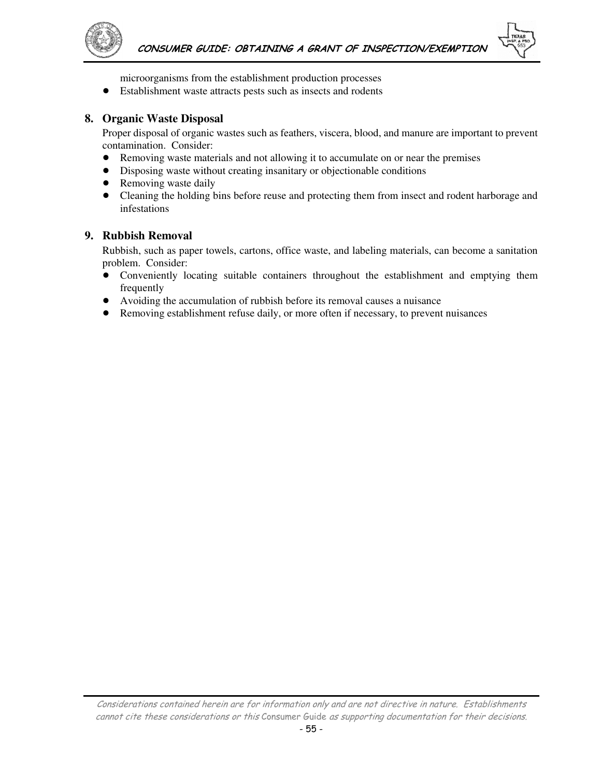

microorganisms from the establishment production processes

! Establishment waste attracts pests such as insects and rodents

#### **8. Organic Waste Disposal**

Proper disposal of organic wastes such as feathers, viscera, blood, and manure are important to prevent contamination. Consider:

- ! Removing waste materials and not allowing it to accumulate on or near the premises
- ! Disposing waste without creating insanitary or objectionable conditions
- Removing waste daily
- ! Cleaning the holding bins before reuse and protecting them from insect and rodent harborage and infestations

#### **9. Rubbish Removal**

Rubbish, such as paper towels, cartons, office waste, and labeling materials, can become a sanitation problem. Consider:

- ! Conveniently locating suitable containers throughout the establishment and emptying them frequently
- ! Avoiding the accumulation of rubbish before its removal causes a nuisance
- ! Removing establishment refuse daily, or more often if necessary, to prevent nuisances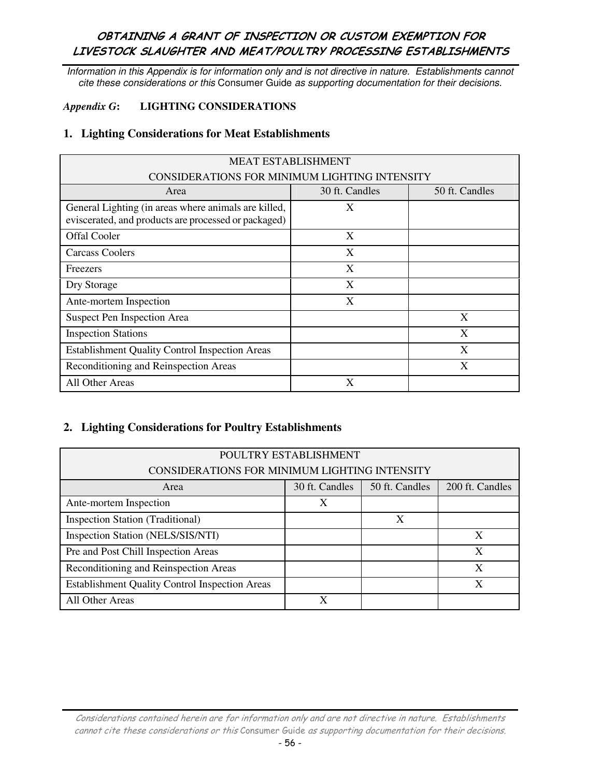Information in this Appendix is for information only and is not directive in nature. Establishments cannot cite these considerations or this Consumer Guide as supporting documentation for their decisions.

#### *Appendix G***: LIGHTING CONSIDERATIONS**

#### **1. Lighting Considerations for Meat Establishments**

| <b>MEAT ESTABLISHMENT</b>                                                                                    |                |                |
|--------------------------------------------------------------------------------------------------------------|----------------|----------------|
| CONSIDERATIONS FOR MINIMUM LIGHTING INTENSITY                                                                |                |                |
| Area                                                                                                         | 30 ft. Candles | 50 ft. Candles |
| General Lighting (in areas where animals are killed,<br>eviscerated, and products are processed or packaged) | X              |                |
| <b>Offal Cooler</b>                                                                                          | X              |                |
| Carcass Coolers                                                                                              | X              |                |
| Freezers                                                                                                     | X              |                |
| Dry Storage                                                                                                  | X              |                |
| Ante-mortem Inspection                                                                                       | X              |                |
| Suspect Pen Inspection Area                                                                                  |                | X              |
| <b>Inspection Stations</b>                                                                                   |                | X              |
| <b>Establishment Quality Control Inspection Areas</b>                                                        |                | X              |
| Reconditioning and Reinspection Areas                                                                        |                | X              |
| All Other Areas                                                                                              | X              |                |

### **2. Lighting Considerations for Poultry Establishments**

| POULTRY ESTABLISHMENT<br>CONSIDERATIONS FOR MINIMUM LIGHTING INTENSITY |                |                |                 |
|------------------------------------------------------------------------|----------------|----------------|-----------------|
| Area                                                                   | 30 ft. Candles | 50 ft. Candles | 200 ft. Candles |
| Ante-mortem Inspection                                                 | X              |                |                 |
| <b>Inspection Station (Traditional)</b>                                |                | X              |                 |
| Inspection Station (NELS/SIS/NTI)                                      |                |                | X               |
| Pre and Post Chill Inspection Areas                                    |                |                | X               |
| Reconditioning and Reinspection Areas                                  |                |                | X               |
| <b>Establishment Quality Control Inspection Areas</b>                  |                |                | X               |
| All Other Areas                                                        | X              |                |                 |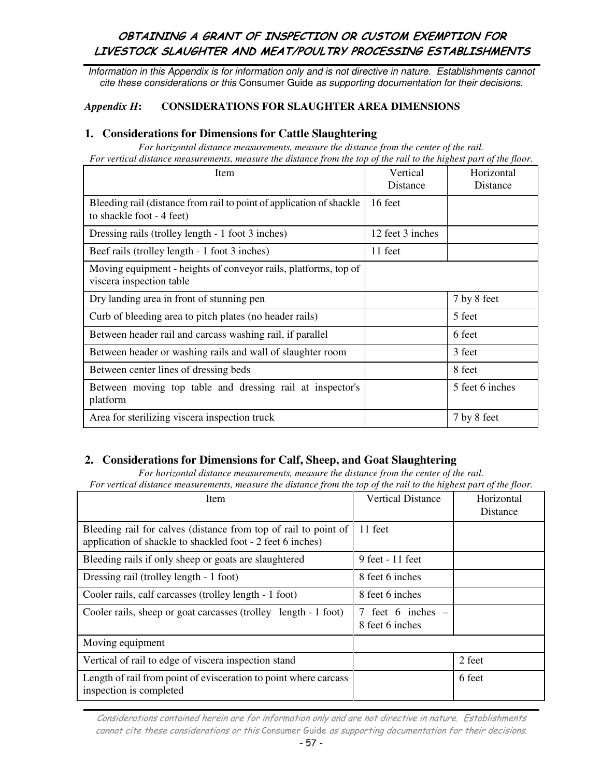Information in this Appendix is for information only and is not directive in nature. Establishments cannot cite these considerations or this Consumer Guide as supporting documentation for their decisions.

#### *Appendix H***: CONSIDERATIONS FOR SLAUGHTER AREA DIMENSIONS**

#### **1. Considerations for Dimensions for Cattle Slaughtering**

*For horizontal distance measurements, measure the distance from the center of the rail. For vertical distance measurements, measure the distance from the top of the rail to the highest part of the floor.* 

| <b>Item</b>                                                                                       | Vertical<br>Distance | Horizontal<br>Distance |
|---------------------------------------------------------------------------------------------------|----------------------|------------------------|
| Bleeding rail (distance from rail to point of application of shackle<br>to shackle foot - 4 feet) | 16 feet              |                        |
| Dressing rails (trolley length - 1 foot 3 inches)                                                 | 12 feet 3 inches     |                        |
| Beef rails (trolley length - 1 foot 3 inches)                                                     | 11 feet              |                        |
| Moving equipment - heights of conveyor rails, platforms, top of<br>viscera inspection table       |                      |                        |
| Dry landing area in front of stunning pen                                                         |                      | 7 by 8 feet            |
| Curb of bleeding area to pitch plates (no header rails)                                           |                      | 5 feet                 |
| Between header rail and carcass washing rail, if parallel                                         |                      | 6 feet                 |
| Between header or washing rails and wall of slaughter room                                        |                      | 3 feet                 |
| Between center lines of dressing beds                                                             |                      | 8 feet                 |
| Between moving top table and dressing rail at inspector's<br>platform                             |                      | 5 feet 6 inches        |
| Area for sterilizing viscera inspection truck                                                     |                      | 7 by 8 feet            |

### **2. Considerations for Dimensions for Calf, Sheep, and Goat Slaughtering**

*For horizontal distance measurements, measure the distance from the center of the rail. For vertical distance measurements, measure the distance from the top of the rail to the highest part of the floor.* 

| Item                                                                                                                          | <b>Vertical Distance</b>               | Horizontal<br>Distance |
|-------------------------------------------------------------------------------------------------------------------------------|----------------------------------------|------------------------|
| Bleeding rail for calves (distance from top of rail to point of<br>application of shackle to shackled foot - 2 feet 6 inches) | 11 feet                                |                        |
| Bleeding rails if only sheep or goats are slaughtered                                                                         | 9 feet - 11 feet                       |                        |
| Dressing rail (trolley length - 1 foot)                                                                                       | 8 feet 6 inches                        |                        |
| Cooler rails, calf carcasses (trolley length - 1 foot)                                                                        | 8 feet 6 inches                        |                        |
| Cooler rails, sheep or goat carcasses (trolley length - 1 foot)                                                               | 7 feet 6 inches $-$<br>8 feet 6 inches |                        |
| Moving equipment                                                                                                              |                                        |                        |
| Vertical of rail to edge of viscera inspection stand                                                                          |                                        | 2 feet                 |
| Length of rail from point of evisceration to point where carcass<br>inspection is completed                                   |                                        | 6 feet                 |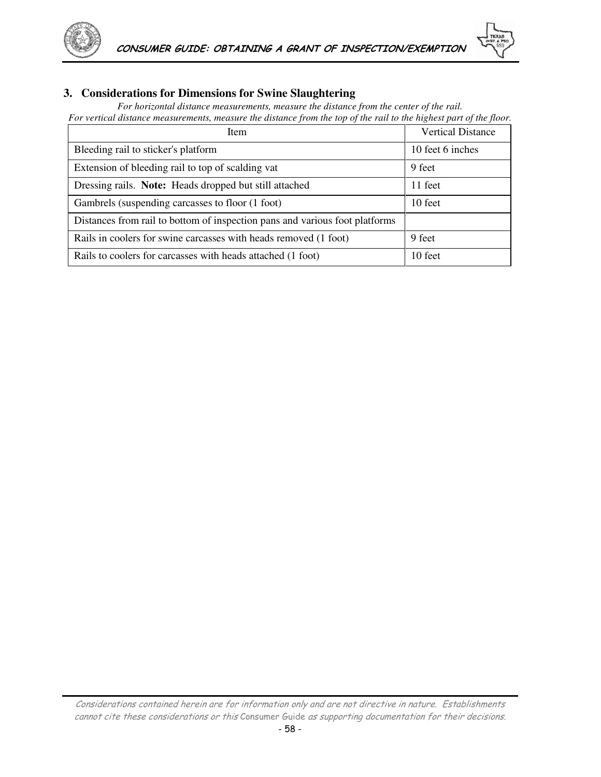



### **3. Considerations for Dimensions for Swine Slaughtering**

*For horizontal distance measurements, measure the distance from the center of the rail. For vertical distance measurements, measure the distance from the top of the rail to the highest part of the floor.*

| Item                                                                        | <b>Vertical Distance</b> |
|-----------------------------------------------------------------------------|--------------------------|
| Bleeding rail to sticker's platform                                         | 10 feet 6 inches         |
| Extension of bleeding rail to top of scalding vat                           | 9 feet                   |
| Dressing rails. Note: Heads dropped but still attached                      | 11 feet                  |
| Gambrels (suspending carcasses to floor (1 foot)                            | 10 feet                  |
| Distances from rail to bottom of inspection pans and various foot platforms |                          |
| Rails in coolers for swine carcasses with heads removed (1 foot)            | 9 feet                   |
| Rails to coolers for carcasses with heads attached (1 foot)                 | 10 feet                  |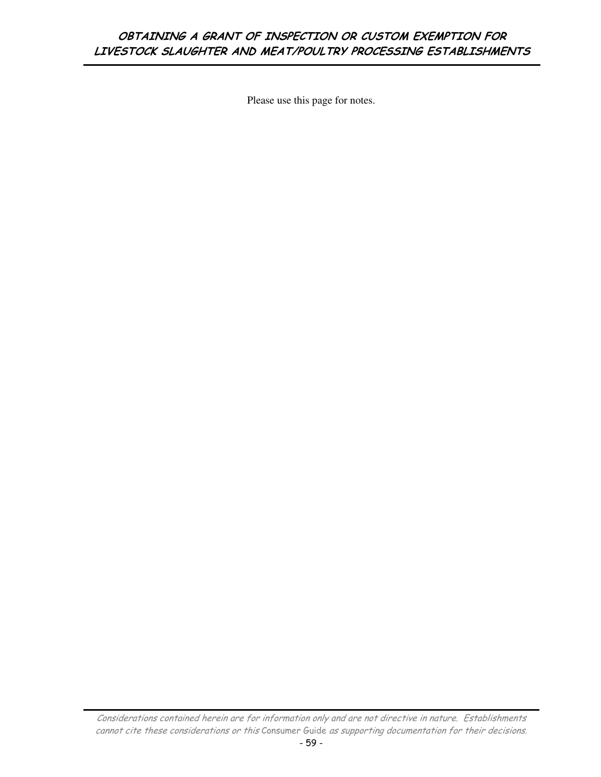Please use this page for notes.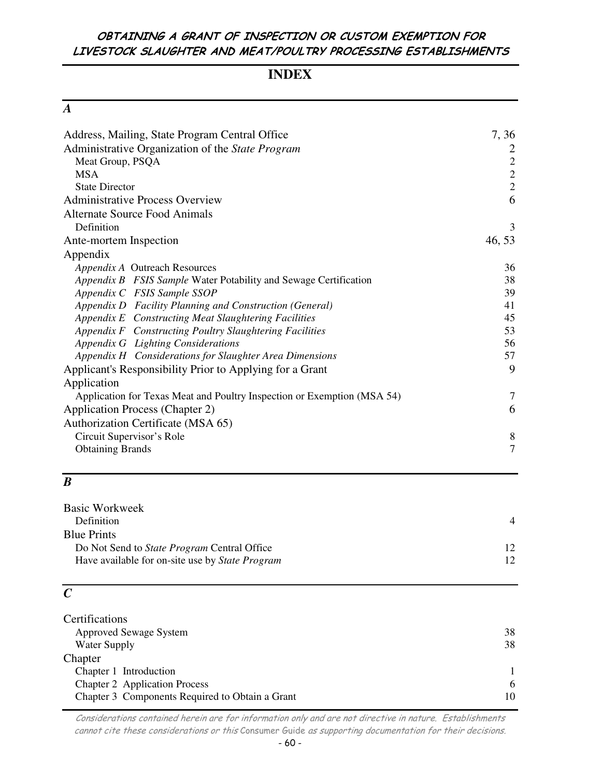# **INDEX**

| Address, Mailing, State Program Central Office                          | 7, 36          |
|-------------------------------------------------------------------------|----------------|
| Administrative Organization of the State Program                        | 2              |
| Meat Group, PSQA                                                        | $\sqrt{2}$     |
| <b>MSA</b>                                                              | $\overline{c}$ |
| <b>State Director</b>                                                   | $\overline{2}$ |
| <b>Administrative Process Overview</b>                                  | 6              |
| <b>Alternate Source Food Animals</b>                                    |                |
| Definition                                                              | 3              |
| Ante-mortem Inspection                                                  | 46, 53         |
| Appendix                                                                |                |
| Appendix A Outreach Resources                                           | 36             |
| Appendix B FSIS Sample Water Potability and Sewage Certification        | 38             |
| Appendix C FSIS Sample SSOP                                             | 39             |
| Appendix D Facility Planning and Construction (General)                 | 41             |
| Appendix E Constructing Meat Slaughtering Facilities                    | 45             |
| Appendix F Constructing Poultry Slaughtering Facilities                 | 53             |
| Appendix G Lighting Considerations                                      | 56             |
| Appendix H Considerations for Slaughter Area Dimensions                 | 57             |
| Applicant's Responsibility Prior to Applying for a Grant                | 9              |
| Application                                                             |                |
| Application for Texas Meat and Poultry Inspection or Exemption (MSA 54) | 7              |
| <b>Application Process (Chapter 2)</b>                                  | 6              |
| Authorization Certificate (MSA 65)                                      |                |
| Circuit Supervisor's Role                                               | 8              |
| <b>Obtaining Brands</b>                                                 | $\overline{7}$ |
|                                                                         |                |

# *B*

| Basic Workweek                                         |                 |
|--------------------------------------------------------|-----------------|
| Definition                                             | $\overline{4}$  |
| <b>Blue Prints</b>                                     |                 |
| Do Not Send to State Program Central Office            | 12 <sub>1</sub> |
| Have available for on-site use by <i>State Program</i> | 12 <sub>1</sub> |
|                                                        |                 |

# *C*

| Certifications                                  |    |
|-------------------------------------------------|----|
| <b>Approved Sewage System</b>                   | 38 |
| Water Supply                                    | 38 |
| Chapter                                         |    |
| Chapter 1 Introduction                          |    |
| <b>Chapter 2</b> Application Process            | -6 |
| Chapter 3 Components Required to Obtain a Grant | 10 |
|                                                 |    |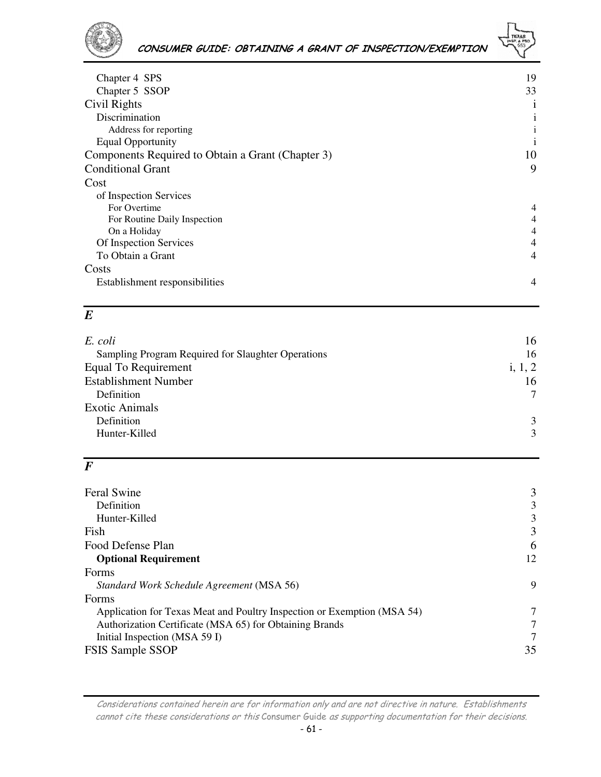

# CONSUMER GUIDE: OBTAINING A GRANT OF INSPECTION/EXEMPTION

| Chapter 4 SPS                                     | 19             |
|---------------------------------------------------|----------------|
| Chapter 5 SSOP                                    | 33             |
| Civil Rights                                      | $\mathbf{1}$   |
| Discrimination                                    | 1              |
| Address for reporting                             |                |
| <b>Equal Opportunity</b>                          | 1              |
| Components Required to Obtain a Grant (Chapter 3) | 10             |
| <b>Conditional Grant</b>                          | 9              |
| Cost                                              |                |
| of Inspection Services                            |                |
| For Overtime                                      | $\overline{4}$ |
| For Routine Daily Inspection                      | 4              |
| On a Holiday                                      | 4              |
| Of Inspection Services                            | 4              |
| To Obtain a Grant                                 | 4              |
| Costs                                             |                |
| Establishment responsibilities                    | $\overline{4}$ |
|                                                   |                |

# *E*

| E. coli                                            | 16            |
|----------------------------------------------------|---------------|
| Sampling Program Required for Slaughter Operations | 16            |
| <b>Equal To Requirement</b>                        | i, $1, 2$     |
| <b>Establishment Number</b>                        | 16            |
| Definition                                         |               |
| <b>Exotic Animals</b>                              |               |
| Definition                                         | $\mathcal{E}$ |
| Hunter-Killed                                      | 3             |
|                                                    |               |

# *F*

| <b>Feral Swine</b>                                                      | 3  |
|-------------------------------------------------------------------------|----|
| Definition                                                              | 3  |
| Hunter-Killed                                                           | 3  |
| Fish                                                                    | 3  |
| Food Defense Plan                                                       | 6  |
| <b>Optional Requirement</b>                                             | 12 |
| Forms                                                                   |    |
| Standard Work Schedule Agreement (MSA 56)                               | 9  |
| Forms                                                                   |    |
| Application for Texas Meat and Poultry Inspection or Exemption (MSA 54) |    |
| Authorization Certificate (MSA 65) for Obtaining Brands                 |    |
| Initial Inspection (MSA 59 I)                                           | 7  |
| <b>FSIS Sample SSOP</b>                                                 | 35 |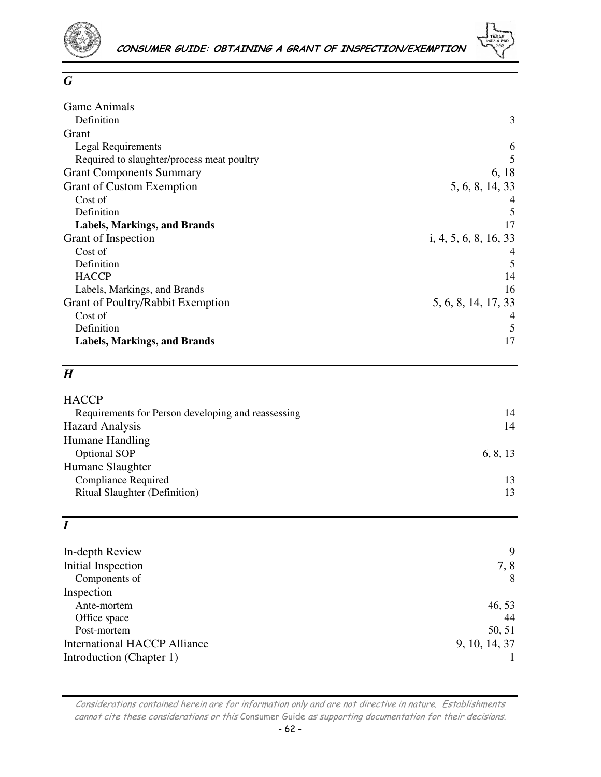

### *G*

| <b>Game Animals</b>                        |                       |
|--------------------------------------------|-----------------------|
| Definition                                 | 3                     |
| Grant                                      |                       |
| Legal Requirements                         | 6                     |
| Required to slaughter/process meat poultry | 5                     |
| <b>Grant Components Summary</b>            | 6, 18                 |
| <b>Grant of Custom Exemption</b>           | 5, 6, 8, 14, 33       |
| Cost of                                    |                       |
| Definition                                 | 5                     |
| <b>Labels, Markings, and Brands</b>        | 17                    |
| Grant of Inspection                        | i, 4, 5, 6, 8, 16, 33 |
| Cost of                                    |                       |
| Definition                                 | 5                     |
| <b>HACCP</b>                               | 14                    |
| Labels, Markings, and Brands               | 16                    |
| Grant of Poultry/Rabbit Exemption          | 5, 6, 8, 14, 17, 33   |
| Cost of                                    |                       |
| Definition                                 | 5                     |
| Labels, Markings, and Brands               | 17                    |

# *H*

| <b>HACCP</b>                                       |          |
|----------------------------------------------------|----------|
| Requirements for Person developing and reassessing | 14       |
| <b>Hazard Analysis</b>                             | 14       |
| <b>Humane Handling</b>                             |          |
| <b>Optional SOP</b>                                | 6, 8, 13 |
| Humane Slaughter                                   |          |
| <b>Compliance Required</b>                         | 13       |
| <b>Ritual Slaughter (Definition)</b>               | 13       |
|                                                    |          |

# *I*

| In-depth Review                     | 9             |
|-------------------------------------|---------------|
| Initial Inspection                  | 7,8           |
| Components of                       | 8             |
| Inspection                          |               |
| Ante-mortem                         | 46, 53        |
| Office space                        | 44            |
| Post-mortem                         | 50, 51        |
| <b>International HACCP Alliance</b> | 9, 10, 14, 37 |
| Introduction (Chapter 1)            |               |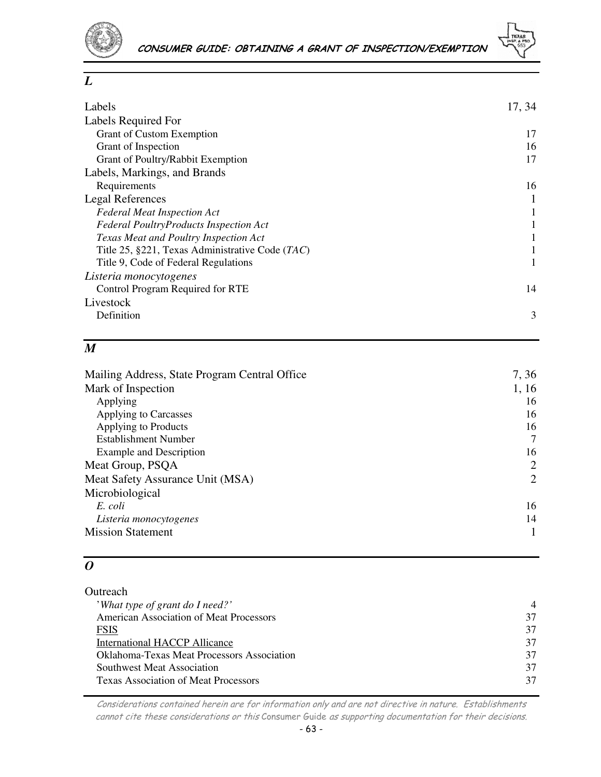

| Labels                                          | 17, 34 |
|-------------------------------------------------|--------|
| <b>Labels Required For</b>                      |        |
| <b>Grant of Custom Exemption</b>                | 17     |
| Grant of Inspection                             | 16     |
| Grant of Poultry/Rabbit Exemption               | 17     |
| Labels, Markings, and Brands                    |        |
| Requirements                                    | 16     |
| <b>Legal References</b>                         |        |
| <b>Federal Meat Inspection Act</b>              |        |
| <b>Federal PoultryProducts Inspection Act</b>   |        |
| Texas Meat and Poultry Inspection Act           |        |
| Title 25, §221, Texas Administrative Code (TAC) |        |
| Title 9, Code of Federal Regulations            | 1      |
| Listeria monocytogenes                          |        |
| Control Program Required for RTE                | 14     |
| Livestock                                       |        |
| Definition                                      | 3      |
|                                                 |        |

# *M*

| Mailing Address, State Program Central Office | 7, 36          |
|-----------------------------------------------|----------------|
| Mark of Inspection                            | 1, 16          |
| Applying                                      | 16             |
| Applying to Carcasses                         | 16             |
| Applying to Products                          | 16             |
| Establishment Number                          | 7              |
| Example and Description                       | 16             |
| Meat Group, PSQA                              | 2              |
| Meat Safety Assurance Unit (MSA)              | $\overline{2}$ |
| Microbiological                               |                |
| E. coli                                       | 16             |
| Listeria monocytogenes                        | 14             |
| <b>Mission Statement</b>                      |                |

# *O*

| Outreach                                          |                |
|---------------------------------------------------|----------------|
| 'What type of grant do I need?'                   | $\overline{4}$ |
| <b>American Association of Meat Processors</b>    | 37             |
| FSIS                                              | 37             |
| <b>International HACCP Allicance</b>              | 37             |
| <b>Oklahoma-Texas Meat Processors Association</b> | 37             |
| <b>Southwest Meat Association</b>                 | 37             |
| <b>Texas Association of Meat Processors</b>       |                |
|                                                   |                |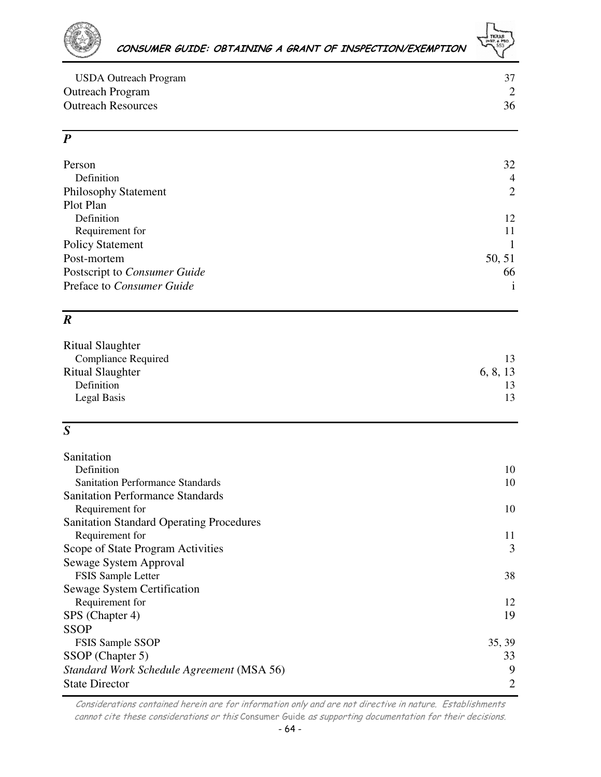

| USDA Outreach Program     |    |
|---------------------------|----|
| <b>Outreach Program</b>   |    |
| <b>Outreach Resources</b> | 36 |

# *P*

| Person                       | 32             |
|------------------------------|----------------|
| Definition                   | $\overline{4}$ |
| <b>Philosophy Statement</b>  | 2              |
| Plot Plan                    |                |
| Definition                   | 12             |
| Requirement for              | 11             |
| <b>Policy Statement</b>      |                |
| Post-mortem                  | 50, 51         |
| Postscript to Consumer Guide | 66             |
| Preface to Consumer Guide    |                |
|                              |                |

# *R*

| Ritual Slaughter           |          |
|----------------------------|----------|
| <b>Compliance Required</b> | 13       |
| <b>Ritual Slaughter</b>    | 6, 8, 13 |
| Definition                 | 13       |
| Legal Basis                | 13       |
|                            |          |

# *S*

| Sanitation                                      |                |
|-------------------------------------------------|----------------|
| Definition                                      | 10             |
| <b>Sanitation Performance Standards</b>         | 10             |
| <b>Sanitation Performance Standards</b>         |                |
| Requirement for                                 | 10             |
| <b>Sanitation Standard Operating Procedures</b> |                |
| Requirement for                                 | 11             |
| Scope of State Program Activities               | 3              |
| Sewage System Approval                          |                |
| <b>FSIS Sample Letter</b>                       | 38             |
| Sewage System Certification                     |                |
| Requirement for                                 | 12             |
| SPS (Chapter 4)                                 | 19             |
| <b>SSOP</b>                                     |                |
| <b>FSIS Sample SSOP</b>                         | 35, 39         |
| SSOP (Chapter 5)                                | 33             |
| Standard Work Schedule Agreement (MSA 56)       | 9              |
| <b>State Director</b>                           | $\overline{2}$ |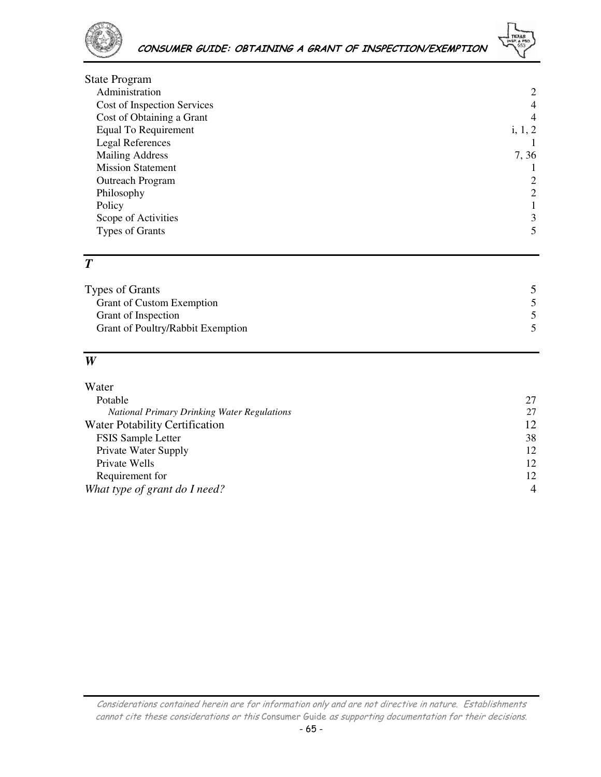

| <b>State Program</b>        |                |
|-----------------------------|----------------|
| Administration              | 2              |
| Cost of Inspection Services | $\overline{4}$ |
| Cost of Obtaining a Grant   | $\overline{4}$ |
| Equal To Requirement        | i, 1, 2        |
| Legal References            |                |
| <b>Mailing Address</b>      | 7, 36          |
| <b>Mission Statement</b>    |                |
| <b>Outreach Program</b>     | 2              |
| Philosophy                  | 2              |
| Policy                      |                |
| Scope of Activities         | 3              |
| <b>Types of Grants</b>      | 5              |
|                             |                |

## *T*

| Types of Grants                   |  |
|-----------------------------------|--|
| <b>Grant of Custom Exemption</b>  |  |
| Grant of Inspection               |  |
| Grant of Poultry/Rabbit Exemption |  |
|                                   |  |

## *W*

| 27             |
|----------------|
| 27             |
| 12             |
| 38             |
| 12             |
| 12             |
| 12             |
| $\overline{4}$ |
|                |